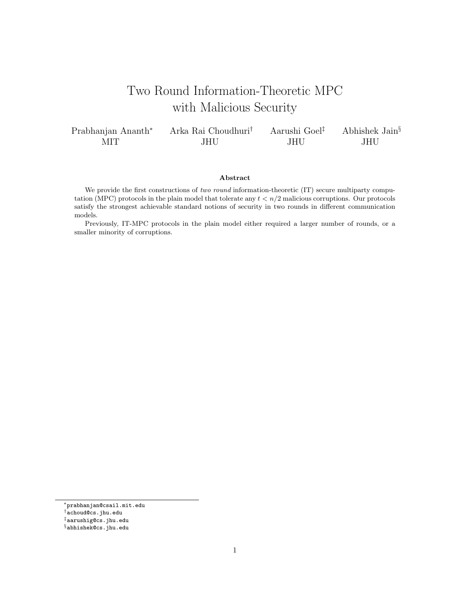# Two Round Information-Theoretic MPC with Malicious Security

Prabhanjan Ananth<sup>∗</sup> MIT Arka Rai Choudhuri† JHU Aarushi Goel‡ JHU Abhishek Jain§ JHU

#### Abstract

We provide the first constructions of two round information-theoretic (IT) secure multiparty computation (MPC) protocols in the plain model that tolerate any  $t < n/2$  malicious corruptions. Our protocols satisfy the strongest achievable standard notions of security in two rounds in different communication models.

Previously, IT-MPC protocols in the plain model either required a larger number of rounds, or a smaller minority of corruptions.

<sup>∗</sup>prabhanjan@csail.mit.edu

<sup>†</sup>achoud@cs.jhu.edu

<sup>‡</sup>aarushig@cs.jhu.edu

<sup>§</sup>abhishek@cs.jhu.edu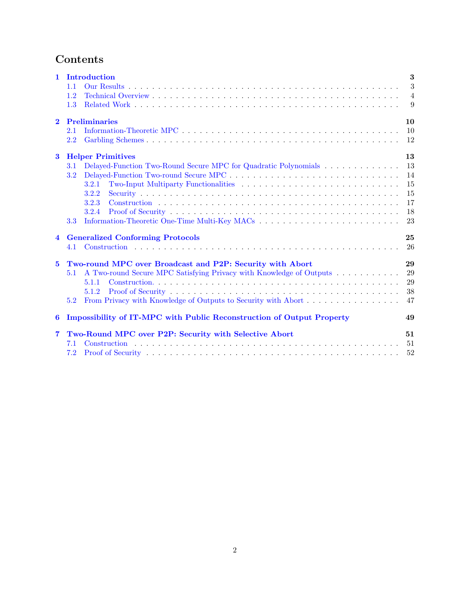# Contents

| $\mathbf{1}$         | Introduction                                                                                                                                                                                                                          | 3              |
|----------------------|---------------------------------------------------------------------------------------------------------------------------------------------------------------------------------------------------------------------------------------|----------------|
|                      | 1.1                                                                                                                                                                                                                                   | 3              |
|                      | 1.2                                                                                                                                                                                                                                   | $\overline{4}$ |
|                      | 1.3                                                                                                                                                                                                                                   | 9              |
| $\overline{2}$       | <b>Preliminaries</b>                                                                                                                                                                                                                  | 10             |
|                      | 2.1                                                                                                                                                                                                                                   | 10             |
|                      | 2.2                                                                                                                                                                                                                                   | 12             |
| $\bf{3}$             | <b>Helper Primitives</b>                                                                                                                                                                                                              | 13             |
|                      | Delayed-Function Two-Round Secure MPC for Quadratic Polynomials<br>3.1                                                                                                                                                                | 13             |
|                      | Delayed-Function Two-round Secure MPC<br>3.2                                                                                                                                                                                          | 14             |
|                      | 3.2.1                                                                                                                                                                                                                                 | 15             |
|                      | 3.2.2                                                                                                                                                                                                                                 | 15             |
|                      | 3.2.3                                                                                                                                                                                                                                 | 17             |
|                      | 3.2.4                                                                                                                                                                                                                                 | 18             |
|                      | 3.3                                                                                                                                                                                                                                   | 23             |
| $\blacktriangleleft$ | <b>Generalized Conforming Protocols</b>                                                                                                                                                                                               | 25             |
|                      | 4.1                                                                                                                                                                                                                                   | 26             |
| $\mathbf{5}$         | Two-round MPC over Broadcast and P2P: Security with Abort                                                                                                                                                                             | 29             |
|                      | A Two-round Secure MPC Satisfying Privacy with Knowledge of Outputs<br>5.1                                                                                                                                                            | 29             |
|                      | 5.1.1                                                                                                                                                                                                                                 | 29             |
|                      | 5.1.2                                                                                                                                                                                                                                 | 38             |
|                      | From Privacy with Knowledge of Outputs to Security with Abort<br>5.2                                                                                                                                                                  | 47             |
| 6                    | <b>Impossibility of IT-MPC with Public Reconstruction of Output Property</b>                                                                                                                                                          | 49             |
| $\overline{7}$       | Two-Round MPC over P2P: Security with Selective Abort                                                                                                                                                                                 | 51             |
|                      | 7.1                                                                                                                                                                                                                                   | -51            |
|                      | Proof of Security (Alberta Landscape Landscape Landscape Landscape Landscape Landscape Landscape Landscape Landscape Landscape Landscape Landscape Landscape Landscape Landscape Landscape Landscape Landscape Landscape Lands<br>7.2 | 52             |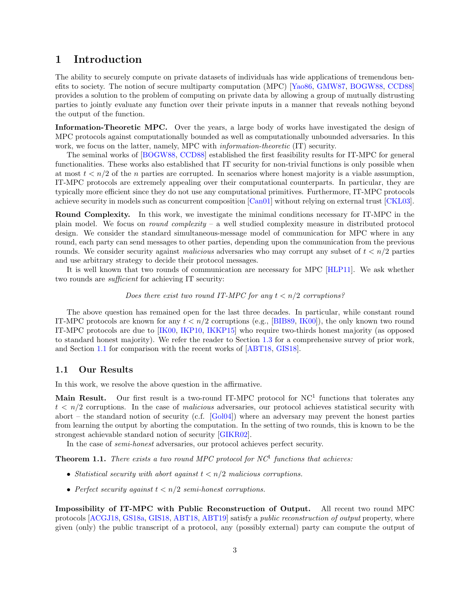### <span id="page-2-0"></span>1 Introduction

The ability to securely compute on private datasets of individuals has wide applications of tremendous benefits to society. The notion of secure multiparty computation (MPC) [\[Yao86,](#page-57-0) [GMW87,](#page-56-0) [BOGW88,](#page-55-0) [CCD88\]](#page-55-1) provides a solution to the problem of computing on private data by allowing a group of mutually distrusting parties to jointly evaluate any function over their private inputs in a manner that reveals nothing beyond the output of the function.

Information-Theoretic MPC. Over the years, a large body of works have investigated the design of MPC protocols against computationally bounded as well as computationally unbounded adversaries. In this work, we focus on the latter, namely, MPC with *information-theoretic* (IT) security.

The seminal works of [\[BOGW88,](#page-55-0) [CCD88\]](#page-55-1) established the first feasibility results for IT-MPC for general functionalities. These works also established that IT security for non-trivial functions is only possible when at most  $t < n/2$  of the *n* parties are corrupted. In scenarios where honest majority is a viable assumption, IT-MPC protocols are extremely appealing over their computational counterparts. In particular, they are typically more efficient since they do not use any computational primitives. Furthermore, IT-MPC protocols achieve security in models such as concurrent composition [\[Can01\]](#page-55-2) without relying on external trust [\[CKL03\]](#page-55-3).

Round Complexity. In this work, we investigate the minimal conditions necessary for IT-MPC in the plain model. We focus on round complexity – a well studied complexity measure in distributed protocol design. We consider the standard simultaneous-message model of communication for MPC where in any round, each party can send messages to other parties, depending upon the communication from the previous rounds. We consider security against malicious adversaries who may corrupt any subset of  $t < n/2$  parties and use arbitrary strategy to decide their protocol messages.

It is well known that two rounds of communication are necessary for MPC [\[HLP11\]](#page-56-1). We ask whether two rounds are sufficient for achieving IT security:

#### Does there exist two round IT-MPC for any  $t < n/2$  corruptions?

The above question has remained open for the last three decades. In particular, while constant round IT-MPC protocols are known for any  $t < n/2$  corruptions (e.g., [\[BIB89,](#page-55-4) [IK00\]](#page-56-2)), the only known two round IT-MPC protocols are due to [\[IK00,](#page-56-2) [IKP10,](#page-57-1) [IKKP15\]](#page-57-2) who require two-thirds honest majority (as opposed to standard honest majority). We refer the reader to Section [1.3](#page-8-0) for a comprehensive survey of prior work, and Section [1.1](#page-2-1) for comparison with the recent works of [\[ABT18,](#page-54-0) [GIS18\]](#page-56-3).

#### <span id="page-2-1"></span>1.1 Our Results

In this work, we resolve the above question in the affirmative.

Main Result. Our first result is a two-round IT-MPC protocol for NC<sup>1</sup> functions that tolerates any  $t < n/2$  corruptions. In the case of malicious adversaries, our protocol achieves statistical security with abort – the standard notion of security (c.f.  $[Gol04]$ ) where an adversary may prevent the honest parties from learning the output by aborting the computation. In the setting of two rounds, this is known to be the strongest achievable standard notion of security [\[GIKR02\]](#page-56-5).

In the case of semi-honest adversaries, our protocol achieves perfect security.

<span id="page-2-2"></span>**Theorem 1.1.** There exists a two round MPC protocol for  $NC<sup>1</sup>$  functions that achieves:

- Statistical security with abort against  $t < n/2$  malicious corruptions.
- Perfect security against  $t < n/2$  semi-honest corruptions.

Impossibility of IT-MPC with Public Reconstruction of Output. All recent two round MPC protocols [\[ACGJ18,](#page-54-1) [GS18a,](#page-56-6) [GIS18,](#page-56-3) [ABT18,](#page-54-0) [ABT19\]](#page-54-2) satisfy a public reconstruction of output property, where given (only) the public transcript of a protocol, any (possibly external) party can compute the output of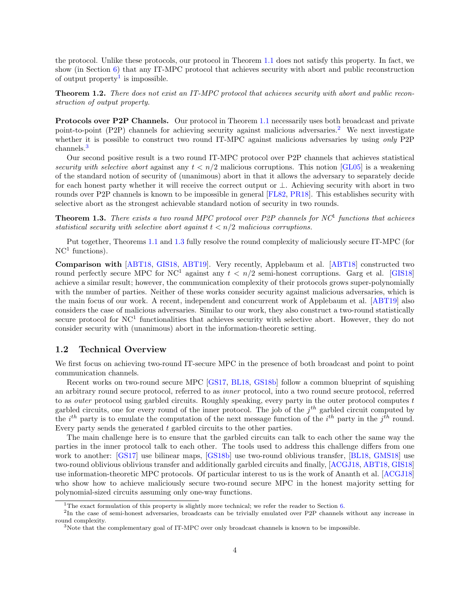the protocol. Unlike these protocols, our protocol in Theorem [1.1](#page-2-2) does not satisfy this property. In fact, we show (in Section [6\)](#page-48-0) that any IT-MPC protocol that achieves security with abort and public reconstruction of output property<sup>[1](#page-3-1)</sup> is impossible.

Theorem 1.2. There does not exist an IT-MPC protocol that achieves security with abort and public reconstruction of output property.

Protocols over P2P Channels. Our protocol in Theorem [1.1](#page-2-2) necessarily uses both broadcast and private point-to-point (P2P) channels for achieving security against malicious adversaries.[2](#page-3-2) We next investigate whether it is possible to construct two round IT-MPC against malicious adversaries by using only P2P channels.[3](#page-3-3)

Our second positive result is a two round IT-MPC protocol over P2P channels that achieves statistical security with selective abort against any  $t < n/2$  malicious corruptions. This notion [\[GL05\]](#page-56-7) is a weakening of the standard notion of security of (unanimous) abort in that it allows the adversary to separately decide for each honest party whether it will receive the correct output or ⊥. Achieving security with abort in two rounds over P2P channels is known to be impossible in general [\[FL82,](#page-55-5) [PR18\]](#page-57-3). This establishes security with selective abort as the strongest achievable standard notion of security in two rounds.

<span id="page-3-4"></span>**Theorem 1.3.** There exists a two round MPC protocol over P2P channels for  $NC<sup>1</sup>$  functions that achieves statistical security with selective abort against  $t < n/2$  malicious corruptions.

Put together, Theorems [1.1](#page-2-2) and [1.3](#page-3-4) fully resolve the round complexity of maliciously secure IT-MPC (for  $NC<sup>1</sup>$  functions).

Comparison with [\[ABT18,](#page-54-0) [GIS18,](#page-56-3) [ABT19\]](#page-54-2). Very recently, Applebaum et al. [\[ABT18\]](#page-54-0) constructed two round perfectly secure MPC for NC<sup>1</sup> against any  $t < n/2$  semi-honest corruptions. Garg et al. [\[GIS18\]](#page-56-3) achieve a similar result; however, the communication complexity of their protocols grows super-polynomially with the number of parties. Neither of these works consider security against malicious adversaries, which is the main focus of our work. A recent, independent and concurrent work of Applebaum et al. [\[ABT19\]](#page-54-2) also considers the case of malicious adversaries. Similar to our work, they also construct a two-round statistically secure protocol for  $NC<sup>1</sup>$  functionalities that achieves security with selective abort. However, they do not consider security with (unanimous) abort in the information-theoretic setting.

#### <span id="page-3-0"></span>1.2 Technical Overview

We first focus on achieving two-round IT-secure MPC in the presence of both broadcast and point to point communication channels.

Recent works on two-round secure MPC [\[GS17,](#page-56-8) [BL18,](#page-55-6) [GS18b\]](#page-56-9) follow a common blueprint of squishing an arbitrary round secure protocol, referred to as inner protocol, into a two round secure protocol, referred to as *outer* protocol using garbled circuits. Roughly speaking, every party in the outer protocol computes  $t$ garbled circuits, one for every round of the inner protocol. The job of the  $j<sup>th</sup>$  garbled circuit computed by the *i*<sup>th</sup> party is to emulate the computation of the next message function of the *i*<sup>th</sup> party in the *j*<sup>th</sup> round. Every party sends the generated  $t$  garbled circuits to the other parties.

The main challenge here is to ensure that the garbled circuits can talk to each other the same way the parties in the inner protocol talk to each other. The tools used to address this challenge differs from one work to another: [\[GS17\]](#page-56-8) use bilinear maps, [\[GS18b\]](#page-56-9) use two-round oblivious transfer, [\[BL18,](#page-55-6) [GMS18\]](#page-56-10) use two-round oblivious oblivious transfer and additionally garbled circuits and finally, [\[ACGJ18,](#page-54-1) [ABT18,](#page-54-0) [GIS18\]](#page-56-3) use information-theoretic MPC protocols. Of particular interest to us is the work of Ananth et al. [\[ACGJ18\]](#page-54-1) who show how to achieve maliciously secure two-round secure MPC in the honest majority setting for polynomial-sized circuits assuming only one-way functions.

<span id="page-3-2"></span><span id="page-3-1"></span><sup>&</sup>lt;sup>1</sup>The exact formulation of this property is slightly more technical; we refer the reader to Section [6.](#page-48-0)

<sup>&</sup>lt;sup>2</sup>In the case of semi-honest adversaries, broadcasts can be trivially emulated over P2P channels without any increase in round complexity.

<span id="page-3-3"></span><sup>&</sup>lt;sup>3</sup>Note that the complementary goal of IT-MPC over only broadcast channels is known to be impossible.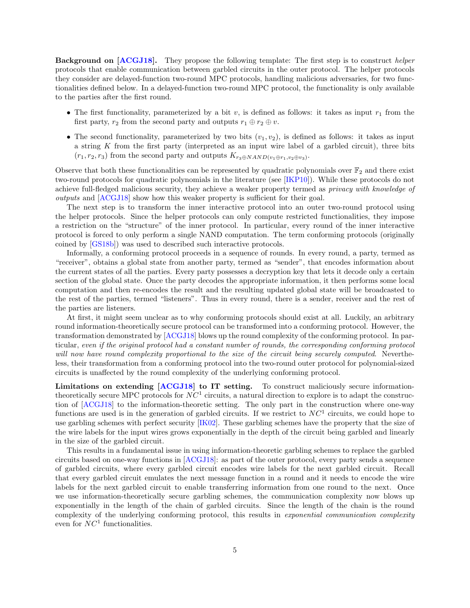**Background on [\[ACGJ18\]](#page-54-1).** They propose the following template: The first step is to construct helper protocols that enable communication between garbled circuits in the outer protocol. The helper protocols they consider are delayed-function two-round MPC protocols, handling malicious adversaries, for two functionalities defined below. In a delayed-function two-round MPC protocol, the functionality is only available to the parties after the first round.

- The first functionality, parameterized by a bit  $v$ , is defined as follows: it takes as input  $r_1$  from the first party,  $r_2$  from the second party and outputs  $r_1 \oplus r_2 \oplus v$ .
- The second functionality, parameterized by two bits  $(v_1, v_2)$ , is defined as follows: it takes as input a string  $K$  from the first party (interpreted as an input wire label of a garbled circuit), three bits  $(r_1, r_2, r_3)$  from the second party and outputs  $K_{r_3 \oplus NAND(v_1 \oplus r_1, v_2 \oplus v_3)}$ .

Observe that both these functionalities can be represented by quadratic polynomials over  $\mathbb{F}_2$  and there exist two-round protocols for quadratic polynomials in the literature (see [\[IKP10\]](#page-57-1)). While these protocols do not achieve full-fledged malicious security, they achieve a weaker property termed as privacy with knowledge of outputs and [\[ACGJ18\]](#page-54-1) show how this weaker property is sufficient for their goal.

The next step is to transform the inner interactive protocol into an outer two-round protocol using the helper protocols. Since the helper protocols can only compute restricted functionalities, they impose a restriction on the "structure" of the inner protocol. In particular, every round of the inner interactive protocol is forced to only perform a single NAND computation. The term conforming protocols (originally coined by [\[GS18b\]](#page-56-9)) was used to described such interactive protocols.

Informally, a conforming protocol proceeds in a sequence of rounds. In every round, a party, termed as "receiver", obtains a global state from another party, termed as "sender", that encodes information about the current states of all the parties. Every party possesses a decryption key that lets it decode only a certain section of the global state. Once the party decodes the appropriate information, it then performs some local computation and then re-encodes the result and the resulting updated global state will be broadcasted to the rest of the parties, termed "listeners". Thus in every round, there is a sender, receiver and the rest of the parties are listeners.

At first, it might seem unclear as to why conforming protocols should exist at all. Luckily, an arbitrary round information-theoretically secure protocol can be transformed into a conforming protocol. However, the transformation demonstrated by [\[ACGJ18\]](#page-54-1) blows up the round complexity of the conforming protocol. In particular, even if the original protocol had a constant number of rounds, the corresponding conforming protocol will now have round complexity proportional to the size of the circuit being securely computed. Nevertheless, their transformation from a conforming protocol into the two-round outer protocol for polynomial-sized circuits is unaffected by the round complexity of the underlying conforming protocol.

Limitations on extending [\[ACGJ18\]](#page-54-1) to IT setting. To construct maliciously secure informationtheoretically secure MPC protocols for  $NC<sup>1</sup>$  circuits, a natural direction to explore is to adapt the construction of [\[ACGJ18\]](#page-54-1) to the information-theoretic setting. The only part in the construction where one-way functions are used is in the generation of garbled circuits. If we restrict to  $NC<sup>1</sup>$  circuits, we could hope to use garbling schemes with perfect security [\[IK02\]](#page-56-11). These garbling schemes have the property that the size of the wire labels for the input wires grows exponentially in the depth of the circuit being garbled and linearly in the size of the garbled circuit.

This results in a fundamental issue in using information-theoretic garbling schemes to replace the garbled circuits based on one-way functions in [\[ACGJ18\]](#page-54-1): as part of the outer protocol, every party sends a sequence of garbled circuits, where every garbled circuit encodes wire labels for the next garbled circuit. Recall that every garbled circuit emulates the next message function in a round and it needs to encode the wire labels for the next garbled circuit to enable transferring information from one round to the next. Once we use information-theoretically secure garbling schemes, the communication complexity now blows up exponentially in the length of the chain of garbled circuits. Since the length of the chain is the round complexity of the underlying conforming protocol, this results in exponential communication complexity even for  $NC<sup>1</sup>$  functionalities.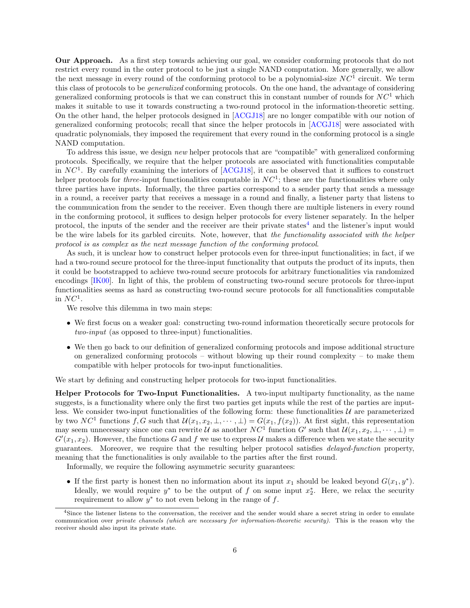Our Approach. As a first step towards achieving our goal, we consider conforming protocols that do not restrict every round in the outer protocol to be just a single NAND computation. More generally, we allow the next message in every round of the conforming protocol to be a polynomial-size  $NC<sup>1</sup>$  circuit. We term this class of protocols to be generalized conforming protocols. On the one hand, the advantage of considering generalized conforming protocols is that we can construct this in constant number of rounds for  $NC<sup>1</sup>$  which makes it suitable to use it towards constructing a two-round protocol in the information-theoretic setting. On the other hand, the helper protocols designed in [\[ACGJ18\]](#page-54-1) are no longer compatible with our notion of generalized conforming protocols; recall that since the helper protocols in [\[ACGJ18\]](#page-54-1) were associated with quadratic polynomials, they imposed the requirement that every round in the conforming protocol is a single NAND computation.

To address this issue, we design new helper protocols that are "compatible" with generalized conforming protocols. Specifically, we require that the helper protocols are associated with functionalities computable in  $NC<sup>1</sup>$ . By carefully examining the interiors of  $[ACGJ18]$ , it can be observed that it suffices to construct helper protocols for *three*-input functionalities computable in  $NC<sup>1</sup>$ ; these are the functionalities where only three parties have inputs. Informally, the three parties correspond to a sender party that sends a message in a round, a receiver party that receives a message in a round and finally, a listener party that listens to the communication from the sender to the receiver. Even though there are multiple listeners in every round in the conforming protocol, it suffices to design helper protocols for every listener separately. In the helper protocol, the inputs of the sender and the receiver are their private states<sup>[4](#page-5-0)</sup> and the listener's input would be the wire labels for its garbled circuits. Note, however, that the functionality associated with the helper protocol is as complex as the next message function of the conforming protocol.

As such, it is unclear how to construct helper protocols even for three-input functionalities; in fact, if we had a two-round secure protocol for the three-input functionality that outputs the product of its inputs, then it could be bootstrapped to achieve two-round secure protocols for arbitrary functionalities via randomized encodings [\[IK00\]](#page-56-2). In light of this, the problem of constructing two-round secure protocols for three-input functionalities seems as hard as constructing two-round secure protocols for all functionalities computable in  $NC<sup>1</sup>$ .

We resolve this dilemma in two main steps:

- We first focus on a weaker goal: constructing two-round information theoretically secure protocols for two-input (as opposed to three-input) functionalities.
- We then go back to our definition of generalized conforming protocols and impose additional structure on generalized conforming protocols – without blowing up their round complexity – to make them compatible with helper protocols for two-input functionalities.

We start by defining and constructing helper protocols for two-input functionalities.

Helper Protocols for Two-Input Functionalities. A two-input multiparty functionality, as the name suggests, is a functionality where only the first two parties get inputs while the rest of the parties are inputless. We consider two-input functionalities of the following form: these functionalities  $U$  are parameterized by two  $NC^1$  functions  $f, G$  such that  $\mathcal{U}(x_1, x_2, \perp, \cdots, \perp) = G(x_1, f(x_2))$ . At first sight, this representation may seem unnecessary since one can rewrite  $\mathcal U$  as another  $NC^1$  function  $G'$  such that  $\mathcal U(x_1, x_2, \perp, \cdots, \perp)$  $G'(x_1, x_2)$ . However, the functions G and f we use to express U makes a difference when we state the security guarantees. Moreover, we require that the resulting helper protocol satisfies delayed-function property, meaning that the functionalities is only available to the parties after the first round.

Informally, we require the following asymmetric security guarantees:

• If the first party is honest then no information about its input  $x_1$  should be leaked beyond  $G(x_1, y^*)$ . Ideally, we would require  $y^*$  to be the output of f on some input  $x_2^*$ . Here, we relax the security requirement to allow  $y^*$  to not even belong in the range of  $f$ .

<span id="page-5-0"></span><sup>&</sup>lt;sup>4</sup>Since the listener listens to the conversation, the receiver and the sender would share a secret string in order to emulate communication over private channels (which are necessary for information-theoretic security). This is the reason why the receiver should also input its private state.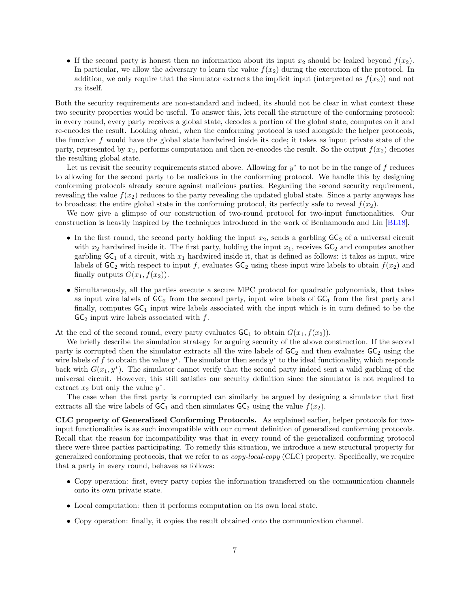• If the second party is honest then no information about its input  $x_2$  should be leaked beyond  $f(x_2)$ . In particular, we allow the adversary to learn the value  $f(x_2)$  during the execution of the protocol. In addition, we only require that the simulator extracts the implicit input (interpreted as  $f(x_2)$ ) and not  $x_2$  itself.

Both the security requirements are non-standard and indeed, its should not be clear in what context these two security properties would be useful. To answer this, lets recall the structure of the conforming protocol: in every round, every party receives a global state, decodes a portion of the global state, computes on it and re-encodes the result. Looking ahead, when the conforming protocol is used alongside the helper protocols, the function f would have the global state hardwired inside its code; it takes as input private state of the party, represented by  $x_2$ , performs computation and then re-encodes the result. So the output  $f(x_2)$  denotes the resulting global state.

Let us revisit the security requirements stated above. Allowing for  $y^*$  to not be in the range of f reduces to allowing for the second party to be malicious in the conforming protocol. We handle this by designing conforming protocols already secure against malicious parties. Regarding the second security requirement, revealing the value  $f(x_2)$  reduces to the party revealing the updated global state. Since a party anyways has to broadcast the entire global state in the conforming protocol, its perfectly safe to reveal  $f(x_2)$ .

We now give a glimpse of our construction of two-round protocol for two-input functionalities. Our construction is heavily inspired by the techniques introduced in the work of Benhamouda and Lin [\[BL18\]](#page-55-6).

- In the first round, the second party holding the input  $x_2$ , sends a garbling  $GC_2$  of a universal circuit with  $x_2$  hardwired inside it. The first party, holding the input  $x_1$ , receives  $GC_2$  and computes another garbling  $GC_1$  of a circuit, with  $x_1$  hardwired inside it, that is defined as follows: it takes as input, wire labels of  $GC_2$  with respect to input f, evaluates  $GC_2$  using these input wire labels to obtain  $f(x_2)$  and finally outputs  $G(x_1, f(x_2))$ .
- Simultaneously, all the parties execute a secure MPC protocol for quadratic polynomials, that takes as input wire labels of  $GC_2$  from the second party, input wire labels of  $GC_1$  from the first party and finally, computes  $GC<sub>1</sub>$  input wire labels associated with the input which is in turn defined to be the  $\mathsf{GC}_2$  input wire labels associated with f.

At the end of the second round, every party evaluates  $\mathsf{GC}_1$  to obtain  $G(x_1, f(x_2)).$ 

We briefly describe the simulation strategy for arguing security of the above construction. If the second party is corrupted then the simulator extracts all the wire labels of  $GC_2$  and then evaluates  $GC_2$  using the wire labels of f to obtain the value  $y^*$ . The simulator then sends  $y^*$  to the ideal functionality, which responds back with  $G(x_1, y^*)$ . The simulator cannot verify that the second party indeed sent a valid garbling of the universal circuit. However, this still satisfies our security definition since the simulator is not required to extract  $x_2$  but only the value  $y^*$ .

The case when the first party is corrupted can similarly be argued by designing a simulator that first extracts all the wire labels of  $GC_1$  and then simulates  $GC_2$  using the value  $f(x_2)$ .

CLC property of Generalized Conforming Protocols. As explained earlier, helper protocols for twoinput functionalities is as such incompatible with our current definition of generalized conforming protocols. Recall that the reason for incompatibility was that in every round of the generalized conforming protocol there were three parties participating. To remedy this situation, we introduce a new structural property for generalized conforming protocols, that we refer to as copy-local-copy (CLC) property. Specifically, we require that a party in every round, behaves as follows:

- Copy operation: first, every party copies the information transferred on the communication channels onto its own private state.
- Local computation: then it performs computation on its own local state.
- Copy operation: finally, it copies the result obtained onto the communication channel.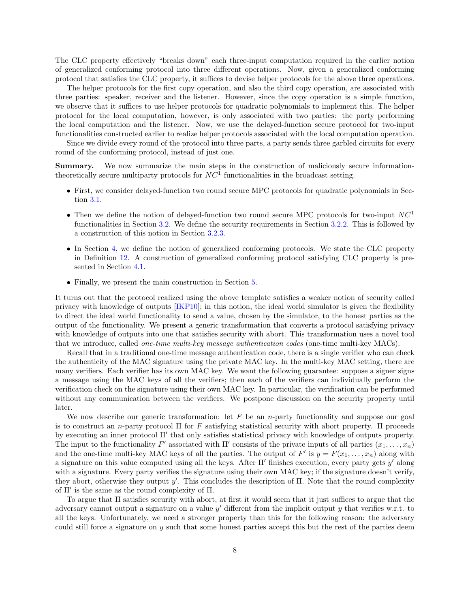The CLC property effectively "breaks down" each three-input computation required in the earlier notion of generalized conforming protocol into three different operations. Now, given a generalized conforming protocol that satisfies the CLC property, it suffices to devise helper protocols for the above three operations.

The helper protocols for the first copy operation, and also the third copy operation, are associated with three parties: speaker, receiver and the listener. However, since the copy operation is a simple function, we observe that it suffices to use helper protocols for quadratic polynomials to implement this. The helper protocol for the local computation, however, is only associated with two parties: the party performing the local computation and the listener. Now, we use the delayed-function secure protocol for two-input functionalities constructed earlier to realize helper protocols associated with the local computation operation.

Since we divide every round of the protocol into three parts, a party sends three garbled circuits for every round of the conforming protocol, instead of just one.

Summary. We now summarize the main steps in the construction of maliciously secure informationtheoretically secure multiparty protocols for  $NC<sup>1</sup>$  functionalities in the broadcast setting.

- First, we consider delayed-function two round secure MPC protocols for quadratic polynomials in Section [3.1.](#page-12-1)
- Then we define the notion of delayed-function two round secure MPC protocols for two-input  $NC<sup>1</sup>$ functionalities in Section [3.2.](#page-13-0) We define the security requirements in Section [3.2.2.](#page-14-1) This is followed by a construction of this notion in Section [3.2.3.](#page-16-0)
- In Section [4,](#page-24-0) we define the notion of generalized conforming protocols. We state the CLC property in Definition [12.](#page-25-1) A construction of generalized conforming protocol satisfying CLC property is presented in Section [4.1.](#page-25-0)
- Finally, we present the main construction in Section [5.](#page-28-0)

It turns out that the protocol realized using the above template satisfies a weaker notion of security called privacy with knowledge of outputs [\[IKP10\]](#page-57-1); in this notion, the ideal world simulator is given the flexibility to direct the ideal world functionality to send a value, chosen by the simulator, to the honest parties as the output of the functionality. We present a generic transformation that converts a protocol satisfying privacy with knowledge of outputs into one that satisfies security with abort. This transformation uses a novel tool that we introduce, called one-time multi-key message authentication codes (one-time multi-key MACs).

Recall that in a traditional one-time message authentication code, there is a single verifier who can check the authenticity of the MAC signature using the private MAC key. In the multi-key MAC setting, there are many verifiers. Each verifier has its own MAC key. We want the following guarantee: suppose a signer signs a message using the MAC keys of all the verifiers; then each of the verifiers can individually perform the verification check on the signature using their own MAC key. In particular, the verification can be performed without any communication between the verifiers. We postpone discussion on the security property until later.

We now describe our generic transformation: let  $F$  be an *n*-party functionality and suppose our goal is to construct an n-party protocol  $\Pi$  for F satisfying statistical security with abort property.  $\Pi$  proceeds by executing an inner protocol Π' that only satisfies statistical privacy with knowledge of outputs property. The input to the functionality  $F'$  associated with  $\Pi'$  consists of the private inputs of all parties  $(x_1, \ldots, x_n)$ and the one-time multi-key MAC keys of all the parties. The output of  $F'$  is  $y = F(x_1, \ldots, x_n)$  along with a signature on this value computed using all the keys. After  $\Pi'$  finishes execution, every party gets  $y'$  along with a signature. Every party verifies the signature using their own MAC key; if the signature doesn't verify, they abort, otherwise they output  $y'$ . This concludes the description of  $\Pi$ . Note that the round complexity of  $\Pi'$  is the same as the round complexity of  $\Pi$ .

To argue that Π satisfies security with abort, at first it would seem that it just suffices to argue that the adversary cannot output a signature on a value  $y'$  different from the implicit output  $y$  that verifies w.r.t. to all the keys. Unfortunately, we need a stronger property than this for the following reason: the adversary could still force a signature on y such that some honest parties accept this but the rest of the parties deem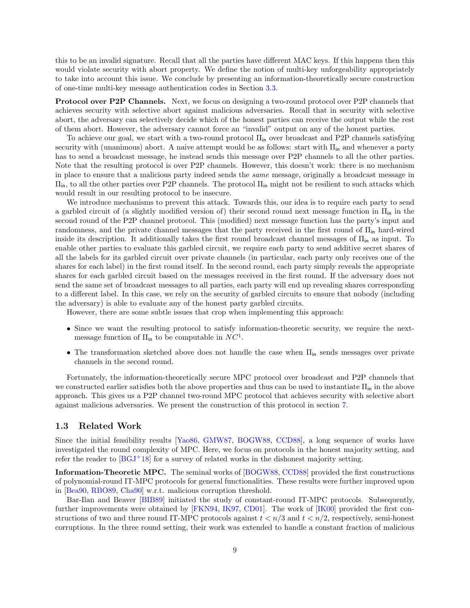this to be an invalid signature. Recall that all the parties have different MAC keys. If this happens then this would violate security with abort property. We define the notion of multi-key unforgeability appropriately to take into account this issue. We conclude by presenting an information-theoretically secure construction of one-time multi-key message authentication codes in Section [3.3.](#page-22-0)

Protocol over P2P Channels. Next, we focus on designing a two-round protocol over P2P channels that achieves security with selective abort against malicious adversaries. Recall that in security with selective abort, the adversary can selectively decide which of the honest parties can receive the output while the rest of them abort. However, the adversary cannot force an "invalid" output on any of the honest parties.

To achieve our goal, we start with a two-round protocol  $\Pi_{\text{in}}$  over broadcast and P2P channels satisfying security with (unanimous) abort. A naive attempt would be as follows: start with  $\Pi_{in}$  and whenever a party has to send a broadcast message, he instead sends this message over P2P channels to all the other parties. Note that the resulting protocol is over P2P channels. However, this doesn't work: there is no mechanism in place to ensure that a malicious party indeed sends the same message, originally a broadcast message in  $\Pi_{\text{in}}$ , to all the other parties over P2P channels. The protocol  $\Pi_{\text{in}}$  might not be resilient to such attacks which would result in our resulting protocol to be insecure.

We introduce mechanisms to prevent this attack. Towards this, our idea is to require each party to send a garbled circuit of (a slightly modified version of) their second round next message function in  $\Pi_{\text{in}}$  in the second round of the P2P channel protocol. This (modified) next message function has the party's input and randomness, and the private channel messages that the party received in the first round of  $\Pi_{\text{in}}$  hard-wired inside its description. It additionally takes the first round broadcast channel messages of  $\Pi_{\sf in}$  as input. To enable other parties to evaluate this garbled circuit, we require each party to send additive secret shares of all the labels for its garbled circuit over private channels (in particular, each party only receives one of the shares for each label) in the first round itself. In the second round, each party simply reveals the appropriate shares for each garbled circuit based on the messages received in the first round. If the adversary does not send the same set of broadcast messages to all parties, each party will end up revealing shares corresponding to a different label. In this case, we rely on the security of garbled circuits to ensure that nobody (including the adversary) is able to evaluate any of the honest party garbled circuits.

However, there are some subtle issues that crop when implementing this approach:

- Since we want the resulting protocol to satisfy information-theoretic security, we require the nextmessage function of  $\Pi_{\text{in}}$  to be computable in  $NC^1$ .
- The transformation sketched above does not handle the case when  $\Pi_{\sf in}$  sends messages over private channels in the second round.

Fortunately, the information-theoretically secure MPC protocol over broadcast and P2P channels that we constructed earlier satisfies both the above properties and thus can be used to instantiate  $\Pi_{\text{in}}$  in the above approach. This gives us a P2P channel two-round MPC protocol that achieves security with selective abort against malicious adversaries. We present the construction of this protocol in section [7.](#page-50-0)

#### <span id="page-8-0"></span>1.3 Related Work

Since the initial feasibility results [\[Yao86,](#page-57-0) [GMW87,](#page-56-0) [BOGW88,](#page-55-0) [CCD88\]](#page-55-1), a long sequence of works have investigated the round complexity of MPC. Here, we focus on protocols in the honest majority setting, and refer the reader to  $[\text{BGJ+18}]$  for a survey of related works in the dishonest majority setting.

Information-Theoretic MPC. The seminal works of [\[BOGW88,](#page-55-0) [CCD88\]](#page-55-1) provided the first constructions of polynomial-round IT-MPC protocols for general functionalities. These results were further improved upon in [\[Bea90,](#page-54-4) [RBO89,](#page-57-4) [Cha90\]](#page-55-7) w.r.t. malicious corruption threshold.

Bar-Ilan and Beaver [\[BIB89\]](#page-55-4) initiated the study of constant-round IT-MPC protocols. Subsequently, further improvements were obtained by [\[FKN94,](#page-55-8) [IK97,](#page-56-12) [CD01\]](#page-55-9). The work of [\[IK00\]](#page-56-2) provided the first constructions of two and three round IT-MPC protocols against  $t < n/3$  and  $t < n/2$ , respectively, semi-honest corruptions. In the three round setting, their work was extended to handle a constant fraction of malicious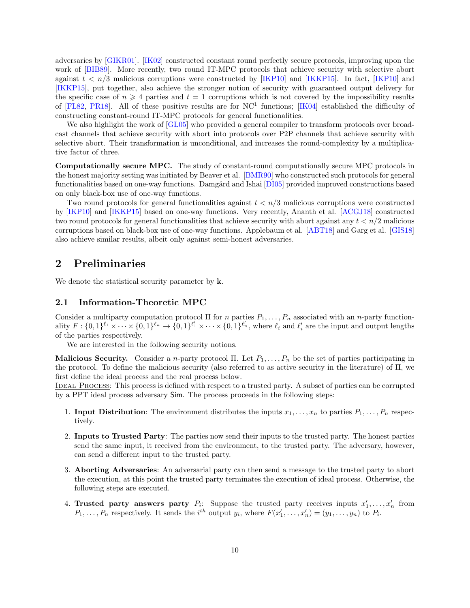adversaries by [\[GIKR01\]](#page-55-10). [\[IK02\]](#page-56-11) constructed constant round perfectly secure protocols, improving upon the work of [\[BIB89\]](#page-55-4). More recently, two round IT-MPC protocols that achieve security with selective abort against  $t < n/3$  malicious corruptions were constructed by [\[IKP10\]](#page-57-1) and [\[IKKP15\]](#page-57-2). In fact, [IKP10] and [\[IKKP15\]](#page-57-2), put together, also achieve the stronger notion of security with guaranteed output delivery for the specific case of  $n \geq 4$  parties and  $t = 1$  corruptions which is not covered by the impossibility results of  $[FL82, PR18]$  $[FL82, PR18]$  $[FL82, PR18]$ . All of these positive results are for NC<sup>1</sup> functions;  $[IK04]$  established the difficulty of constructing constant-round IT-MPC protocols for general functionalities.

We also highlight the work of  $\lbrack GL05]$  who provided a general compiler to transform protocols over broadcast channels that achieve security with abort into protocols over P2P channels that achieve security with selective abort. Their transformation is unconditional, and increases the round-complexity by a multiplicative factor of three.

Computationally secure MPC. The study of constant-round computationally secure MPC protocols in the honest majority setting was initiated by Beaver et al. [\[BMR90\]](#page-55-11) who constructed such protocols for general functionalities based on one-way functions. Damgård and Ishai [\[DI05\]](#page-55-12) provided improved constructions based on only black-box use of one-way functions.

Two round protocols for general functionalities against  $t < n/3$  malicious corruptions were constructed by [\[IKP10\]](#page-57-1) and [\[IKKP15\]](#page-57-2) based on one-way functions. Very recently, Ananth et al. [\[ACGJ18\]](#page-54-1) constructed two round protocols for general functionalities that achieve security with abort against any  $t < n/2$  malicious corruptions based on black-box use of one-way functions. Applebaum et al. [\[ABT18\]](#page-54-0) and Garg et al. [\[GIS18\]](#page-56-3) also achieve similar results, albeit only against semi-honest adversaries.

### <span id="page-9-0"></span>2 Preliminaries

We denote the statistical security parameter by **k**.

#### <span id="page-9-1"></span>2.1 Information-Theoretic MPC

Consider a multiparty computation protocol Π for n parties  $P_1, \ldots, P_n$  associated with an n-party functionality  $F: \{0,1\}^{\ell_1} \times \cdots \times \{0,1\}^{\ell_n} \to \{0,1\}^{\ell'_1} \times \cdots \times \{0,1\}^{\ell'_n}$ , where  $\ell_i$  and  $\ell'_i$  are the input and output lengths of the parties respectively.

We are interested in the following security notions.

Malicious Security. Consider a n-party protocol Π. Let  $P_1, \ldots, P_n$  be the set of parties participating in the protocol. To define the malicious security (also referred to as active security in the literature) of Π, we first define the ideal process and the real process below.

IDEAL PROCESS: This process is defined with respect to a trusted party. A subset of parties can be corrupted by a PPT ideal process adversary Sim. The process proceeds in the following steps:

- 1. Input Distribution: The environment distributes the inputs  $x_1, \ldots, x_n$  to parties  $P_1, \ldots, P_n$  respectively.
- 2. Inputs to Trusted Party: The parties now send their inputs to the trusted party. The honest parties send the same input, it received from the environment, to the trusted party. The adversary, however, can send a different input to the trusted party.
- 3. Aborting Adversaries: An adversarial party can then send a message to the trusted party to abort the execution, at this point the trusted party terminates the execution of ideal process. Otherwise, the following steps are executed.
- 4. Trusted party answers party  $P_i$ : Suppose the trusted party receives inputs  $x'_1, \ldots, x'_n$  from  $P_1, \ldots, P_n$  respectively. It sends the *i*<sup>th</sup> output  $y_i$ , where  $F(x'_1, \ldots, x'_n) = (y_1, \ldots, y_n)$  to  $P_i$ .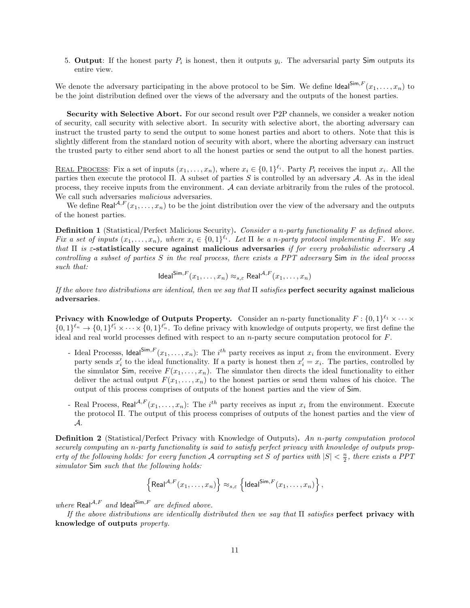5. Output: If the honest party  $P_i$  is honest, then it outputs  $y_i$ . The adversarial party Sim outputs its entire view.

We denote the adversary participating in the above protocol to be Sim. We define Ideal<sup>Sim,F</sup> $(x_1, \ldots, x_n)$  to be the joint distribution defined over the views of the adversary and the outputs of the honest parties.

Security with Selective Abort. For our second result over P2P channels, we consider a weaker notion of security, call security with selective abort. In security with selective abort, the aborting adversary can instruct the trusted party to send the output to some honest parties and abort to others. Note that this is slightly different from the standard notion of security with abort, where the aborting adversary can instruct the trusted party to either send abort to all the honest parties or send the output to all the honest parties.

REAL PROCESS: Fix a set of inputs  $(x_1, \ldots, x_n)$ , where  $x_i \in \{0,1\}^{\ell_i}$ . Party  $P_i$  receives the input  $x_i$ . All the parties then execute the protocol  $\Pi$ . A subset of parties S is controlled by an adversary A. As in the ideal process, they receive inputs from the environment. A can deviate arbitrarily from the rules of the protocol. We call such adversaries malicious adversaries.

We define Real<sup> $A, F(x_1, \ldots, x_n)$  to be the joint distribution over the view of the adversary and the outputs</sup> of the honest parties.

Definition 1 (Statistical/Perfect Malicious Security). Consider a n-party functionality F as defined above. Fix a set of inputs  $(x_1, \ldots, x_n)$ , where  $x_i \in \{0,1\}^{\ell_i}$ . Let  $\Pi$  be a n-party protocol implementing F. We say that  $\Pi$  is  $\varepsilon$ -statistically secure against malicious adversaries if for every probabilistic adversary  $\mathcal A$ controlling a subset of parties S in the real process, there exists a PPT adversary Sim in the ideal process such that:

$$
\mathsf{Ideal}^{\mathsf{Sim}, F}(x_1, \ldots, x_n) \approx_{s, \varepsilon} \mathsf{Real}^{\mathcal{A}, F}(x_1, \ldots, x_n)
$$

If the above two distributions are identical, then we say that  $\Pi$  satisfies **perfect security against malicious** adversaries.

**Privacy with Knowledge of Outputs Property.** Consider an *n*-party functionality  $F: \{0,1\}^{\ell_1} \times \cdots \times$  $\{0,1\}^{\ell_n} \to \{0,1\}^{\ell'_1} \times \cdots \times \{0,1\}^{\ell'_n}$ . To define privacy with knowledge of outputs property, we first define the ideal and real world processes defined with respect to an  $n$ -party secure computation protocol for  $F$ .

- Ideal Processs, Ideal<sup>Sim,  $F(x_1, \ldots, x_n)$ : The i<sup>th</sup> party receives as input  $x_i$  from the environment. Every</sup> party sends  $x_i'$  to the ideal functionality. If a party is honest then  $x_i' = x_i$ . The parties, controlled by the simulator Sim, receive  $F(x_1, \ldots, x_n)$ . The simulator then directs the ideal functionality to either deliver the actual output  $F(x_1, \ldots, x_n)$  to the honest parties or send them values of his choice. The output of this process comprises of outputs of the honest parties and the view of Sim.
- Real Process, Real<sup> $A, F(x_1, \ldots, x_n)$ : The i<sup>th</sup> party receives as input  $x_i$  from the environment. Execute</sup> the protocol Π. The output of this process comprises of outputs of the honest parties and the view of A.

<span id="page-10-0"></span>Definition 2 (Statistical/Perfect Privacy with Knowledge of Outputs). An n-party computation protocol securely computing an n-party functionality is said to satisfy perfect privacy with knowledge of outputs property of the following holds: for every function A corrupting set S of parties with  $|S| < \frac{n}{2}$ , there exists a PPT simulator Sim such that the following holds:

$$
\left\{\text{Real}^{\mathcal{A},F}(x_1,\ldots,x_n)\right\} \approx_{s,\varepsilon} \left\{\text{Ideal}^{\text{Sim},F}(x_1,\ldots,x_n)\right\},\,
$$

where Real<sup> $A, F$ </sup> and Ideal<sup>Sim, F</sup> are defined above.

If the above distributions are identically distributed then we say that  $\Pi$  satisfies perfect privacy with knowledge of outputs property.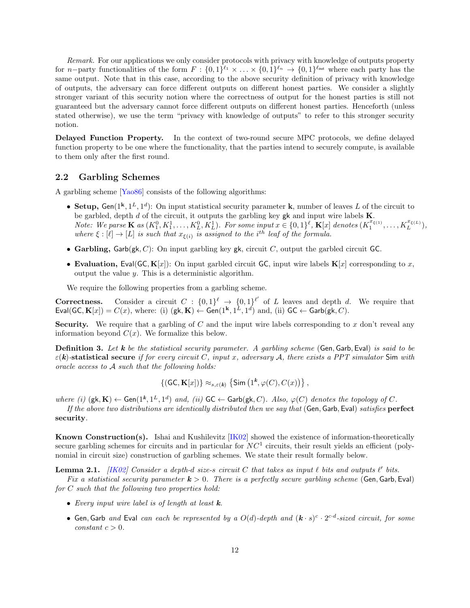Remark. For our applications we only consider protocols with privacy with knowledge of outputs property for n–party functionalities of the form  $F: \{0,1\}^{\ell_1} \times \ldots \times \{0,1\}^{\ell_n} \to \{0,1\}^{\ell_{\text{out}}}$  where each party has the same output. Note that in this case, according to the above security definition of privacy with knowledge of outputs, the adversary can force different outputs on different honest parties. We consider a slightly stronger variant of this security notion where the correctness of output for the honest parties is still not guaranteed but the adversary cannot force different outputs on different honest parties. Henceforth (unless stated otherwise), we use the term "privacy with knowledge of outputs" to refer to this stronger security notion.

Delayed Function Property. In the context of two-round secure MPC protocols, we define delayed function property to be one where the functionality, that the parties intend to securely compute, is available to them only after the first round.

#### <span id="page-11-0"></span>2.2 Garbling Schemes

A garbling scheme [\[Yao86\]](#page-57-0) consists of the following algorithms:

- Setup, Gen( $1^k, 1^L, 1^d$ ): On input statistical security parameter k, number of leaves L of the circuit to be garbled, depth  $d$  of the circuit, it outputs the garbling key gk and input wire labels  $\mathbf{K}$ . Note: We parse  $\mathbf{K}$  as  $(K_1^0, K_1^1, \ldots, K_L^0, K_L^1)$ . For some input  $x \in \{0,1\}^{\ell}$ ,  $\mathbf{K}[x]$  denotes  $(K_1^{x_{\xi(1)}}, \ldots, K_L^{x_{\xi(L)}})$ , where  $\xi : [\ell] \to [L]$  is such that  $x_{\xi(i)}$  is assigned to the i<sup>th</sup> leaf of the formula.
- Garbling, Garb( $g$ k, C): On input garbling key  $g$ k, circuit C, output the garbled circuit GC.
- Evaluation, Eval(GC,  $K[x]$ ): On input garbled circuit GC, input wire labels  $K[x]$  corresponding to x, output the value  $y$ . This is a deterministic algorithm.

We require the following properties from a garbling scheme.

**Correctness.** Consider a circuit  $C : \{0,1\}^{\ell} \to \{0,1\}^{\ell'}$  of L leaves and depth d. We require that  $\textsf{Eval}(\textsf{GC},\textbf{K}[x]) = C(x)$ , where: (i)  $(\textsf{gk},\textbf{K}) \leftarrow \textsf{Gen}(1^{\bf k},1^L,1^d)$  and, (ii)  $\textsf{GC} \leftarrow \textsf{Garb}(\textsf{gk},C)$ .

Security. We require that a garbling of  $C$  and the input wire labels corresponding to  $x$  don't reveal any information beyond  $C(x)$ . We formalize this below.

**Definition 3.** Let **k** be the statistical security parameter. A garbling scheme (Gen, Garb, Eval) is said to be  $\varepsilon(k)$ -statistical secure if for every circuit C, input x, adversary A, there exists a PPT simulator Sim with oracle access to A such that the following holds:

$$
\{(\mathsf{GC},\mathbf{K}[x])\}\approx_{s,\varepsilon(k)}\{\mathsf{Sim}\left(1^k,\varphi(C),C(x)\right)\},\,
$$

where (i)  $(\mathsf{g}\mathsf{k},\mathbf{K}) \leftarrow \mathsf{Gen}(1^k,1^L,1^d)$  and, (ii)  $\mathsf{GC} \leftarrow \mathsf{Garb}(\mathsf{g}\mathsf{k},C)$ . Also,  $\varphi(C)$  denotes the topology of C.

If the above two distributions are identically distributed then we say that  $(Gen, Garb,Eval)$  satisfies perfect security.

Known Construction(s). Ishai and Kushilevitz [\[IK02\]](#page-56-11) showed the existence of information-theoretically secure garbling schemes for circuits and in particular for  $NC<sup>1</sup>$  circuits, their result yields an efficient (polynomial in circuit size) construction of garbling schemes. We state their result formally below.

<span id="page-11-1"></span>**Lemma 2.1.** [\[IK02\]](#page-56-11) Consider a depth-d size-s circuit C that takes as input  $\ell$  bits and outputs  $\ell'$  bits.

Fix a statistical security parameter  $k > 0$ . There is a perfectly secure garbling scheme (Gen, Garb, Eval) for C such that the following two properties hold:

- Every input wire label is of length at least  $k$ .
- Gen, Garb and Eval can each be represented by a  $O(d)$ -depth and  $(\mathbf{k} \cdot s)^c \cdot 2^{c \cdot d}$ -sized circuit, for some  $constant \ c > 0.$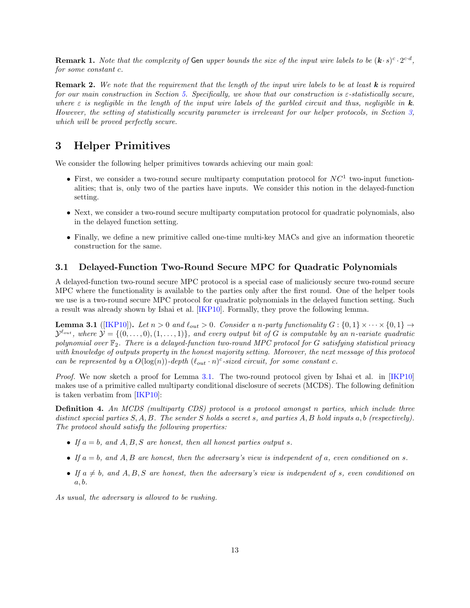**Remark 1.** Note that the complexity of Gen upper bounds the size of the input wire labels to be  $(k \cdot s)^c \cdot 2^{c \cdot d}$ , for some constant c.

**Remark 2.** We note that the requirement that the length of the input wire labels to be at least  $\bf{k}$  is required for our main construction in Section [5.](#page-28-0) Specifically, we show that our construction is  $\varepsilon$ -statistically secure, where  $\varepsilon$  is negligible in the length of the input wire labels of the garbled circuit and thus, negligible in **k**. However, the setting of statistically security parameter is irrelevant for our helper protocols, in Section [3,](#page-12-0) which will be proved perfectly secure.

### <span id="page-12-0"></span>3 Helper Primitives

We consider the following helper primitives towards achieving our main goal:

- First, we consider a two-round secure multiparty computation protocol for  $NC<sup>1</sup>$  two-input functionalities; that is, only two of the parties have inputs. We consider this notion in the delayed-function setting.
- Next, we consider a two-round secure multiparty computation protocol for quadratic polynomials, also in the delayed function setting.
- Finally, we define a new primitive called one-time multi-key MACs and give an information theoretic construction for the same.

#### <span id="page-12-1"></span>3.1 Delayed-Function Two-Round Secure MPC for Quadratic Polynomials

A delayed-function two-round secure MPC protocol is a special case of maliciously secure two-round secure MPC where the functionality is available to the parties only after the first round. One of the helper tools we use is a two-round secure MPC protocol for quadratic polynomials in the delayed function setting. Such a result was already shown by Ishai et al. [\[IKP10\]](#page-57-1). Formally, they prove the following lemma.

<span id="page-12-2"></span>**Lemma 3.1** ([\[IKP10\]](#page-57-1)). Let  $n > 0$  and  $\ell_{out} > 0$ . Consider a n-party functionality  $G : \{0,1\} \times \cdots \times \{0,1\} \to$  $\mathcal{Y}^{\ell_{out}}$ , where  $\mathcal{Y} = \{(0,\ldots,0),(1,\ldots,1)\}\$ , and every output bit of G is computable by an n-variate quadratic polynomial over  $\mathbb{F}_2$ . There is a delayed-function two-round MPC protocol for G satisfying statistical privacy with knowledge of outputs property in the honest majority setting. Moreover, the next message of this protocol can be represented by a  $O(\log(n))$ -depth  $(\ell_{out} \cdot n)^c$ -sized circuit, for some constant c.

Proof. We now sketch a proof for Lemma [3.1.](#page-12-2) The two-round protocol given by Ishai et al. in [\[IKP10\]](#page-57-1) makes use of a primitive called multiparty conditional disclosure of secrets (MCDS). The following definition is taken verbatim from [\[IKP10\]](#page-57-1):

Definition 4. An MCDS (multiparty CDS) protocol is a protocol amongst n parties, which include three distinct special parties  $S, A, B$ . The sender S holds a secret s, and parties  $A, B$  hold inputs  $a, b$  (respectively). The protocol should satisfy the following properties:

- If  $a = b$ , and  $A, B, S$  are honest, then all honest parties output s.
- If  $a = b$ , and A, B are honest, then the adversary's view is independent of a, even conditioned on s.
- If  $a \neq b$ , and  $A, B, S$  are honest, then the adversary's view is independent of s, even conditioned on a, b.

As usual, the adversary is allowed to be rushing.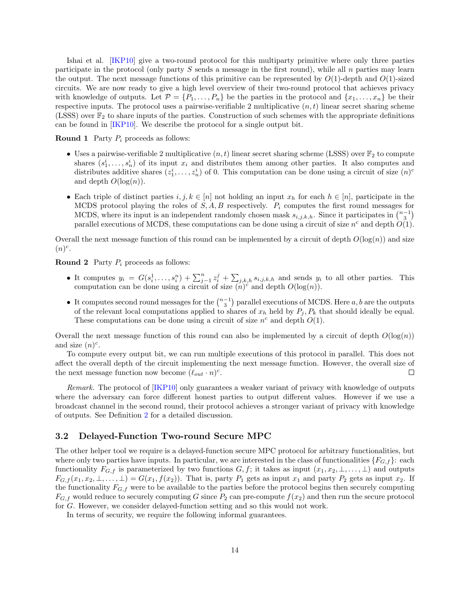Ishai et al. [\[IKP10\]](#page-57-1) give a two-round protocol for this multiparty primitive where only three parties participate in the protocol (only party  $S$  sends a message in the first round), while all  $n$  parties may learn the output. The next message functions of this primitive can be represented by  $O(1)$ -depth and  $O(1)$ -sized circuits. We are now ready to give a high level overview of their two-round protocol that achieves privacy with knowledge of outputs. Let  $\mathcal{P} = \{P_1, \ldots, P_n\}$  be the parties in the protocol and  $\{x_1, \ldots, x_n\}$  be their respective inputs. The protocol uses a pairwise-verifiable 2 multiplicative  $(n, t)$  linear secret sharing scheme (LSSS) over  $\mathbb{F}_2$  to share inputs of the parties. Construction of such schemes with the appropriate definitions can be found in [\[IKP10\]](#page-57-1). We describe the protocol for a single output bit.

**Round 1** Party  $P_i$  proceeds as follows:

- Uses a pairwise-verifiable 2 multiplicative  $(n, t)$  linear secret sharing scheme (LSSS) over  $\mathbb{F}_2$  to compute shares  $(s_1^i, \ldots, s_n^i)$  of its input  $x_i$  and distributes them among other parties. It also computes and distributes additive shares  $(z_1^i, \ldots, z_n^i)$  of 0. This computation can be done using a circuit of size  $(n)^c$ and depth  $O(\log(n))$ .
- Each triple of distinct parties  $i, j, k \in [n]$  not holding an input  $x_h$  for each  $h \in [n]$ , participate in the MCDS protocol playing the roles of  $S, A, B$  respectively.  $P_i$  computes the first round messages for MCDS, where its input is an independent randomly chosen mask  $s_{i,j,k,h}$ . Since it participates in  $\binom{n-1}{3}$ parallel executions of MCDS, these computations can be done using a circuit of size  $n^c$  and depth  $O(1)$ .

Overall the next message function of this round can be implemented by a circuit of depth  $O(\log(n))$  and size  $(n)^c$ .

**Round 2** Party  $P_i$  proceeds as follows:

- It computes  $y_i = G(s_i^1, \ldots, s_i^n) + \sum_{j=1}^n z_i^j + \sum_{j,k,h} s_{i,j,k,h}$  and sends  $y_i$  to all other parties. This computation can be done using a circuit of size  $(n)^c$  and depth  $O(\log(n))$ .
- It computes second round messages for the  $\binom{n-1}{3}$  parallel executions of MCDS. Here a, b are the outputs of the relevant local computations applied to shares of  $x_h$  held by  $P_j, P_k$  that should ideally be equal. These computations can be done using a circuit of size  $n^c$  and depth  $O(1)$ .

Overall the next message function of this round can also be implemented by a circuit of depth  $O(\log(n))$ and size  $(n)^c$ .

To compute every output bit, we can run multiple executions of this protocol in parallel. This does not affect the overall depth of the circuit implementing the next message function. However, the overall size of the next message function now become  $(\ell_{out} \cdot n)^c$ .  $\Box$ 

Remark. The protocol of [\[IKP10\]](#page-57-1) only guarantees a weaker variant of privacy with knowledge of outputs where the adversary can force different honest parties to output different values. However if we use a broadcast channel in the second round, their protocol achieves a stronger variant of privacy with knowledge of outputs. See Definition [2](#page-10-0) for a detailed discussion.

#### <span id="page-13-0"></span>3.2 Delayed-Function Two-round Secure MPC

The other helper tool we require is a delayed-function secure MPC protocol for arbitrary functionalities, but where only two parties have inputs. In particular, we are interested in the class of functionalities  $\{F_{G,f}\}$ : each functionality  $F_{G,f}$  is parameterized by two functions  $G, f$ ; it takes as input  $(x_1, x_2, \perp, \ldots, \perp)$  and outputs  $F_{G,f}(x_1, x_2, \perp, \ldots, \perp) = G(x_1, f(x_2))$ . That is, party  $P_1$  gets as input  $x_1$  and party  $P_2$  gets as input  $x_2$ . If the functionality  $F_{G,f}$  were to be available to the parties before the protocol begins then securely computing  $F_{G,f}$  would reduce to securely computing G since  $P_2$  can pre-compute  $f(x_2)$  and then run the secure protocol for G. However, we consider delayed-function setting and so this would not work.

In terms of security, we require the following informal guarantees.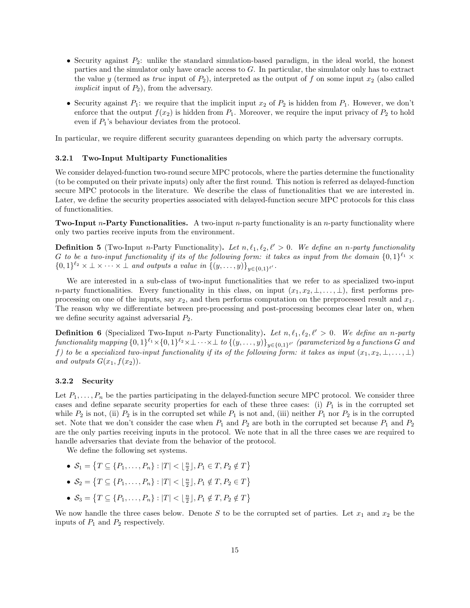- Security against  $P_2$ : unlike the standard simulation-based paradigm, in the ideal world, the honest parties and the simulator only have oracle access to G. In particular, the simulator only has to extract the value y (termed as true input of  $P_2$ ), interpreted as the output of f on some input  $x_2$  (also called *implicit* input of  $P_2$ ), from the adversary.
- Security against  $P_1$ : we require that the implicit input  $x_2$  of  $P_2$  is hidden from  $P_1$ . However, we don't enforce that the output  $f(x_2)$  is hidden from  $P_1$ . Moreover, we require the input privacy of  $P_2$  to hold even if  $P_1$ 's behaviour deviates from the protocol.

In particular, we require different security guarantees depending on which party the adversary corrupts.

#### <span id="page-14-0"></span>3.2.1 Two-Input Multiparty Functionalities

We consider delayed-function two-round secure MPC protocols, where the parties determine the functionality (to be computed on their private inputs) only after the first round. This notion is referred as delayed-function secure MPC protocols in the literature. We describe the class of functionalities that we are interested in. Later, we define the security properties associated with delayed-function secure MPC protocols for this class of functionalities.

**Two-Input n-Party Functionalities.** A two-input n-party functionality is an n-party functionality where only two parties receive inputs from the environment.

**Definition 5** (Two-Input *n*-Party Functionality). Let  $n, \ell_1, \ell_2, \ell' > 0$ . We define an *n*-party functionality G to be a two-input functionality if its of the following form: it takes as input from the domain  $\{0,1\}^{\ell_1}\times$  ${0,1}^{\ell_2} \times \bot \times \cdots \times \bot$  and outputs a value in  ${(y,\ldots,y)}_{y \in \{0,1\}^{\ell'}}$ .

We are interested in a sub-class of two-input functionalities that we refer to as specialized two-input n-party functionalities. Every functionality in this class, on input  $(x_1, x_2, \perp, \ldots, \perp)$ , first performs preprocessing on one of the inputs, say  $x_2$ , and then performs computation on the preprocessed result and  $x_1$ . The reason why we differentiate between pre-processing and post-processing becomes clear later on, when we define security against adversarial  $P_2$ .

<span id="page-14-2"></span>**Definition 6** (Specialized Two-Input *n*-Party Functionality). Let  $n, \ell_1, \ell_2, \ell' > 0$ . We define an *n*-party  $\textit{functionality mapping}~\{0,1\}^{\ell_1}\times\{0,1\}^{\ell_2}\times\!\bot\cdots\times\!\bot \textit{ to } \{(y,\ldots,y)\}_{y\in\{0,1\}^{\ell'}}\textit{ (parameterized by a functions $G$ and }$ f) to be a specialized two-input functionality if its of the following form: it takes as input  $(x_1, x_2, \perp, \ldots, \perp)$ and outputs  $G(x_1, f(x_2))$ .

#### <span id="page-14-1"></span>3.2.2 Security

Let  $P_1, \ldots, P_n$  be the parties participating in the delayed-function secure MPC protocol. We consider three cases and define separate security properties for each of these three cases: (i)  $P_1$  is in the corrupted set while  $P_2$  is not, (ii)  $P_2$  is in the corrupted set while  $P_1$  is not and, (iii) neither  $P_1$  nor  $P_2$  is in the corrupted set. Note that we don't consider the case when  $P_1$  and  $P_2$  are both in the corrupted set because  $P_1$  and  $P_2$ are the only parties receiving inputs in the protocol. We note that in all the three cases we are required to handle adversaries that deviate from the behavior of the protocol.

We define the following set systems.

- $S_1 = \{T \subseteq \{P_1, \ldots, P_n\} : |T| < \lfloor \frac{n}{2} \rfloor, P_1 \in T, P_2 \notin T\}$
- $S_2 = \{T \subseteq \{P_1, \ldots, P_n\} : |T| < \lfloor \frac{n}{2} \rfloor, P_1 \notin T, P_2 \in T\}$
- $S_3 = \{T \subseteq \{P_1, \ldots, P_n\} : |T| < \lfloor \frac{n}{2} \rfloor, P_1 \notin T, P_2 \notin T\}$

We now handle the three cases below. Denote S to be the corrupted set of parties. Let  $x_1$  and  $x_2$  be the inputs of  $P_1$  and  $P_2$  respectively.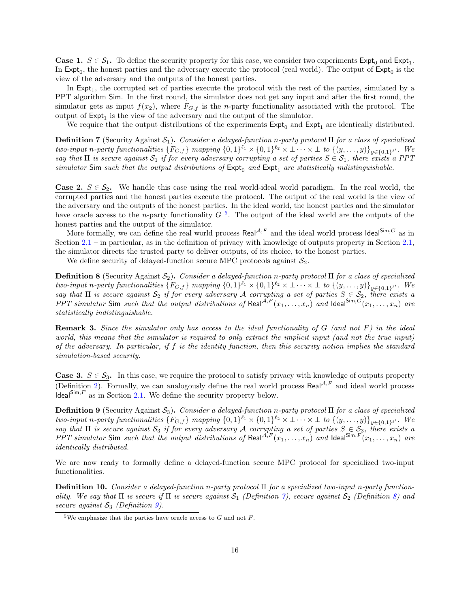Case 1.  $S \in S_1$ . To define the security property for this case, we consider two experiments  $\textsf{Expt}_0$  and  $\textsf{Expt}_1$ . In  $Expt_0$ , the honest parties and the adversary execute the protocol (real world). The output of  $Expt_0$  is the view of the adversary and the outputs of the honest parties.

In  $Expt_1$ , the corrupted set of parties execute the protocol with the rest of the parties, simulated by a PPT algorithm Sim. In the first round, the simulator does not get any input and after the first round, the simulator gets as input  $f(x_2)$ , where  $F_{G,f}$  is the *n*-party functionality associated with the protocol. The output of  $\textsf{Expt}_1$  is the view of the adversary and the output of the simulator.

We require that the output distributions of the experiments  $Expt_0$  and  $Expt_1$  are identically distributed.

<span id="page-15-1"></span>**Definition 7** (Security Against  $\mathcal{S}_1$ ). Consider a delayed-function n-party protocol Π for a class of specialized two-input n-party functionalities  ${F_{G,f}}$  mapping  ${0,1}^{\ell_1} \times {0,1}^{\ell_2} \times \bot \cdots \times \bot$  to  ${(y,\ldots,y)}_{y \in \{0,1\}^{\ell'}}$ . We say that  $\Pi$  is secure against  $S_1$  if for every adversary corrupting a set of parties  $S \in S_1$ , there exists a PPT simulator Sim such that the output distributions of  $Expt<sub>0</sub>$  and  $Expt<sub>1</sub>$  are statistically indistinguishable.

**Case 2.**  $S \in \mathcal{S}_2$ . We handle this case using the real world-ideal world paradigm. In the real world, the corrupted parties and the honest parties execute the protocol. The output of the real world is the view of the adversary and the outputs of the honest parties. In the ideal world, the honest parties and the simulator have oracle access to the *n*-party functionality  $G<sup>5</sup>$  $G<sup>5</sup>$  $G<sup>5</sup>$ . The output of the ideal world are the outputs of the honest parties and the output of the simulator.

More formally, we can define the real world process Real<sup> $A,F$ </sup> and the ideal world process Ideal<sup>Sim,G</sup> as in Section [2.1](#page-9-1) – in particular, as in the definition of privacy with knowledge of outputs property in Section [2.1,](#page-9-1) the simulator directs the trusted party to deliver outputs, of its choice, to the honest parties.

We define security of delayed-function secure MPC protocols against  $S_2$ .

<span id="page-15-2"></span>**Definition 8** (Security Against  $\mathcal{S}_2$ ). Consider a delayed-function n-party protocol Π for a class of specialized two-input n-party functionalities  ${F_{G,f}}$  mapping  ${0,1}^{\ell_1} \times {0,1}^{\ell_2} \times \bot \cdots \times \bot$  to  ${(y,\ldots,y)}_{y \in \{0,1\}^{\ell'}}$ . We say that  $\Pi$  is secure against  $\mathcal{S}_2$  if for every adversary A corrupting a set of parties  $S \in \mathcal{S}_2$ , there exists a PPT simulator Sim such that the output distributions of Real  $\sqrt{F(x_1,\ldots,x_n)}$  and Ideal  $\sin G(x_1,\ldots,x_n)$  are statistically indistinguishable.

**Remark 3.** Since the simulator only has access to the ideal functionality of G (and not  $F$ ) in the ideal world, this means that the simulator is required to only extract the implicit input (and not the true input) of the adversary. In particular, if f is the identity function, then this security notion implies the standard simulation-based security.

**Case 3.**  $S \in \mathcal{S}_3$ . In this case, we require the protocol to satisfy privacy with knowledge of outputs property (Definition [2\)](#page-10-0). Formally, we can analogously define the real world process Real<sup> $A,F$ </sup> and ideal world process  $\mathsf{Ideal}^{\mathsf{Sim}, F}$  as in Section [2.1.](#page-9-1) We define the security property below.

<span id="page-15-3"></span>**Definition 9** (Security Against  $\mathcal{S}_3$ ). Consider a delayed-function n-party protocol Π for a class of specialized two-input n-party functionalities  ${F_{G,f}}$  mapping  ${0,1}^{\ell_1} \times {0,1}^{\ell_2} \times \bot \cdots \times \bot$  to  ${(y,\ldots,y)}_{y \in \{0,1\}^{\ell'}}$ . We say that  $\Pi$  is secure against  $\mathcal{S}_3$  if for every adversary A corrupting a set of parties  $S \in \mathcal{S}_3$ , there exists a PPT simulator Sim such that the output distributions of Real ${}^{A,F}(x_1,\ldots,x_n)$  and Ideal ${}^{\text{Sim},F}(x_1,\ldots,x_n)$  are identically distributed.

We are now ready to formally define a delayed-function secure MPC protocol for specialized two-input functionalities.

Definition 10. Consider a delayed-function n-party protocol Π for a specialized two-input n-party functionality. We say that  $\Pi$  is secure if  $\Pi$  is secure against  $S_1$  (Definition [7\)](#page-15-1), secure against  $S_2$  (Definition [8\)](#page-15-2) and secure against  $S_3$  (Definition [9\)](#page-15-3).

<span id="page-15-0"></span><sup>&</sup>lt;sup>5</sup>We emphasize that the parties have oracle access to  $G$  and not  $F$ .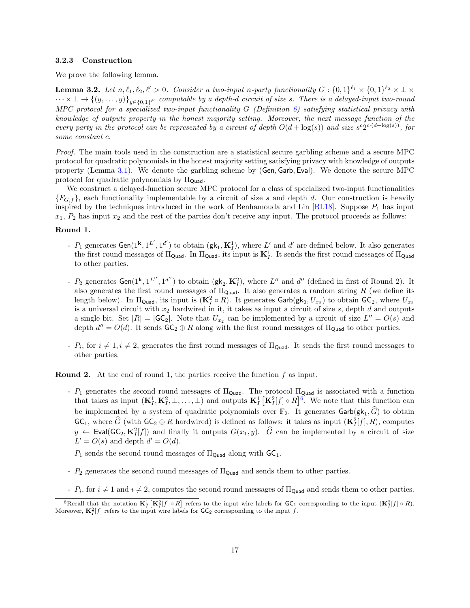#### <span id="page-16-0"></span>3.2.3 Construction

<span id="page-16-2"></span>We prove the following lemma.

**Lemma 3.2.** Let  $n, \ell_1, \ell_2, \ell' > 0$ . Consider a two-input n-party functionality  $G: \{0,1\}^{\ell_1} \times \{0,1\}^{\ell_2} \times \bot \times$  $\cdots \times \bot \to \{(y,\ldots,y)\}_{y\in\{0,1\}^{\ell'}}$  computable by a depth-d circuit of size s. There is a delayed-input two-round MPC protocol for a specialized two-input functionality  $G$  (Definition [6\)](#page-14-2) satisfying statistical privacy with knowledge of outputs property in the honest majority setting. Moreover, the next message function of the every party in the protocol can be represented by a circuit of depth  $O(d + \log(s))$  and size  $s^c 2^{c \cdot (d + \log(s))}$ , for some constant c.

Proof. The main tools used in the construction are a statistical secure garbling scheme and a secure MPC protocol for quadratic polynomials in the honest majority setting satisfying privacy with knowledge of outputs property (Lemma [3.1\)](#page-12-2). We denote the garbling scheme by (Gen, Garb, Eval). We denote the secure MPC protocol for quadratic polynomials by  $\Pi_{\text{Quad}}$ .

We construct a delayed-function secure MPC protocol for a class of specialized two-input functionalities  ${F_{G,f}}$ , each functionality implementable by a circuit of size s and depth d. Our construction is heavily inspired by the techniques introduced in the work of Benhamouda and Lin  $[BL18]$ . Suppose  $P_1$  has input  $x_1, P_2$  has input  $x_2$  and the rest of the parties don't receive any input. The protocol proceeds as follows:

#### Round 1.

- $P_1$  generates  $Gen(1^k, 1^{L'}, 1^{d'})$  to obtain  $(gk_1, K_I^1)$ , where  $L'$  and  $d'$  are defined below. It also generates the first round messages of  $\Pi_{\text{Quad}}$ . In  $\Pi_{\text{Quad}}$ , its input is  $\mathbf{K}_I^1$ . It sends the first round messages of  $\Pi_{\text{Quad}}$ to other parties.
- $P_2$  generates Gen(1<sup>k</sup>, 1<sup>L''</sup>, 1<sup>d''</sup>) to obtain (gk<sub>2</sub>, K<sub>1</sub><sup>2</sup>), where L'' and d'' (defined in first of Round 2). It also generates the first round messages of  $\Pi_{\text{Quad}}$ . It also generates a random string R (we define its length below). In  $\Pi_{\text{Quad}}$ , its input is  $(\mathbf{K}_{I}^{2} \circ R)$ . It generates  $\text{Garb}(\text{gk}_{2}, U_{x_{2}})$  to obtain  $\text{GC}_{2}$ , where  $U_{x_{2}}$ is a universal circuit with  $x_2$  hardwired in it, it takes as input a circuit of size s, depth  $d$  and outputs a single bit. Set  $|R| = |GC_2|$ . Note that  $U_{x_2}$  can be implemented by a circuit of size  $L'' = O(s)$  and depth  $d'' = O(d)$ . It sends  $GC_2 \oplus R$  along with the first round messages of  $\Pi_{Quad}$  to other parties.
- $P_i$ , for  $i \neq 1, i \neq 2$ , generates the first round messages of  $\Pi_{\text{Quad}}$ . It sends the first round messages to other parties.

**Round 2.** At the end of round 1, the parties receive the function  $f$  as input.

-  $P_1$  generates the second round messages of  $\Pi_{\text{Quad}}$ . The protocol  $\Pi_{\text{Quad}}$  is associated with a function that takes as input  $(\mathbf{K}_I^1, \mathbf{K}_I^2, \perp, \ldots, \perp)$  and outputs  $\mathbf{K}_I^1 [\mathbf{K}_I^2[f] \circ R]^6$  $\mathbf{K}_I^1 [\mathbf{K}_I^2[f] \circ R]^6$ . We note that this function can be implemented by a system of quadratic polynomials over  $\mathbb{F}_2$ . It generates  $\text{Garb}(gk_1, \hat{G})$  to obtain  $GC_1$ , where  $\widehat{G}$  (with  $GC_2 \oplus R$  hardwired) is defined as follows: it takes as input  $(\mathbf{K}_I^2[f], R)$ , computes  $y \leftarrow \text{Eval}(GC_2, \mathbf{K}_I^2[f])$  and finally it outputs  $G(x_1, y)$ .  $\hat{G}$  can be implemented by a circuit of size  $L' = O(s)$  and depth  $d' = O(d)$ .

 $P_1$  sends the second round messages of  $\Pi_{\text{Quad}}$  along with  $\mathsf{GC}_1$ .

- $P_2$  generates the second round messages of  $\Pi_{\text{Quad}}$  and sends them to other parties.
- $-P_i$ , for  $i \neq 1$  and  $i \neq 2$ , computes the second round messages of  $\Pi_{\text{Quad}}$  and sends them to other parties.

<span id="page-16-1"></span><sup>&</sup>lt;sup>6</sup>Recall that the notation  $\mathbf{K}_I^1[\mathbf{K}_I^2[f] \circ R]$  refers to the input wire labels for  $\mathsf{GC}_1$  corresponding to the input  $(\mathbf{K}_I^2[f] \circ R)$ . Moreover,  $\mathbf{K}_{I}^{2}[f]$  refers to the input wire labels for  $\mathsf{GC}_{2}$  corresponding to the input f.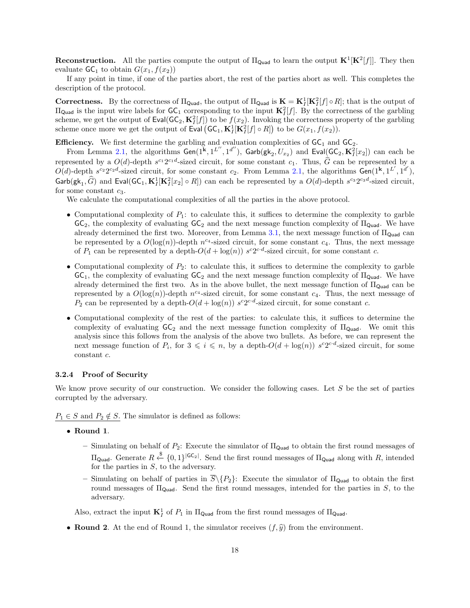**Reconstruction.** All the parties compute the output of  $\Pi_{\text{Quad}}$  to learn the output  $\mathbf{K}^1[\mathbf{K}^2[f]]$ . They then evaluate  $\mathsf{GC}_1$  to obtain  $G(x_1, f(x_2))$ 

If any point in time, if one of the parties abort, the rest of the parties abort as well. This completes the description of the protocol.

**Correctness.** By the correctness of  $\Pi_{\text{Quad}}$ , the output of  $\Pi_{\text{Quad}}$  is  $\mathbf{K} = \mathbf{K}_I^1[\mathbf{K}_I^2[f] \circ R]$ ; that is the output of  $\Pi_{\text{Quad}}$  is the input wire labels for  $\mathsf{GC}_1$  corresponding to the input  $\mathbf{K}_I^2[f]$ . By the correctness of the garbling scheme, we get the output of  $\textsf{Eval}(\textsf{GC}_2,\textbf{K}_I^2[f])$  to be  $f(x_2)$ . Invoking the correctness property of the garbling scheme once more we get the output of  $\textsf{Eval}\left(\textsf{GC}_1,\textbf{K}_I^1[\textbf{K}_I^2[f]\circ R]\right)$  to be  $G(x_1,f(x_2)).$ 

**Efficiency.** We first determine the garbling and evaluation complexities of  $GC_1$  and  $GC_2$ .

From Lemma [2.1,](#page-11-1) the algorithms  $Gen(I^{\mathbf{k}}, I^{L''}, I^{d''})$ ,  $Garb(gk_2, U_{x_2})$  and  $Eval(GC_2, K_I^2[x_2])$  can each be represented by a  $O(d)$ -depth  $s^{c_1}2^{c_1d}$ -sized circuit, for some constant  $c_1$ . Thus,  $\hat{G}$  can be represented by a  $O(d)$ -depth  $s^{c_1}2^{c_1d}$ -sized circuit, for some constant  $c_1$ . Thus,  $\hat{G}$  can be represent  $O(d)$ -depth  $s^{c_2}2^{c_2d}$ -sized circuit, for some constant  $c_2$ . From Lemma [2.1,](#page-11-1) the algorithms  $Gen(1^k, 1^{L'}, 1^{d'})$ ,  $\textsf{Garb}(gk_1, \hat{G})$  and  $\textsf{Eval}(GC_1, \mathbf{K}_I^1[\mathbf{K}_I^2[x_2] \circ R])$  can each be represented by a  $O(d)$ -depth  $s^{c_3}2^{c_3d}$ -sized circuit, for some constant  $c_3$ .

We calculate the computational complexities of all the parties in the above protocol.

- Computational complexity of  $P_1$ : to calculate this, it suffices to determine the complexity to garble  $GC_2$ , the complexity of evaluating  $GC_2$  and the next message function complexity of  $\Pi_{\text{Quad}}$ . We have already determined the first two. Moreover, from Lemma [3.1,](#page-12-2) the next message function of  $\Pi_{\mathsf{Quad}}$  can be represented by a  $O(\log(n))$ -depth  $n^{c_4}$ -sized circuit, for some constant  $c_4$ . Thus, the next message of  $P_1$  can be represented by a depth- $O(d + \log(n))$  s<sup>c</sup>2<sup>c·d</sup>-sized circuit, for some constant c.
- Computational complexity of  $P_2$ : to calculate this, it suffices to determine the complexity to garble  $GC_1$ , the complexity of evaluating  $GC_2$  and the next message function complexity of  $\Pi_{\text{Quad}}$ . We have already determined the first two. As in the above bullet, the next message function of  $\Pi_{\text{Quad}}$  can be represented by a  $O(\log(n))$ -depth  $n^{c_4}$ -sized circuit, for some constant  $c_4$ . Thus, the next message of  $P_2$  can be represented by a depth- $O(d + \log(n)) s^c 2^{c \cdot d}$ -sized circuit, for some constant c.
- Computational complexity of the rest of the parties: to calculate this, it suffices to determine the complexity of evaluating  $GC_2$  and the next message function complexity of  $\Pi_{\text{Quad}}$ . We omit this analysis since this follows from the analysis of the above two bullets. As before, we can represent the next message function of  $P_i$ , for  $3 \leq i \leq n$ , by a depth- $O(d + \log(n)) s^c 2^{c \cdot d}$ -sized circuit, for some constant c.

#### <span id="page-17-0"></span>3.2.4 Proof of Security

We know prove security of our construction. We consider the following cases. Let  $S$  be the set of parties corrupted by the adversary.

 $P_1 \in S$  and  $P_2 \notin S$ . The simulator is defined as follows:

- Round 1.
	- Simulating on behalf of  $P_2$ : Execute the simulator of  $\Pi_{\text{Quad}}$  to obtain the first round messages of  $\Pi_{\text{Quad}}$ . Generate  $R \stackrel{\$}{\leftarrow} \{0,1\}^{|GC_2|}$ . Send the first round messages of  $\Pi_{\text{Quad}}$  along with R, intended for the parties in  $S$ , to the adversary.
	- Simulating on behalf of parties in  $\overline{S}\setminus\{P_2\}$ : Execute the simulator of  $\Pi_{\text{Quad}}$  to obtain the first round messages of  $\Pi_{\text{Quad}}$ . Send the first round messages, intended for the parties in S, to the adversary.

Also, extract the input  $\mathbf{K}_I^1$  of  $P_1$  in  $\Pi_{\mathsf{Quad}}$  from the first round messages of  $\Pi_{\mathsf{Quad}}$ .

• Round 2. At the end of Round 1, the simulator receives  $(f, \hat{y})$  from the environment.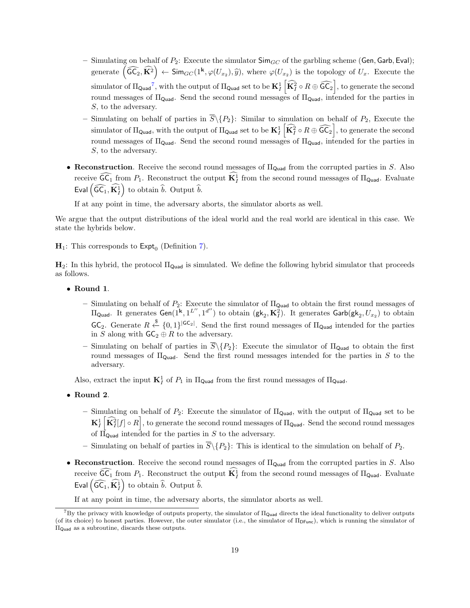- Simulating on behalf of  $P_2$ : Execute the simulator  $\textsf{Sim}_{GC}$  of the garbling scheme (Gen, Garb, Eval); generate  $(\widehat{\mathsf{GC}}_2, \widehat{\mathbf{K}^2}) \leftarrow \mathsf{Sim}_{GC}(1^{\mathbf{k}}, \varphi(U_{x_2}), \widehat{y}),$  where  $\varphi(U_{x_2})$  is the topology of  $U_x$ . Execute the  $\text{simulator of } \Pi_{\mathsf{Quad}}{}^7, \text{ with the output of } \Pi_{\mathsf{Quad}} \text{ set to be } \mathbf{K}_I^1\left[\widehat{\mathbf{K}}_I^2 \circ R \oplus \widehat{\mathsf{GC}}_2\right], \text{ to generate the second}$  $\text{simulator of } \Pi_{\mathsf{Quad}}{}^7, \text{ with the output of } \Pi_{\mathsf{Quad}} \text{ set to be } \mathbf{K}_I^1\left[\widehat{\mathbf{K}}_I^2 \circ R \oplus \widehat{\mathsf{GC}}_2\right], \text{ to generate the second}$  $\text{simulator of } \Pi_{\mathsf{Quad}}{}^7, \text{ with the output of } \Pi_{\mathsf{Quad}} \text{ set to be } \mathbf{K}_I^1\left[\widehat{\mathbf{K}}_I^2 \circ R \oplus \widehat{\mathsf{GC}}_2\right], \text{ to generate the second}$ round messages of  $\Pi_{\text{Quad}}$ . Send the second round messages of  $\Pi_{\text{Quad}}$ , intended for the parties in S, to the adversary.
- Simulating on behalf of parties in  $\overline{S}\setminus\{P_2\}$ : Similar to simulation on behalf of  $P_2$ , Execute the simulator of  $\Pi_{\mathsf{Quad}}$ , with the output of  $\Pi_{\mathsf{Quad}}$  set to be  $\mathbf{K}_I^1$   $\left[\widehat{\mathbf{K}}_I^2 \circ R \oplus \widehat{\mathsf{GC}}_2\right]$ , to generate the second round messages of  $\Pi_{\text{Quad}}$ . Send the second round messages of  $\Pi_{\text{Quad}}$ , intended for the parties in S, to the adversary.
- Reconstruction. Receive the second round messages of  $\Pi_{\text{Quad}}$  from the corrupted parties in S. Also receive  $\widehat{\mathsf{GC}_1}$  from  $P_1$ . Reconstruct the output  $\mathbf{K}_I^1$  from the second round messages of  $\Pi_{\mathsf{Quad}}$ . Evaluate Eval  $\left(\widehat{\mathsf{GC}}_1,\widehat{\mathbf{K}}_I^{\widehat{1}}\right)$  to obtain  $\widehat{b}$ . Output  $\widehat{b}$ .

If at any point in time, the adversary aborts, the simulator aborts as well.

We argue that the output distributions of the ideal world and the real world are identical in this case. We state the hybrids below.

 $H_1$ : This corresponds to  $\mathsf{Expt}_0$  (Definition [7\)](#page-15-1).

 $\mathbf{H}_2$ : In this hybrid, the protocol  $\Pi_{\text{Quad}}$  is simulated. We define the following hybrid simulator that proceeds as follows.

- Round 1.
	- Simulating on behalf of  $P_2$ : Execute the simulator of  $\Pi_{\text{Quad}}$  to obtain the first round messages of  $\Pi_{\mathsf{Quad}}$ . It generates  $\mathsf{Gen}(1^{\mathbf{k}},1^{L''},1^{d''})$  to obtain  $(\mathsf{g}\mathsf{k}_2,\mathbf{K}_I^2)$ . It generates  $\mathsf{Garb}(\mathsf{g}\mathsf{k}_2,U_{x_2})$  to obtain  $\mathsf{GC}_2$ . Generate  $R \stackrel{\$}{\leftarrow} \{0,1\}^{|\mathsf{GC}_2|}$ . Send the first round messages of  $\Pi_{\mathsf{Quad}}$  intended for the parties in S along with  $\mathsf{GC}_2 \oplus R$  to the adversary.
	- Simulating on behalf of parties in  $\overline{S}\setminus\{P_2\}$ : Execute the simulator of  $\Pi_{\text{Quad}}$  to obtain the first round messages of  $\Pi_{\text{Quad}}$ . Send the first round messages intended for the parties in S to the adversary.

Also, extract the input  $\mathbf{K}_I^1$  of  $P_1$  in  $\Pi_{\mathsf{Quad}}$  from the first round messages of  $\Pi_{\mathsf{Quad}}$ .

- Round 2.
	- Simulating on behalf of  $P_2$ : Execute the simulator of  $\Pi_{\text{Quad}}$ , with the output of  $\Pi_{\text{Quad}}$  set to be  $\mathbf{K}_I^1\left[\widehat{\mathbf{K}}_I^2[f]\circ R\right]$ , to generate the second round messages of  $\Pi_{\mathsf{Quad}}$ . Send the second round messages of  $\Pi$ <sub>Quad</sub> intended for the parties in S to the adversary.
	- Simulating on behalf of parties in  $\overline{S}\backslash \{P_2\}$ : This is identical to the simulation on behalf of  $P_2$ .
- Reconstruction. Receive the second round messages of  $\Pi_{\text{Quad}}$  from the corrupted parties in S. Also receive  $\widehat{\mathsf{GC}_1}$  from  $P_1$ . Reconstruct the output  $\mathbf{K}_I^1$  from the second round messages of  $\Pi_{\mathsf{Quad}}$ . Evaluate Eval  $\left(\widehat{\mathsf{GC}}_1,\widehat{\mathbf{K}}_I^1\right)$  to obtain  $\widehat{b}.$  Output  $\widehat{b}.$

If at any point in time, the adversary aborts, the simulator aborts as well.

<span id="page-18-0"></span><sup>&</sup>lt;sup>7</sup>By the privacy with knowledge of outputs property, the simulator of  $\Pi_{\text{Quad}}$  directs the ideal functionality to deliver outputs (of its choice) to honest parties. However, the outer simulator (i.e., the simulator of  $\Pi_{DFunc}$ ), which is running the simulator of  $\Pi_{\text{Quad}}$  as a subroutine, discards these outputs.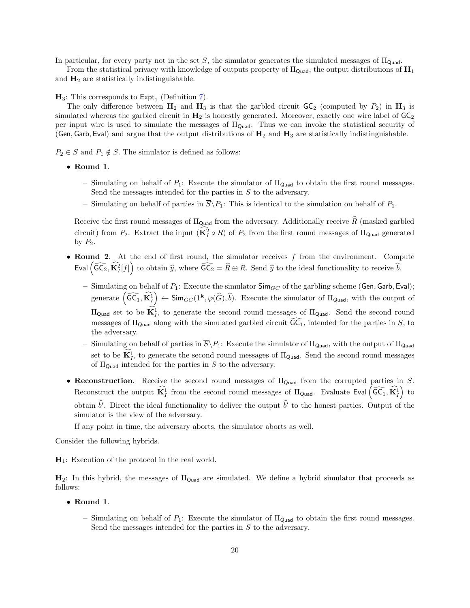In particular, for every party not in the set S, the simulator generates the simulated messages of  $\Pi_{\text{Quad}}$ .

From the statistical privacy with knowledge of outputs property of  $\Pi_{\text{Quad}}$ , the output distributions of  $H_1$ and  $H_2$  are statistically indistinguishable.

 $H_3$ : This corresponds to  $\text{Expt}_1$  (Definition [7\)](#page-15-1).

The only difference between  $H_2$  and  $H_3$  is that the garbled circuit  $GC_2$  (computed by  $P_2$ ) in  $H_3$  is simulated whereas the garbled circuit in  $H_2$  is honestly generated. Moreover, exactly one wire label of  $GC_2$ per input wire is used to simulate the messages of  $\Pi_{\text{Quad}}$ . Thus we can invoke the statistical security of (Gen, Garb, Eval) and argue that the output distributions of  $H_2$  and  $H_3$  are statistically indistinguishable.

 $P_2 \in S$  and  $P_1 \notin S$ . The simulator is defined as follows:

- Round 1.
	- Simulating on behalf of  $P_1$ : Execute the simulator of  $\Pi_{quad}$  to obtain the first round messages. Send the messages intended for the parties in S to the adversary.
	- Simulating on behalf of parties in  $\overline{S}\backslash P_1$ : This is identical to the simulation on behalf of  $P_1$ .

Receive the first round messages of  $\Pi_{\text{Quad}}$  from the adversary. Additionally receive  $\hat{R}$  (masked garbled circuit) from  $P_2$ . Extract the input  $(\mathbf{K}_I^2 \circ R)$  of  $P_2$  from the first round messages of  $\Pi_{\text{Quad}}$  generated by  $P_2$ .

- Round 2. At the end of first round, the simulator receives  $f$  from the environment. Compute Eval  $\left(\widehat{\mathsf{GC}}_2, \widehat{\mathbf{K}}_I^2[f]\right)$  to obtain  $\widehat{y}$ , where  $\widehat{\mathsf{GC}}_2 = \widehat{R} \oplus R$ . Send  $\widehat{y}$  to the ideal functionality to receive  $\widehat{b}$ .
	- Simulating on behalf of  $P_1$ : Execute the simulator  $\mathsf{Sim}_{GC}$  of the garbling scheme (Gen, Garb, Eval); generate  $\left(\widehat{\mathsf{GC}}_1,\widehat{\mathbf{K}}_I^1\right) \leftarrow \mathsf{Sim}_{GC}(1^{\mathbf{k}},\varphi(\widehat{G}),\widehat{b}).$  Execute the simulator of  $\Pi_{\mathsf{Quad}}$ , with the output of  $\Pi_{\text{Quad}}$  set to be  $\mathbf{K}_I^1$ , to generate the second round messages of  $\Pi_{\text{Quad}}$ . Send the second round messages of  $\Pi_{\text{Quad}}$  along with the simulated garbled circuit  $\widehat{\mathsf{GC}}_1$ , intended for the parties in S, to the adversary.
	- Simulating on behalf of parties in  $\overline{S}\backslash P_1$ : Execute the simulator of  $\Pi_{\text{Quad}}$ , with the output of  $\Pi_{\text{Quad}}$ set to be  $\mathbf{K}_I^1$ , to generate the second round messages of  $\Pi_{\text{Quad}}$ . Send the second round messages of  $\Pi_{\text{Quad}}$  intended for the parties in S to the adversary.
- Reconstruction. Receive the second round messages of  $\Pi_{\text{Quad}}$  from the corrupted parties in S. Reconstruct the output  $\widehat{\mathbf{K}}_I^1$  from the second round messages of  $\Pi_{\text{Quad}}$ . Evaluate Eval  $\left(\widehat{\mathsf{GC}}_1, \widehat{\mathbf{K}}_I^1\right)$  to obtain  $b'$ . Direct the ideal functionality to deliver the output  $b'$  to the honest parties. Output of the simulator is the view of the adversary.

If any point in time, the adversary aborts, the simulator aborts as well.

Consider the following hybrids.

 $H_1$ : Execution of the protocol in the real world.

 $H_2$ : In this hybrid, the messages of  $\Pi_{\text{Quad}}$  are simulated. We define a hybrid simulator that proceeds as follows:

- Round 1.
	- Simulating on behalf of  $P_1$ : Execute the simulator of  $\Pi_{\text{Quad}}$  to obtain the first round messages. Send the messages intended for the parties in  $S$  to the adversary.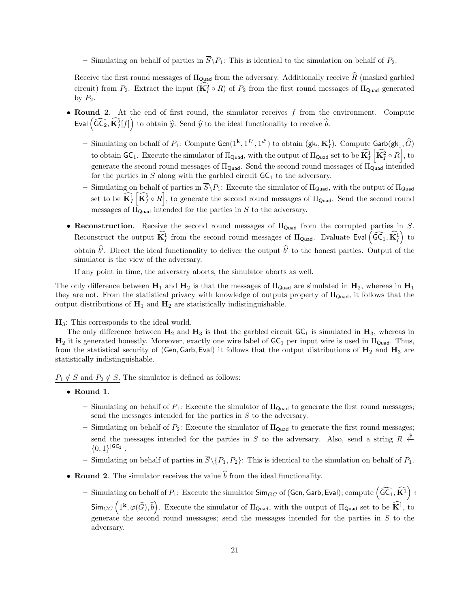– Simulating on behalf of parties in  $\overline{S}\backslash P_1$ : This is identical to the simulation on behalf of  $P_2$ .

Receive the first round messages of  $\Pi_{\text{Quad}}$  from the adversary. Additionally receive  $\widehat{R}$  (masked garbled circuit) from  $P_2$ . Extract the input  $(\mathbf{K}_I^2 \circ R)$  of  $P_2$  from the first round messages of  $\Pi_{\text{Quad}}$  generated by  $P_2$ .

- Round 2. At the end of first round, the simulator receives  $f$  from the environment. Compute Eval  $\left(\widehat{\mathsf{GC}}_2, \widehat{\mathbf{K}}_I^2[f]\right)$  to obtain  $\widehat{y}$ . Send  $\widehat{y}$  to the ideal functionality to receive  $\widehat{b}$ .
	- Simulating on behalf of  $P_1$ : Compute  $Gen(1^{\bf k}, 1^{L'}, 1^{d'})$  to obtain  $({\bf g}{\bf k}_i, {\bf K}_I^1)$ . Compute  $Gen({\bf g}{\bf k}_1, \widehat{G})$ to obtain  $\mathsf{GC}_1$ . Execute the simulator of  $\Pi_{\mathsf{Quad}}$ , with the output of  $\Pi_{\mathsf{Quad}}$  set to be  $\widehat{\mathbf{K}}_I^1\left[\widehat{\mathbf{K}}_I^2 \circ R\right]$ , to generate the second round messages of  $\Pi_{\text{Quad}}$ . Send the second round messages of  $\Pi_{\text{Quad}}$  intended for the parties in  $S$  along with the garbled circuit  $GC<sub>1</sub>$  to the adversary.
	- Simulating on behalf of parties in  $\overline{S}\backslash P_1$ : Execute the simulator of  $\Pi_{\text{Quad}}$ , with the output of  $\Pi_{\text{Quad}}$ set to be  $\widehat{\mathbf{K}}_I^1\left[\widehat{\mathbf{K}}_I^2 \circ R\right]$ , to generate the second round messages of  $\Pi_{\text{Quad}}$ . Send the second round messages of  $\Pi_{\text{Quad}}$  intended for the parties in S to the adversary.
- Reconstruction. Receive the second round messages of  $\Pi_{\text{Quad}}$  from the corrupted parties in S. Reconstruct the output  $\widehat{\mathbf{K}}_I^1$  from the second round messages of  $\Pi_{\text{Quad}}$ . Evaluate Eval  $\left(\widehat{\mathsf{GC}}_1, \widehat{\mathbf{K}}_I^1\right)$  to obtain  $b'$ . Direct the ideal functionality to deliver the output  $b'$  to the honest parties. Output of the simulator is the view of the adversary.

If any point in time, the adversary aborts, the simulator aborts as well.

The only difference between  $H_1$  and  $H_2$  is that the messages of  $\Pi_{\text{Quad}}$  are simulated in  $H_2$ , whereas in  $H_1$ they are not. From the statistical privacy with knowledge of outputs property of  $\Pi_{\text{Quad}}$ , it follows that the output distributions of  $H_1$  and  $H_2$  are statistically indistinguishable.

H3: This corresponds to the ideal world.

The only difference between  $H_2$  and  $H_3$  is that the garbled circuit  $GC_1$  is simulated in  $H_3$ , whereas in  $H_2$  it is generated honestly. Moreover, exactly one wire label of  $GC_1$  per input wire is used in  $\Pi_{\text{Quad}}$ . Thus, from the statistical security of (Gen, Garb, Eval) it follows that the output distributions of  $H_2$  and  $H_3$  are statistically indistinguishable.

 $P_1 \notin S$  and  $P_2 \notin S$ . The simulator is defined as follows:

- Round 1.
	- Simulating on behalf of  $P_1$ : Execute the simulator of  $\Pi_{\text{Quad}}$  to generate the first round messages; send the messages intended for the parties in S to the adversary.
	- Simulating on behalf of  $P_2$ : Execute the simulator of  $\Pi_{\text{Quad}}$  to generate the first round messages; send the messages intended for the parties in S to the adversary. Also, send a string  $R \overset{\$}{\leftarrow}$  ${0,1\}^{|GC_2|}.$
	- Simulating on behalf of parties in  $\overline{S}\backslash\{P_1, P_2\}$ : This is identical to the simulation on behalf of  $P_1$ .
- Round 2. The simulator receives the value  $\hat{b}$  from the ideal functionality.
	- $-$  Simulating on behalf of  $P_1$ : Execute the simulator  $\mathsf{Sim}_{GC}$  of (Gen, Garb, Eval); compute  $\left(\widehat{\mathsf{GC}_1},\widehat{\mathbf{K}^1}\right)\leftarrow$  $\textsf{Sim}_{GC}\left(1^{\bf k},\varphi(\widehat{G}),\widehat{b}\right)$ . Execute the simulator of  $\Pi_{\textsf{Quad}}$ , with the output of  $\Pi_{\textsf{Quad}}$  set to be  $\widehat{\mathbf{K}}^1$ , to generate the second round messages; send the messages intended for the parties in  $S$  to the adversary.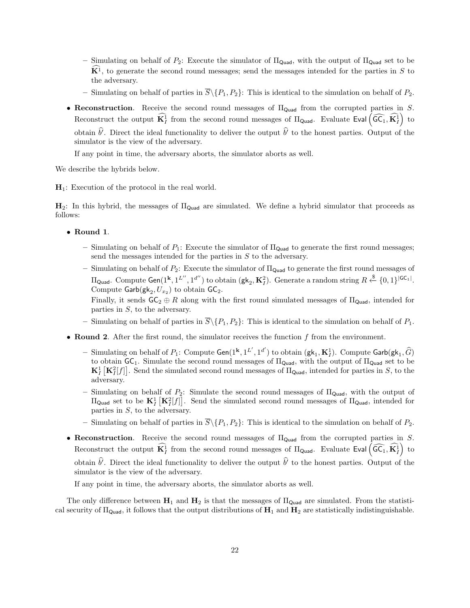- Simulating on behalf of  $P_2$ : Execute the simulator of  $\Pi_{\text{Quad}}$ , with the output of  $\Pi_{\text{Quad}}$  set to be  $\widehat{\mathbf{K}}^1$ , to generate the second round messages; send the messages intended for the parties in S to the adversary.
- Simulating on behalf of parties in  $\overline{S}\setminus\{P_1, P_2\}$ : This is identical to the simulation on behalf of  $P_2$ .
- Reconstruction. Receive the second round messages of  $\Pi_{\text{Quad}}$  from the corrupted parties in S. Reconstruct the output  $\widehat{\mathbf{K}}_I^1$  from the second round messages of  $\Pi_{\text{Quad}}$ . Evaluate Eval  $\left(\widehat{\mathsf{GC}}_1, \widehat{\mathbf{K}}_I^1\right)$  to obtain  $b'$ . Direct the ideal functionality to deliver the output  $b'$  to the honest parties. Output of the simulator is the view of the adversary.
	- If any point in time, the adversary aborts, the simulator aborts as well.

We describe the hybrids below.

 $H_1$ : Execution of the protocol in the real world.

 $H_2$ : In this hybrid, the messages of  $\Pi_{\text{Quad}}$  are simulated. We define a hybrid simulator that proceeds as follows:

#### • Round 1.

- Simulating on behalf of  $P_1$ : Execute the simulator of  $\Pi_{\text{Quad}}$  to generate the first round messages; send the messages intended for the parties in S to the adversary.
- Simulating on behalf of  $P_2$ : Execute the simulator of  $\Pi_{\text{Quad}}$  to generate the first round messages of  $\Pi_{\mathsf{Quad}}$ . Compute Gen $(1^{\mathbf{k}}, 1^{L''}, 1^{d''})$  to obtain  $(\mathsf{g}\mathsf{k}_2, \mathbf{K}_I^2)$ . Generate a random string  $R \overset{\$}{\leftarrow} \{0, 1\}^{|\mathsf{GC}_1|}$ . Compute  $\mathsf{Garb}(gk_2, U_{x_2})$  to obtain  $\mathsf{GC}_2$ .

Finally, it sends  $GC_2 \oplus R$  along with the first round simulated messages of  $\Pi_{\text{Quad}}$ , intended for parties in  $S$ , to the adversary.

- Simulating on behalf of parties in  $\overline{S}\backslash\{P_1, P_2\}$ : This is identical to the simulation on behalf of  $P_1$ .
- Round 2. After the first round, the simulator receives the function  $f$  from the environment.
	- Simulating on behalf of  $P_1$ : Compute Gen(1<sup>k</sup>, 1<sup>L'</sup>, 1<sup>d'</sup>) to obtain  $(gk_1, K_I^1)$ . Compute Garb $(gk_1, \widehat{G})$ to obtain  $GC_1$ . Simulate the second round messages of  $\Pi_{Quad}$ , with the output of  $\Pi_{Quad}$  set to be  $\mathbf{K}_I^1[\mathbf{K}_I^2[f]]$ . Send the simulated second round messages of  $\Pi_{\mathsf{Quad}}$ , intended for parties in S, to the adversary.
	- Simulating on behalf of  $P_2$ : Simulate the second round messages of  $\Pi_{\text{Quad}}$ , with the output of  $\Pi_{\text{Quad}}$  set to be  $\mathbf{K}_I^1[\mathbf{K}_I^2[f]]$ . Send the simulated second round messages of  $\Pi_{\text{Quad}}$ , intended for parties in  $S$ , to the adversary.
	- Simulating on behalf of parties in  $\overline{S}\backslash\{P_1, P_2\}$ : This is identical to the simulation on behalf of  $P_2$ .
- Reconstruction. Receive the second round messages of  $\Pi_{\text{Quad}}$  from the corrupted parties in S. Reconstruct the output  $\widehat{\mathbf{K}}_I^1$  from the second round messages of  $\Pi_{\text{Quad}}$ . Evaluate Eval  $\left(\widehat{\mathsf{GC}}_1, \widehat{\mathbf{K}}_I^1\right)$  to obtain  $b'$ . Direct the ideal functionality to deliver the output  $b'$  to the honest parties. Output of the simulator is the view of the adversary.

If any point in time, the adversary aborts, the simulator aborts as well.

The only difference between  $H_1$  and  $H_2$  is that the messages of  $\Pi_{\text{Quad}}$  are simulated. From the statistical security of  $\Pi_{\text{Quad}}$ , it follows that the output distributions of  $H_1$  and  $H_2$  are statistically indistinguishable.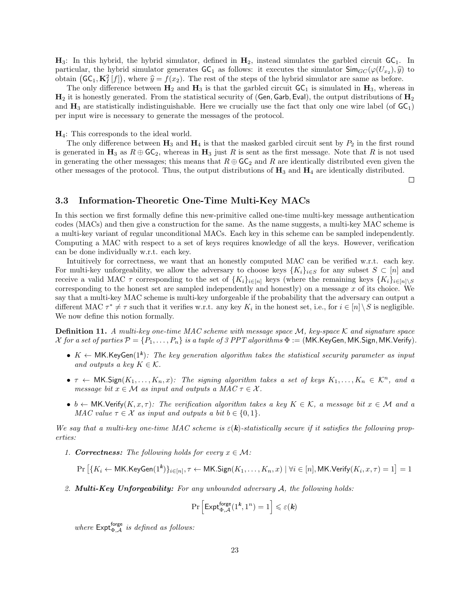$H_3$ : In this hybrid, the hybrid simulator, defined in  $H_2$ , instead simulates the garbled circuit  $GC_1$ . In particular, the hybrid simulator generates  $\mathsf{GC}_1$  as follows: it executes the simulator  $\mathsf{Sim}_{GC}(\varphi(U_{x_2}), \hat{y})$  to obtain  $(\mathsf{GC}, \mathbf{K}^2 | f|)$ , where  $\hat{y} = f(x_1)$ . The rest of the steps of the hybrid simulator are sa obtain  $(GC_1, K_I^2[f])$ , where  $\hat{y} = f(x_2)$ . The rest of the steps of the hybrid simulator are same as before.<br>The only difference between  $H_2$  and  $H_3$  is that the garbled circuit  $GC$ , is simulated in  $H_2$  whereas

The only difference between  $H_2$  and  $H_3$  is that the garbled circuit  $GC_1$  is simulated in  $H_3$ , whereas in  $H_2$  it is honestly generated. From the statistical security of (Gen, Garb, Eval), the output distributions of  $H_2$ and  $H_3$  are statistically indistinguishable. Here we crucially use the fact that only one wire label (of  $GC_1$ ) per input wire is necessary to generate the messages of the protocol.

H4: This corresponds to the ideal world.

The only difference between  $\mathbf{H}_3$  and  $\mathbf{H}_4$  is that the masked garbled circuit sent by  $P_2$  in the first round is generated in  $H_3$  as  $R \oplus G_2$ , whereas in  $H_3$  just R is sent as the first message. Note that R is not used in generating the other messages; this means that  $R \oplus \mathsf{GC}_2$  and R are identically distributed even given the other messages of the protocol. Thus, the output distributions of  $H_3$  and  $H_4$  are identically distributed.

 $\Box$ 

#### <span id="page-22-0"></span>3.3 Information-Theoretic One-Time Multi-Key MACs

In this section we first formally define this new-primitive called one-time multi-key message authentication codes (MACs) and then give a construction for the same. As the name suggests, a multi-key MAC scheme is a multi-key variant of regular unconditional MACs. Each key in this scheme can be sampled independently. Computing a MAC with respect to a set of keys requires knowledge of all the keys. However, verification can be done individually w.r.t. each key.

Intuitively for correctness, we want that an honestly computed MAC can be verified w.r.t. each key. For multi-key unforgeability, we allow the adversary to choose keys  $\{K_i\}_{i\in S}$  for any subset  $S \subset [n]$  and receive a valid MAC  $\tau$  corresponding to the set of  $\{K_i\}_{i\in[n]}$  keys (where the remaining keys  $\{K_i\}_{i\in[n]\setminus S}$ corresponding to the honest set are sampled independently and honestly) on a message  $x$  of its choice. We say that a multi-key MAC scheme is multi-key unforgeable if the probability that the adversary can output a different MAC  $\tau^* \neq \tau$  such that it verifies w.r.t. any key  $K_i$  in the honest set, i.e., for  $i \in [n] \setminus S$  is negligible. We now define this notion formally.

Definition 11. A multi-key one-time MAC scheme with message space M, key-space K and signature space X for a set of parties  $\mathcal{P} = \{P_1, \ldots, P_n\}$  is a tuple of 3 PPT algorithms  $\Phi := (\mathsf{MK}.\mathsf{KeyGen}, \mathsf{MK}.\mathsf{Sign}, \mathsf{MK}.\mathsf{Verify}).$ 

- $K \leftarrow \mathsf{MK}.\mathsf{KeyGen}(1^k)$ : The key generation algorithm takes the statistical security parameter as input and outputs a key  $K \in \mathcal{K}$ .
- $\tau \leftarrow \mathsf{MK}.Sign(K_1, \ldots, K_n, x)$ : The signing algorithm takes a set of keys  $K_1, \ldots, K_n \in \mathcal{K}^n$ , and a message bit  $x \in \mathcal{M}$  as input and outputs a MAC  $\tau \in \mathcal{X}$ .
- $b \leftarrow \text{MK.Verify}(K, x, \tau)$ : The verification algorithm takes a key  $K \in \mathcal{K}$ , a message bit  $x \in \mathcal{M}$  and a MAC value  $\tau \in \mathcal{X}$  as input and outputs a bit  $b \in \{0, 1\}.$

We say that a multi-key one-time MAC scheme is  $\varepsilon(\mathbf{k})$ -statistically secure if it satisfies the following properties:

1. Correctness: The following holds for every  $x \in \mathcal{M}$ :

 $\Pr\left[\{K_i \leftarrow \mathsf{MK}.\mathsf{KeyGen}(1^{\bm{k}})\}_{i\in[n]}, \tau\leftarrow \mathsf{MK}.\mathsf{Sign}(K_1,\ldots,K_n,x) \mid \forall i\in[n],\mathsf{MK}.\mathsf{Verify}(K_i,x,\tau)=1\right]=1$ 

2. **Multi-Key Unforgeability:** For any unbounded adversary  $A$ , the following holds:

$$
\Pr\left[\mathsf{Expt}^{\mathsf{forget}}_{\Phi,\mathcal{A}}(1^{\pmb{k}},1^n)=1\right]\leqslant\varepsilon(\pmb{k})
$$

where  $\mathsf{Expt}_{\Phi,\mathcal{A}}^{\mathsf{forget}}$  is defined as follows: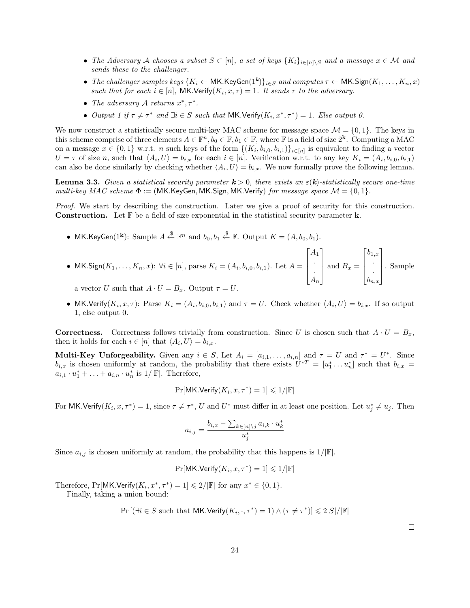- The Adversary A chooses a subset  $S \subset [n]$ , a set of keys  $\{K_i\}_{i \in [n] \setminus S}$  and a message  $x \in \mathcal{M}$  and sends these to the challenger.
- The challenger samples keys  $\{K_i \leftarrow \mathsf{MK.K}$ eyGen $(1^k)\}_{i \in S}$  and computes  $\tau \leftarrow \mathsf{MK.Sign}(K_1, \ldots, K_n, x)$ such that for each  $i \in [n]$ , MK.Verify $(K_i, x, \tau) = 1$ . It sends  $\tau$  to the adversary.
- The adversary A returns  $x^*, \tau^*$ .
- Output 1 if  $\tau \neq \tau^*$  and  $\exists i \in S$  such that MK.Verify $(K_i, x^*, \tau^*) = 1$ . Else output 0.

We now construct a statistically secure multi-key MAC scheme for message space  $\mathcal{M} = \{0, 1\}$ . The keys in this scheme comprise of three elements  $A \in \mathbb{F}^n, b_0 \in \mathbb{F}, b_1 \in \mathbb{F}$ , where  $\mathbb{F}$  is a field of size  $2^k$ . Computing a MAC on a message  $x \in \{0,1\}$  w.r.t. n such keys of the form  $\{(K_i,b_{i,0},b_{i,1})\}_{i\in[n]}$  is equivalent to finding a vector  $U = \tau$  of size n, such that  $\langle A_i, U \rangle = b_{i,x}$  for each  $i \in [n]$ . Verification w.r.t. to any key  $K_i = (A_i, b_{i,0}, b_{i,1})$ can also be done similarly by checking whether  $\langle A_i, U \rangle = b_{i,x}$ . We now formally prove the following lemma.

<span id="page-23-0"></span>**Lemma 3.3.** Given a statistical security parameter  $k > 0$ , there exists an  $\varepsilon(k)$ -statistically secure one-time multi-key MAC scheme  $\Phi := (\mathsf{MK.KeyGen}, \mathsf{MK.Sign}, \mathsf{MK.Verify})$  for message space  $\mathcal{M} = \{0, 1\}$ .

Proof. We start by describing the construction. Later we give a proof of security for this construction. **Construction.** Let  $\mathbb{F}$  be a field of size exponential in the statistical security parameter **k**.

- MK.KeyGen(1<sup>k</sup>): Sample  $A \xleftarrow{\$} \mathbb{F}^n$  and  $b_0, b_1 \xleftarrow{\$} \mathbb{F}$ . Output  $K = (A, b_0, b_1)$ .
- MK.Sign $(K_1, ..., K_n, x)$ :  $\forall i \in [n]$ , parse  $K_i = (A_i, b_{i,0}, b_{i,1})$ . Let  $A =$  $\lceil$  $\Big\}$  $A_1$ . .  $A_n$ 1  $\Bigg\}$ and  $B_x =$  $\lceil$  $\Big\}$  $b_{1,x}$ . .  $b_{n,x}$ 1  $\Big\}$ . Sample

a vector U such that  $A \cdot U = B_x$ . Output  $\tau = U$ .

• MK.Verify $(K_i, x, \tau)$ : Parse  $K_i = (A_i, b_{i,0}, b_{i,1})$  and  $\tau = U$ . Check whether  $\langle A_i, U \rangle = b_{i,x}$ . If so output 1, else output 0.

**Correctness.** Correctness follows trivially from construction. Since U is chosen such that  $A \cdot U = B_x$ , then it holds for each  $i \in [n]$  that  $\langle A_i, U \rangle = b_{i,x}$ .

**Multi-Key Unforgeability.** Given any  $i \in S$ , Let  $A_i = [a_{i,1}, \ldots, a_{i,n}]$  and  $\tau = U$  and  $\tau^* = U^*$ . Since  $b_{i,\overline{x}}$  is chosen uniformly at random, the probability that there exists  $U^{*T} = [u_1^*, \ldots u_n^*]$  such that  $b_{i,\overline{x}} =$  $a_{i,1} \cdot u_1^* + \ldots + a_{i,n} \cdot u_n^*$  is  $1/|\mathbb{F}|$ . Therefore,

$$
\Pr[\mathsf{MK}.\mathsf{Verify}(K_i,\overline{x},\tau^*)=1]\leqslant 1/|\mathbb{F}|
$$

For MK.Verify $(K_i, x, \tau^*) = 1$ , since  $\tau \neq \tau^*$ , U and U<sup>\*</sup> must differ in at least one position. Let  $u_j^* \neq u_j$ . Then

$$
a_{i,j} = \frac{b_{i,x} - \sum_{k \in [n] \setminus j} a_{i,k} \cdot u_k^*}{u_j^*}
$$

Since  $a_{i,j}$  is chosen uniformly at random, the probability that this happens is  $1/|\mathbb{F}|$ .

$$
\Pr[\mathsf{MK}.\mathsf{Verify}(K_i, x, \tau^*) = 1] \leqslant 1/|\mathbb{F}|
$$

Therefore,  $Pr[MK.Verify(K_i, x^*, \tau^*) = 1] \leq 2/|\mathbb{F}|$  for any  $x^* \in \{0, 1\}.$ 

Finally, taking a union bound:

$$
\Pr\left[\left(\exists i \in S \text{ such that MK.Verify}(K_i, \cdot, \tau^*) = 1\right) \wedge \left(\tau \neq \tau^*\right)\right] \leq 2|S|/|\mathbb{F}|
$$

 $\Box$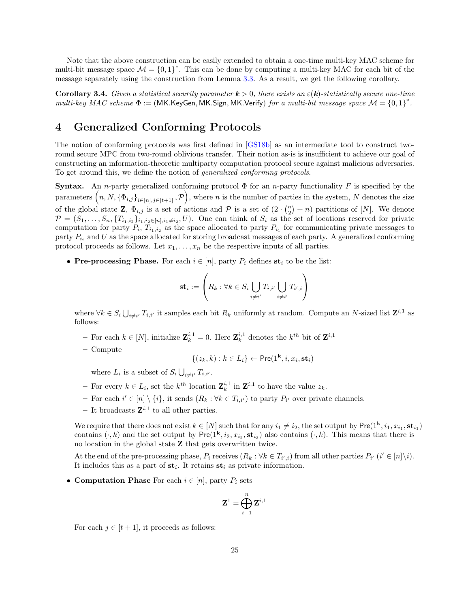Note that the above construction can be easily extended to obtain a one-time multi-key MAC scheme for multi-bit message space  $\mathcal{M} = \{0,1\}^*$ . This can be done by computing a multi-key MAC for each bit of the message separately using the construction from Lemma [3.3.](#page-23-0) As a result, we get the following corollary.

<span id="page-24-1"></span>**Corollary 3.4.** Given a statistical security parameter  $k > 0$ , there exists an  $\varepsilon(k)$ -statistically secure one-time multi-key MAC scheme  $\Phi := (\text{MK.KeyGen}, \text{MK.Sign}, \text{MK.Verify})$  for a multi-bit message space  $\mathcal{M} = \{0, 1\}^*$ .

### <span id="page-24-0"></span>4 Generalized Conforming Protocols

The notion of conforming protocols was first defined in [\[GS18b\]](#page-56-9) as an intermediate tool to construct tworound secure MPC from two-round oblivious transfer. Their notion as-is is insufficient to achieve our goal of constructing an information-theoretic multiparty computation protocol secure against malicious adversaries. To get around this, we define the notion of generalized conforming protocols.

**Syntax.** An *n*-party generalized conforming protocol  $\Phi$  for an *n*-party functionality F is specified by the parameters  $(n, N, {\{\Phi_{i,j}\}}_{i \in [n],j \in [t+1]}, \mathcal{P})$ , where n is the number of parties in the system, N denotes the size of the global state **Z**,  $\Phi_{i,j}$  is a set of actions and P is a set of  $(2 \cdot {n \choose 2} + n)$  partitions of [N]. We denote  $\mathcal{P} = (S_1, \ldots, S_n, \{T_{i_1, i_2}\}_{i_1, i_2 \in [n], i_1 \neq i_2}, U)$ . One can think of  $S_i$  as the set of locations reserved for private computation for party  $P_i$ ,  $T_{i_1,i_2}$  as the space allocated to party  $P_{i_1}$  for communicating private messages to party  $P_i$ <sub>2</sub> and U as the space allocated for storing broadcast messages of each party. A generalized conforming protocol proceeds as follows. Let  $x_1, \ldots, x_n$  be the respective inputs of all parties.

• Pre-processing Phase. For each  $i \in [n]$ , party  $P_i$  defines  $st_i$  to be the list:

$$
\mathbf{st}_i := \left(R_k : \forall k \in S_i \bigcup_{i \neq i'} T_{i,i'} \bigcup_{i \neq i'} T_{i',i}\right)
$$

where  $\forall k \in S_i \bigcup_{i \neq i'} T_{i,i'}$  it samples each bit  $R_k$  uniformly at random. Compute an N-sized list  $\mathbf{Z}^{i,1}$  as follows:

- − For each  $k \in [N]$ , initialize  $\mathbf{Z}_{k}^{i,1} = 0$ . Here  $\mathbf{Z}_{k}^{i,1}$  denotes the  $k^{th}$  bit of  $\mathbf{Z}^{i,1}$
- Compute

$$
\{(z_k, k) : k \in L_i\} \leftarrow \mathsf{Pre}(1^k, i, x_i, \mathbf{st}_i)
$$

where  $L_i$  is a subset of  $S_i \bigcup_{i \neq i'} T_{i,i'}$ .

- − For every  $k \in L_i$ , set the  $k^{th}$  location  $\mathbf{Z}_k^{i,1}$  in  $\mathbf{Z}^{i,1}$  to have the value  $z_k$ .
- For each  $i' \in [n] \setminus \{i\}$ , it sends  $(R_k : \forall k \in T_{i,i'})$  to party  $P_{i'}$  over private channels.
- It broadcasts  $\mathbf{Z}^{i,1}$  to all other parties.

We require that there does not exist  $k \in [N]$  such that for any  $i_1 \neq i_2$ , the set output by  $\textsf{Pre}(1^k, i_1, x_{i_1}, \textbf{st}_{i_1})$ contains  $(\cdot, k)$  and the set output by  $\mathsf{Pre}(1^{\mathbf{k}}, i_2, x_{i_2}, \mathbf{st}_{i_2})$  also contains  $(\cdot, k)$ . This means that there is no location in the global state Z that gets overwritten twice.

At the end of the pre-processing phase,  $P_i$  receives  $(R_k : \forall k \in T_{i',i})$  from all other parties  $P_{i'}$   $(i' \in [n] \setminus i)$ . It includes this as a part of  $st_i$ . It retains  $st_i$  as private information.

• Computation Phase For each  $i \in [n]$ , party  $P_i$  sets

$$
\mathbf{Z}^1 = \bigoplus_{i=1}^n \mathbf{Z}^{i,1}
$$

For each  $j \in [t+1]$ , it proceeds as follows: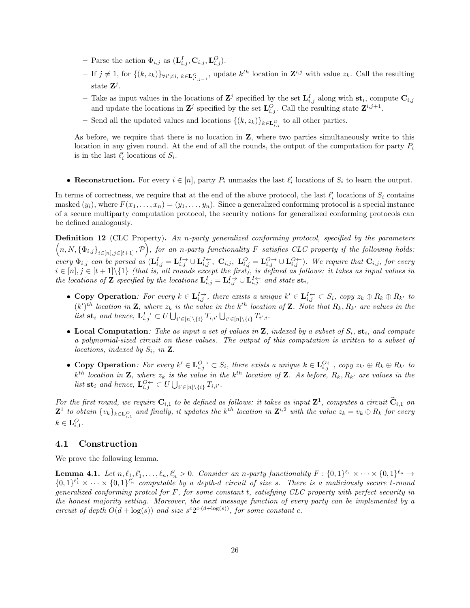- Parse the action  $\Phi_{i,j}$  as  $(\mathbf{L}_{i,j}^I, \mathbf{C}_{i,j}, \mathbf{L}_{i,j}^O)$ .
- $-$  If  $j \neq 1$ , for  $\{(k, z_k)\}_{\forall i' \neq i, k \in \mathbf{L}^O_{i',j-1}}$ , update  $k^{th}$  location in  $\mathbf{Z}^{i,j}$  with value  $z_k$ . Call the resulting state  $\mathbf{Z}^j$ .
- Take as input values in the locations of  $\mathbf{Z}^j$  specified by the set  $\mathbf{L}^I_{i,j}$  along with  $\mathbf{st}_i$ , compute  $\mathbf{C}_{i,j}$ and update the locations in  $\mathbf{Z}^j$  specified by the set  $\mathbf{L}_{i,j}^O$ . Call the resulting state  $\mathbf{Z}^{i,j+1}$ .
- Send all the updated values and locations  $\{(k, z_k)\}_{k \in \mathbf{L}_{i,j}^O}$  to all other parties.

As before, we require that there is no location in Z, where two parties simultaneously write to this location in any given round. At the end of all the rounds, the output of the computation for party  $P_i$ is in the last  $\ell'_i$  locations of  $S_i$ .

• Reconstruction. For every  $i \in [n]$ , party  $P_i$  unmasks the last  $\ell'_i$  locations of  $S_i$  to learn the output.

In terms of correctness, we require that at the end of the above protocol, the last  $\ell'_i$  locations of  $S_i$  contains masked  $(y_i)$ , where  $F(x_1, \ldots, x_n) = (y_1, \ldots, y_n)$ . Since a generalized conforming protocol is a special instance of a secure multiparty computation protocol, the security notions for generalized conforming protocols can be defined analogously.

<span id="page-25-1"></span>**Definition 12** (CLC Property). An n-party generalized conforming protocol, specified by the parameters  $(n, N, {\{\Phi_{i,j}\}}_{i\in[n],j\in[t+1]}, \mathcal{P})$ , for an n-party functionality F satisfies CLC property if the following holds: every  $\Phi_{i,j}$  can be parsed as  $(\mathbf{L}_{i,j}^I = \mathbf{L}_{i,j}^{I\to} \cup \mathbf{L}_{i,j}^{I\leftarrow}, \mathbf{C}_{i,j}, \mathbf{L}_{i,j}^O = \mathbf{L}_{i,j}^{O\to} \cup \mathbf{L}_{i,j}^{O\leftarrow} )$ . We require that  $\mathbf{C}_{i,j}$ , for every  $i \in [n], j \in [t+1] \setminus \{1\}$  (that is, all rounds except the first), is defined as follows: it takes as input values in the locations of **Z** specified by the locations  $\mathbf{L}_{i,j}^I = \mathbf{L}_{i,j}^I \cup \mathbf{L}_{i,j}^{I \leftarrow}$  and state  $\mathbf{st}_i$ ,

- Copy Operation: For every  $k \in \mathbf{L}^{I \rightarrow}_{i,j}$ , there exists a unique  $k' \in \mathbf{L}^{I \leftarrow}_{i,j} \subset S_i$ , copy  $z_k \oplus R_k \oplus R_{k'}$  to  $(k')$ <sup>th</sup> location in **Z**, where  $z_k$  is the value in the k<sup>th</sup> location of **Z**. Note that  $R_k, R_{k'}$  are values in the list  $\mathbf{st}_i$  and hence,  $\mathbf{L}_{i,j}^{I\rightarrow} \subset U\bigcup_{i'\in[n]\setminus\{i\}} T_{i,i'} \bigcup_{i'\in[n]\setminus\{i\}} T_{i',i}.$
- Local Computation: Take as input a set of values in  $Z$ , indexed by a subset of  $S_i$ ,  $st_i$ , and compute a polynomial-sized circuit on these values. The output of this computation is written to a subset of locations, indexed by  $S_i$ , in **Z**.
- Copy Operation: For every  $k' \in \mathbf{L}_{i,j}^{\mathcal{O}\to} \subset S_i$ , there exists a unique  $k \in \mathbf{L}_{i,j}^{\mathcal{O}\leftarrow}$ , copy  $z_{k'} \oplus R_k \oplus R_{k'}$  to  $k^{th}$  location in **Z**, where  $z_k$  is the value in the  $k^{th}$  location of **Z**. As before,  $R_k, R_{k'}$  are values in the list  $\mathbf{st}_i$  and hence,  $\mathbf{L}_{i,j}^{O \leftarrow} \subset U \bigcup_{i' \in [n] \setminus \{i\}} T_{i,i'}$ .

For the first round, we require  $C_{i,1}$  to be defined as follows: it takes as input  $\mathbf{Z}^1$ , computes a circuit  $\hat{C}_{i,1}$  on  $\mathbf{Z}^1$  to obtain  $\{v_k\}_{k\in \mathbf{L}_{i,1}^O}$  and finally, it updates the  $k^{th}$  location in  $\mathbf{Z}^{i,2}$  with the value  $z_k=v_k\oplus R_k$  for every  $k \in \mathbf{L}_{i,1}^O$ .

#### <span id="page-25-0"></span>4.1 Construction

<span id="page-25-2"></span>We prove the following lemma.

**Lemma 4.1.** Let  $n, \ell_1, \ell'_1, \ldots, \ell_n, \ell'_n > 0$ . Consider an n-party functionality  $F : \{0,1\}^{\ell_1} \times \cdots \times \{0,1\}^{\ell_n} \to$  $\{0,1\}^{\ell'_1} \times \cdots \times \{0,1\}^{\ell'_n}$  computable by a depth-d circuit of size s. There is a maliciously secure t-round generalized conforming protcol for F, for some constant t, satisfying CLC property with perfect security in the honest majority setting. Moreover, the next message function of every party can be implemented by a circuit of depth  $O(d + \log(s))$  and size  $s^c 2^{c \cdot (d + \log(s))}$ , for some constant c.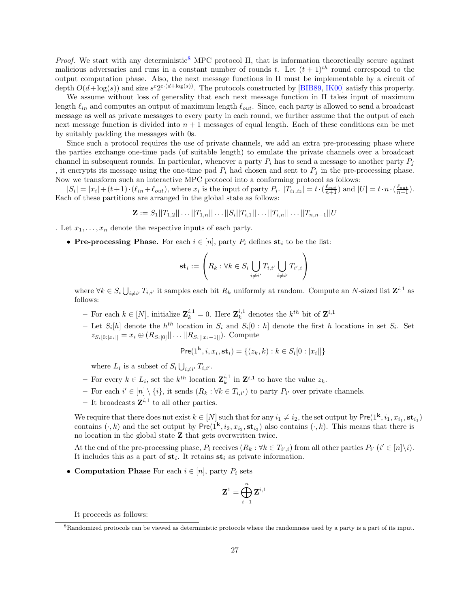*Proof.* We start with any deterministic<sup>[8](#page-26-0)</sup> MPC protocol  $\Pi$ , that is information theoretically secure against malicious adversaries and runs in a constant number of rounds t. Let  $(t + 1)^{th}$  round correspond to the output computation phase. Also, the next message functions in Π must be implementable by a circuit of depth  $O(d + \log(s))$  and size  $s^c 2^{c \cdot (d + \log(s))}$ . The protocols constructed by [\[BIB89,](#page-55-4) [IK00\]](#page-56-2) satisfy this property.

We assume without loss of generality that each next message function in Π takes input of maximum length  $\ell_{in}$  and computes an output of maximum length  $\ell_{out}$ . Since, each party is allowed to send a broadcast message as well as private messages to every party in each round, we further assume that the output of each next message function is divided into  $n + 1$  messages of equal length. Each of these conditions can be met by suitably padding the messages with 0s.

Since such a protocol requires the use of private channels, we add an extra pre-processing phase where the parties exchange one-time pads (of suitable length) to emulate the private channels over a broadcast channel in subsequent rounds. In particular, whenever a party  $P_i$  has to send a message to another party  $P_i$ , it encrypts its message using the one-time pad  $P_i$  had chosen and sent to  $P_j$  in the pre-processing phase. Now we transform such an interactive MPC protocol into a conforming protocol as follows:

 $|S_i| = |x_i| + (t+1) \cdot (\ell_{in} + \ell_{out})$ , where  $x_i$  is the input of party  $P_i$ .  $|T_{i_1,i_2}| = t \cdot (\frac{\ell_{out}}{n+1})$  and  $|U| = t \cdot n \cdot (\frac{\ell_{out}}{n+1})$ . Each of these partitions are arranged in the global state as follows:

$$
\mathbf{Z} := S_1||T_{1,2}||\ldots||T_{1,n}||\ldots||S_i||T_{i,1}||\ldots||T_{i,n}||\ldots||T_{n,n-1}||U
$$

. Let  $x_1, \ldots, x_n$  denote the respective inputs of each party.

• Pre-processing Phase. For each  $i \in [n]$ , party  $P_i$  defines  $st_i$  to be the list:

$$
\mathbf{st}_i := \left(R_k : \forall k \in S_i \bigcup_{i \neq i'} T_{i,i'} \bigcup_{i \neq i'} T_{i',i}\right)
$$

where  $\forall k \in S_i \bigcup_{i \neq i'} T_{i,i'}$  it samples each bit  $R_k$  uniformly at random. Compute an N-sized list  $\mathbf{Z}^{i,1}$  as follows:

- − For each  $k \in [N]$ , initialize  $\mathbf{Z}_{k}^{i,1} = 0$ . Here  $\mathbf{Z}_{k}^{i,1}$  denotes the  $k^{th}$  bit of  $\mathbf{Z}^{i,1}$
- Let  $S_i[h]$  denote the  $h^{th}$  location in  $S_i$  and  $S_i[0:h]$  denote the first h locations in set  $S_i$ . Set  $z_{S_i[0:|x_i|]} = x_i \oplus (R_{S_i[0]}|| \dots || R_{S_i[|x_i-1|]})$ . Compute

$$
Pre(1^k, i, x_i, st_i) = \{(z_k, k) : k \in S_i[0 : |x_i|]\}
$$

where  $L_i$  is a subset of  $S_i \bigcup_{i \neq i'} T_{i,i'}$ .

- − For every  $k \in L_i$ , set the  $k^{th}$  location  $\mathbf{Z}_k^{i,1}$  in  $\mathbf{Z}^{i,1}$  to have the value  $z_k$ .
- For each  $i' \in [n] \setminus \{i\}$ , it sends  $(R_k : \forall k \in T_{i,i'})$  to party  $P_{i'}$  over private channels.
- It broadcasts  $\mathbf{Z}^{i,1}$  to all other parties.

We require that there does not exist  $k \in [N]$  such that for any  $i_1 \neq i_2$ , the set output by  $\textsf{Pre}(1^k, i_1, x_{i_1}, \textbf{st}_{i_1})$ contains  $(\cdot, k)$  and the set output by  $\mathsf{Pre}(1^{\mathbf{k}}, i_2, x_{i_2}, \mathbf{st}_{i_2})$  also contains  $(\cdot, k)$ . This means that there is no location in the global state Z that gets overwritten twice.

At the end of the pre-processing phase,  $P_i$  receives  $(R_k : \forall k \in T_{i',i})$  from all other parties  $P_{i'}$   $(i' \in [n] \setminus i)$ . It includes this as a part of  $st_i$ . It retains  $st_i$  as private information.

• Computation Phase For each  $i \in [n]$ , party  $P_i$  sets

$$
\mathbf{Z}^1 = \bigoplus_{i=1}^n \mathbf{Z}^{i,1}
$$

It proceeds as follows:

<span id="page-26-0"></span><sup>&</sup>lt;sup>8</sup>Randomized protocols can be viewed as deterministic protocols where the randomness used by a party is a part of its input.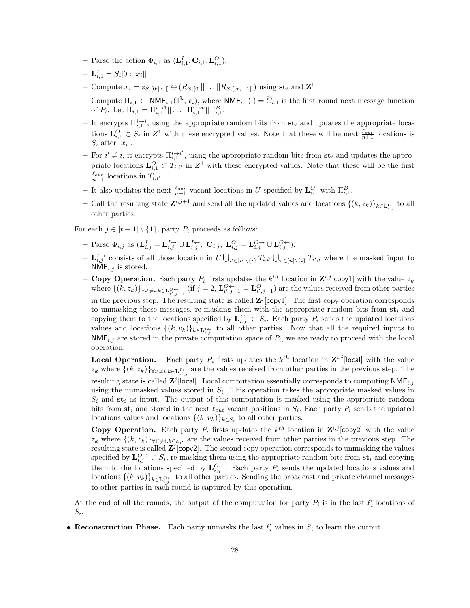- Parse the action  $\Phi_{i,1}$  as  $(\mathbf{L}_{i,1}^I, \mathbf{C}_{i,1}, \mathbf{L}_{i,1}^O)$ .
- $\mathbf{L}_{i,1}^I = S_i [0 : |x_i|]$
- Compute  $x_i = z_{S_i[0:|x_i|]} \oplus (R_{S_i[0]}|| \dots || R_{S_i[|x_i-1|]})$  using  $st_i$  and  $\mathbb{Z}^1$
- Compute  $\Pi_{i,1} \leftarrow \text{NMF}_{i,1}(1^k, x_i)$ , where  $\text{NMF}_{i,1}(.) = \hat{C}_{i,1}$  is the first round next message function of  $P_i$ . Let  $\Pi_{i,1} = \Pi_{i,1}^{i \to 1} || \dots || \Pi_{i,1}^{i \to n} || \Pi_{i,1}^B$ .
- It encrypts  $\Pi_{i,1}^{i\to i}$ , using the appropriate random bits from  $\mathbf{st}_i$  and updates the appropriate locations  $\mathbf{L}_{i,1}^O \subset S_i$  in  $Z^1$  with these encrypted values. Note that these will be next  $\frac{\ell_{out}}{n+1}$  locations is  $S_i$  after  $|x_i|$ .
- $\bar{t}$  For  $i' \neq i$ , it encrypts  $\Pi_{i,1}^{i \to i'}$ , using the appropriate random bits from  $st_i$  and updates the appropriate locations  $\mathbf{L}_{i,1}^O \subset T_{i,i'}$  in  $Z^1$  with these encrypted values. Note that these will be the first  $\frac{\ell_{out}}{n+1}$  locations in  $T_{i,i'}$ .
- It also updates the next  $\frac{\ell_{out}}{n+1}$  vacant locations in U specified by  $\mathbf{L}_{i,1}^O$  with  $\Pi_{i,1}^B$ .
- Call the resulting state  $\mathbf{Z}^{i,j+1}$  and send all the updated values and locations  $\{(k, z_k)\}_{k \in \mathbf{L}^{\scriptscriptstyle O}_{i,j}}$  to all other parties.

For each  $j \in [t+1] \setminus \{1\}$ , party  $P_i$  proceeds as follows:

- Parse  $\Phi_{i,j}$  as  $(\mathbf{L}_{i,j}^I = \mathbf{L}_{i,j}^{I \rightarrow} \cup \mathbf{L}_{i,j}^{I \leftarrow}, \mathbf{C}_{i,j}, \mathbf{L}_{i,j}^O = \mathbf{L}_{i,j}^{O \rightarrow} \cup \mathbf{L}_{i,j}^{O \leftarrow} ).$
- $-I_{i,j}^I$  consists of all those location in  $U\bigcup_{i'\in[n]\setminus\{i\}} T_{i,i'}\bigcup_{i'\in[n]\setminus\{i\}} T_{i',i}$  where the masked input to  $NMF_{i,j}$  is stored.
- Copy Operation. Each party  $P_i$  firsts updates the  $k^{th}$  location in  $\mathbf{Z}^{i,j}$  [copy1] with the value  $z_k$ where  $\{(k, z_k)\}_{\forall i' \neq i, k \in \mathbf{L}_{i',j-1}^{\mathcal{O}\leftarrow}}$  (if  $j = 2$ ,  $\mathbf{L}_{i',j-1}^{\mathcal{O}\leftarrow} = \mathbf{L}_{i',j-1}^{\mathcal{O}}$ ) are the values received from other parties in the previous step. The resulting state is called  $\mathbf{Z}^{j}$  [copy1]. The first copy operation corresponds to unmasking these messages, re-masking them with the appropriate random bits from  $st_i$  and copying them to the locations specified by  $\mathbf{L}_{i,j}^{I \leftarrow} \subset S_i$ . Each party  $P_i$  sends the updated locations values and locations  $\{(k, v_k)\}_{k\in\mathbf{L}_{i,j}^I}$  to all other parties. Now that all the required inputs to  $NMF_{i,j}$  are stored in the private computation space of  $P_i$ , we are ready to proceed with the local operation.
- Local Operation. Each party  $P_i$  firsts updates the  $k^{th}$  location in  $\mathbf{Z}^{i,j}$  [local] with the value  $z_k$  where  $\{(k, z_k)\}_{\forall i' \neq i, k \in \mathbf{L}_{i',j}^{I \leftarrow}}$  are the values received from other parties in the previous step. The resulting state is called  $\mathbf{Z}^{j}$  [local]. Local computation essentially corresponds to computing  $\mathsf{NMF}_{i,j}$ using the unmasked values stored in  $S_i$ . This operation takes the appropriate masked values in  $S_i$  and  $st_i$  as input. The output of this computation is masked using the appropriate random bits from  $\mathbf{st}_i$  and stored in the next  $\ell_{out}$  vacant positions in  $S_i$ . Each party  $P_i$  sends the updated locations values and locations  $\{(k, v_k)\}_{k \in S_i}$  to all other parties.
- Copy Operation. Each party  $P_i$  firsts updates the  $k^{th}$  location in  $\mathbf{Z}^{i,j}$  [copy2] with the value  $z_k$  where  $\{(k, z_k)\}_{\forall i' \neq i, k \in S_{i'}}$  are the values received from other parties in the previous step. The resulting state is called  $\mathbf{Z}^{j}$  copy2. The second copy operation corresponds to unmasking the values specified by  $\mathbf{L}_{i,j}^{O\to} \subset S_i$ , re-masking them using the appropriate random bits from  $\mathbf{st}_i$  and copying them to the locations specified by  $\mathbf{L}_{i,j}^{\mathcal{O}\leftarrow}$ . Each party  $P_i$  sends the updated locations values and locations  $\{(k, v_k)\}_{k \in \mathbf{L}_{i,j}^{O^{\prime}}}$  to all other parties. Sending the broadcast and private channel messages to other parties in each round is captured by this operation.

At the end of all the rounds, the output of the computation for party  $P_i$  is in the last  $\ell'_i$  locations of  $S_i.$ 

• Reconstruction Phase. Each party unmasks the last  $\ell'_i$  values in  $S_i$  to learn the output.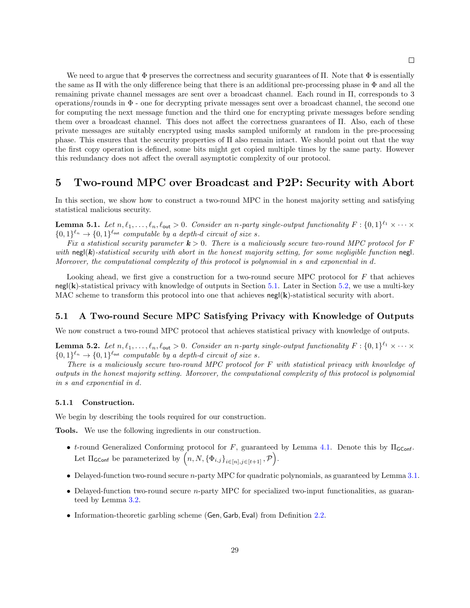We need to argue that  $\Phi$  preserves the correctness and security guarantees of  $\Pi$ . Note that  $\Phi$  is essentially the same as Π with the only difference being that there is an additional pre-processing phase in Φ and all the remaining private channel messages are sent over a broadcast channel. Each round in Π, corresponds to 3 operations/rounds in  $\Phi$  - one for decrypting private messages sent over a broadcast channel, the second one for computing the next message function and the third one for encrypting private messages before sending them over a broadcast channel. This does not affect the correctness guarantees of Π. Also, each of these private messages are suitably encrypted using masks sampled uniformly at random in the pre-processing phase. This ensures that the security properties of Π also remain intact. We should point out that the way the first copy operation is defined, some bits might get copied multiple times by the same party. However this redundancy does not affect the overall asymptotic complexity of our protocol.

### <span id="page-28-0"></span>5 Two-round MPC over Broadcast and P2P: Security with Abort

In this section, we show how to construct a two-round MPC in the honest majority setting and satisfying statistical malicious security.

<span id="page-28-4"></span>**Lemma 5.1.** Let  $n, \ell_1, \ldots, \ell_n, \ell_{\text{out}} > 0$ . Consider an n-party single-output functionality  $F: \{0,1\}^{\ell_1} \times \cdots \times$  $\{0,1\}^{\ell_n} \rightarrow \{0,1\}^{\ell_{\text{out}}}$  computable by a depth-d circuit of size s.

Fix a statistical security parameter  $k > 0$ . There is a maliciously secure two-round MPC protocol for F with negl( $k$ )-statistical security with abort in the honest majority setting, for some negligible function negl. Moreover, the computational complexity of this protocol is polynomial in s and exponential in d.

Looking ahead, we first give a construction for a two-round secure MPC protocol for F that achieves  $neg(k)$ -statistical privacy with knowledge of outputs in Section [5.1.](#page-28-1) Later in Section [5.2,](#page-46-0) we use a multi-key MAC scheme to transform this protocol into one that achieves negl(k)-statistical security with abort.

#### <span id="page-28-1"></span>5.1 A Two-round Secure MPC Satisfying Privacy with Knowledge of Outputs

<span id="page-28-3"></span>We now construct a two-round MPC protocol that achieves statistical privacy with knowledge of outputs.

**Lemma 5.2.** Let  $n, \ell_1, \ldots, \ell_n, \ell_{\text{out}} > 0$ . Consider an n-party single-output functionality  $F: \{0,1\}^{\ell_1} \times \cdots \times$  $\{0,1\}^{\ell_n} \rightarrow \{0,1\}^{\ell_{\text{out}}}$  computable by a depth-d circuit of size s.

There is a maliciously secure two-round MPC protocol for F with statistical privacy with knowledge of outputs in the honest majority setting. Moreover, the computational complexity of this protocol is polynomial in s and exponential in d.

#### <span id="page-28-2"></span>5.1.1 Construction.

We begin by describing the tools required for our construction.

Tools. We use the following ingredients in our construction.

- t-round Generalized Conforming protocol for F, guaranteed by Lemma [4.1.](#page-25-2) Denote this by  $\Pi_{\mathsf{GConf}}$ . Let  $\Pi_{\mathsf{GConf}}$  be parameterized by  $\left(n, N, {\{\Phi_{i,j}\}}_{i \in [n], j \in [t+1]}, \mathcal{P}\right)$ .
- Delayed-function two-round secure *n*-party MPC for quadratic polynomials, as guaranteed by Lemma [3.1.](#page-12-2)
- Delayed-function two-round secure *n*-party MPC for specialized two-input functionalities, as guaranteed by Lemma [3.2.](#page-16-2)
- Information-theoretic garbling scheme (Gen, Garb, Eval) from Definition [2.2.](#page-11-0)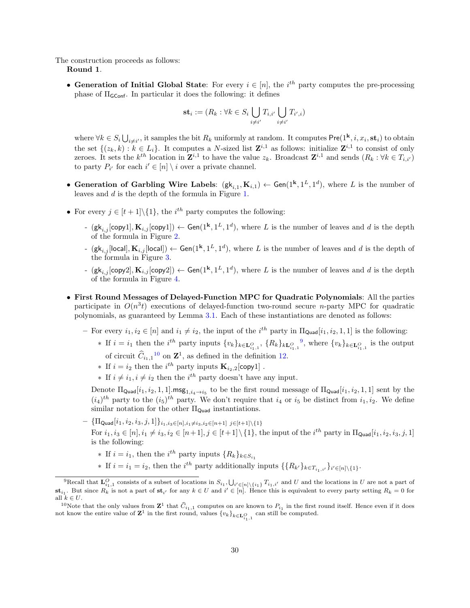The construction proceeds as follows:

Round 1.

• Generation of Initial Global State: For every  $i \in [n]$ , the  $i^{th}$  party computes the pre-processing phase of  $\Pi_{\mathsf{GConf}}$ . In particular it does the following: it defines

$$
\mathbf{st}_i := (R_k : \forall k \in S_i \bigcup_{i \neq i'} T_{i,i'} \bigcup_{i \neq i'} T_{i',i})
$$

where  $\forall k \in S_i \bigcup_{i \neq i'}$ , it samples the bit  $R_k$  uniformly at random. It computes  $\mathsf{Pre}(1^k, i, x_i, \mathsf{st}_i)$  to obtain the set  $\{(z_k, k) : k \in L_i\}$ . It computes a N-sized list  $\mathbf{Z}^{i,1}$  as follows: initialize  $\mathbf{Z}^{i,1}$  to consist of only zeroes. It sets the  $k^{th}$  location in  $\mathbf{Z}^{i,1}$  to have the value  $z_k$ . Broadcast  $\mathbf{Z}^{i,1}$  and sends  $(R_k : \forall k \in T_{i,i'})$ to party  $P_{i'}$  for each  $i' \in [n] \setminus i$  over a private channel.

- Generation of Garbling Wire Labels:  $(gk_{i,1}, K_{i,1}) \leftarrow$  Gen $(1^k, 1^L, 1^d)$ , where L is the number of leaves and d is the depth of the formula in Figure [1.](#page-32-0)
- For every  $j \in [t+1] \setminus \{1\}$ , the  $i^{th}$  party computes the following:
	- $-$  (gk<sub>i,j</sub> [copy1],  $\mathbf{K}_{i,j}$ [copy1])  $\leftarrow$  Gen(1<sup>k</sup>, 1<sup>L</sup>, 1<sup>d</sup>), where L is the number of leaves and d is the depth of the formula in Figure [2.](#page-33-0)
	- (gk<sub>i,j</sub>[local],  $\mathbf{K}_{i,j}$ [local])  $\leftarrow$  Gen(1<sup>k</sup>, 1<sup>L</sup>, 1<sup>d</sup>), where L is the number of leaves and d is the depth of the formula in Figure [3.](#page-34-0)
	- $-$  (gk<sub>i,j</sub> [copy2],  $\mathbf{K}_{i,j}$ [copy2])  $\leftarrow$  Gen(1<sup>k</sup>, 1<sup>L</sup>, 1<sup>d</sup>), where L is the number of leaves and d is the depth of the formula in Figure [4.](#page-35-0)
- First Round Messages of Delayed-Function MPC for Quadratic Polynomials: All the parties participate in  $O(n^3t)$  executions of delayed-function two-round secure *n*-party MPC for quadratic polynomials, as guaranteed by Lemma [3.1.](#page-12-2) Each of these instantiations are denoted as follows:
	- For every  $i_1, i_2 \in [n]$  and  $i_1 \neq i_2$ , the input of the  $i^{th}$  party in  $\Pi_{\text{Quad}}[i_1, i_2, 1, 1]$  is the following:
		- ∗ If  $i = i_1$  then the  $i^{th}$  party inputs  $\{v_k\}_{k \in \mathbf{L}_{i_1,1}^O}$ ,  $\{R_k\}_{k \mathbf{L}_{i_1,1}^O}$ <sup>[9](#page-29-0)</sup>, where  $\{v_k\}_{k\in \mathbf{L}_{i_1,1}^O}$  is the output of circuit  $\widehat{C}_{i_1,1}{}^{10}$  $\widehat{C}_{i_1,1}{}^{10}$  $\widehat{C}_{i_1,1}{}^{10}$  on  $\mathbf{Z}^1$ , as defined in the definition [12.](#page-25-1)
		- ∗ If  $i = i_2$  then the  $i^{th}$  party inputs  $\mathbf{K}_{i_2,2}$ [copy1].
		- ∗ If  $i \neq i_1, i \neq i_2$  then the *i*<sup>th</sup> party doesn't have any input.

Denote  $\Pi_{\text{Quad}}[i_1, i_2, 1, 1]$ .msg<sub>1, $i_4 \rightarrow i_5$ </sub> to be the first round message of  $\Pi_{\text{Quad}}[i_1, i_2, 1, 1]$  sent by the  $(i_4)^{th}$  party to the  $(i_5)^{th}$  party. We don't require that  $i_4$  or  $i_5$  be distinct from  $i_1, i_2$ . We define similar notation for the other  $\Pi_{\text{Quad}}$  instantiations.

- $\{\Pi_{\mathsf{Quad}}[i_1, i_2, i_3, j, 1]\}_{i_1, i_3 \in [n], i_1 \neq i_3, i_2 \in [n+1]}$   $j \in [t+1] \setminus \{1\}$ For  $i_1, i_3 \in [n], i_1 \neq i_3, i_2 \in [n+1], j \in [t+1] \setminus \{1\}$ , the input of the  $i^{th}$  party in  $\Pi_{\text{Quad}}[i_1, i_2, i_3, j, 1]$ is the following:
	- \* If  $i = i_1$ , then the  $i^{th}$  party inputs  $\{R_k\}_{k \in S_{i_1}}$
	- ∗ If  $i = i_1 = i_2$ , then the  $i^{th}$  party additionally inputs  $\{\{R_{k'}\}_{k \in T_{i_1,i'}}\}_{i' \in [n]\setminus\{1\}}$ .

<span id="page-29-0"></span><sup>&</sup>lt;sup>9</sup>Recall that  $\mathbf{L}_{i_1,1}^O$  consists of a subset of locations in  $S_{i_1}, \bigcup_{i' \in [n] \setminus \{i_1\}} T_{i_1,i'}$  and U and the locations in U are not a part of st<sub>i1</sub>. But since  $R_k$  is not a part of st<sub>i</sub> for any  $k \in U$  and  $i' \in [n]$ . Hence this is equivalent to every party setting  $R_k = 0$  for all  $k \in U$ .

<span id="page-29-1"></span><sup>&</sup>lt;sup>10</sup>Note that the only values from  $\mathbf{Z}^1$  that  $\widehat{C}_{i_1,1}$  computes on are known to  $P_{i_1}$  in the first round itself. Hence even if it does not know the entire value of  $\mathbf{Z}^1$  in the first round, values  $\{v_k\}_{k\in\mathbf{L}_{i_1,1}^O}$  can still be computed.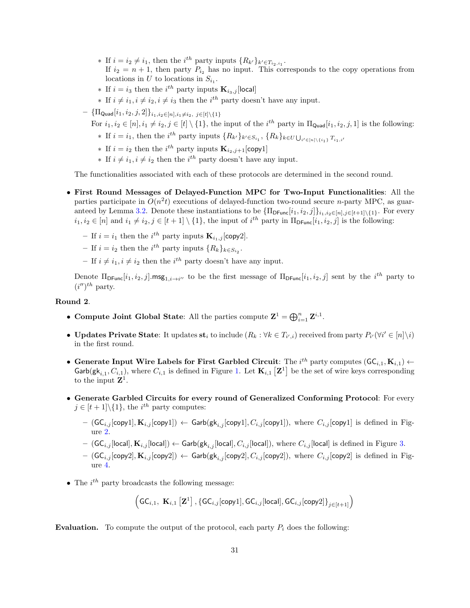- \* If  $i = i_2 \neq i_1$ , then the  $i^{th}$  party inputs  $\{R_{k'}\}_{k' \in T_{i_2, i_1}}$ . If  $i_2 = n + 1$ , then party  $P_{i_2}$  has no input. This corresponds to the copy operations from locations in  $U$  to locations in  $S_{i_1}$ .
- ∗ If  $i = i_3$  then the  $i^{th}$  party inputs  $\mathbf{K}_{i_3,j}$ [local]
- ∗ If  $i \neq i_1, i \neq i_2, i \neq i_3$  then the  $i^{th}$  party doesn't have any input.
- $\{\Pi_{\mathsf{Quad}}[i_1, i_2, j, 2]\}_{i_1, i_2 \in [n], i_1 \neq i_2, j \in [t] \setminus \{1\}}$ 
	- For  $i_1, i_2 \in [n], i_1 \neq i_2, j \in [t] \setminus \{1\}$ , the input of the  $i^{th}$  party in  $\Pi_{\text{Quad}}[i_1, i_2, j, 1]$  is the following:
		- ∗ If  $i = i_1$ , then the  $i^{th}$  party inputs  $\{R_{k'}\}_{k' \in S_{i_1}}$ ,  $\{R_k\}_{k \in U}$   $\bigcup_{i' \in [n] \setminus \{i_1\}} T_{i_1,i'}$
		- ∗ If  $i = i_2$  then the  $i^{th}$  party inputs  $\mathbf{K}_{i_2,j+1}$ [copy1]
	- ∗ If  $i \neq i_1, i \neq i_2$  then the *i*<sup>th</sup> party doesn't have any input.

The functionalities associated with each of these protocols are determined in the second round.

- First Round Messages of Delayed-Function MPC for Two-Input Functionalities: All the parties participate in  $O(n^2t)$  executions of delayed-function two-round secure *n*-party MPC, as guar-anteed by Lemma [3.2.](#page-16-2) Denote these instantiations to be  $\{\Pi_{\mathsf{DFunc}}[i_1,i_2,j]\}_{i_1,i_2\in[n],j\in[t+1]\setminus\{1\}}$ . For every  $i_1, i_2 \in [n]$  and  $i_1 \neq i_2, j \in [t+1] \setminus \{1\}$ , the input of  $i^{th}$  party in  $\Pi_{\text{DFunc}}[i_1, i_2, j]$  is the following:
	- If  $i = i_1$  then the  $i^{th}$  party inputs  $\mathbf{K}_{i_1,j}$  [copy2].
	- If  $i = i_2$  then the  $i^{th}$  party inputs  $\{R_k\}_{k \in S_{i_2}}$ .
	- If  $i \neq i_1, i \neq i_2$  then the  $i^{th}$  party doesn't have any input.

Denote  $\Pi_{\text{DFunc}}[i_1, i_2, j]$ .msg<sub>1,i→i</sub><sup>n</sup> to be the first message of  $\Pi_{\text{DFunc}}[i_1, i_2, j]$  sent by the i<sup>th</sup> party to  $(i'')^{th}$  party.

#### Round 2.

- Compute Joint Global State: All the parties compute  $\mathbf{Z}^1 = \bigoplus_{i=1}^n \mathbf{Z}^{i,1}$ .
- **Updates Private State**: It updates  $\mathbf{st}_i$  to include  $(R_k : \forall k \in T_{i',i})$  received from party  $P_{i'}(\forall i' \in [n] \setminus i)$ in the first round.
- Generate Input Wire Labels for First Garbled Circuit: The  $i^{th}$  party computes  $(\mathsf{GC}_{i,1}, \mathbf{K}_{i,1}) \leftarrow$  $\mathsf{Garb}(gk_{i,1}, C_{i,1}),$  where  $C_{i,1}$  is defined in Figure [1.](#page-32-0) Let  $\mathbf{K}_{i,1} [\mathbf{Z}^1]$  be the set of wire keys corresponding to the input  $\mathbf{Z}^1$ .
- Generate Garbled Circuits for every round of Generalized Conforming Protocol: For every  $j \in [t+1] \backslash \{1\}$ , the  $i^{th}$  party computes:
	- $-$  (GC<sub>i,j</sub>[copy1],  $\mathbf{K}_{i,j}$ [copy1])  $\leftarrow$  Garb(gk<sub>i,j</sub>[copy1],  $C_{i,j}$ [copy1]), where  $C_{i,j}$ [copy1] is defined in Figure [2.](#page-33-0)
	- $-$  (GC<sub>i,j</sub>[local],  $\mathbf{K}_{i,j}$ [local])  $\leftarrow$  Garb(gk<sub>i,j</sub>[local],  $C_{i,j}$ [local]), where  $C_{i,j}$ [local] is defined in Figure [3.](#page-34-0)
	- $-$  (GC<sub>i,j</sub>[copy2],  $\mathbf{K}_{i,j}$ [copy2])  $\leftarrow$  Garb(gk<sub>i,j</sub>[copy2],  $C_{i,j}$ [copy2]), where  $C_{i,j}$ [copy2] is defined in Figure [4.](#page-35-0)
- The  $i^{th}$  party broadcasts the following message:

$$
\left(\mathsf{GC}_{i,1},\ \mathbf{K}_{i,1}\left[\mathbf{Z}^1\right],\{\mathsf{GC}_{i,j}[\mathsf{copy1}],\mathsf{GC}_{i,j}[\mathsf{local}],\mathsf{GC}_{i,j}[\mathsf{copy2}]\}_{j\in[t+1]}\right)
$$

Evaluation. To compute the output of the protocol, each party  $P_i$  does the following: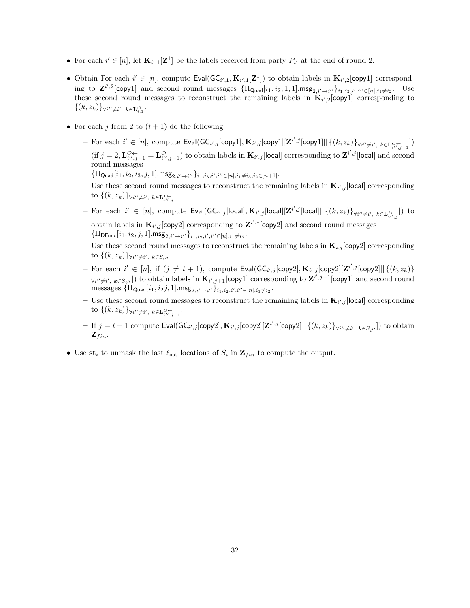- For each  $i' \in [n]$ , let  $\mathbf{K}_{i',1}[\mathbf{Z}^1]$  be the labels received from party  $P_{i'}$  at the end of round 2.
- Obtain For each  $i' \in [n]$ , compute  $\text{Eval}(GC_{i',1}, K_{i',1}[Z^1])$  to obtain labels in  $K_{i',2}[\text{copy1}]$  corresponding to  $\mathbf{Z}^{i',2}$  [copy1] and second round messages  $\{\Pi_{\mathsf{Quad}}[i_1,i_2,1,1].\mathsf{msg}_{2,i'\rightarrow i''}\}_{i_1,i_2,i',i''\in[n],i_1\neq i_2}$ . Use these second round messages to reconstruct the remaining labels in  $\mathbf{K}_{i',2}[\text{copy1}]$  corresponding to  $\{(k, z_k)\}_{\forall i'' \neq i', k \in \mathbf{L}_{i,1}^O}$ .
- For each j from 2 to  $(t+1)$  do the following:
	- For each  $i' \in [n]$ , compute  $\textsf{Eval}(\textsf{GC}_{i',j}[\textsf{copy1}], \mathbf{K}_{i',j}[\textsf{copy1}][\mathbf{Z}^{i',j}[\textsf{copy1}]] | \{(k,z_k)\}_{\forall i'' \neq i',\ k \in \mathbf{L}^{O \leftarrow}_{i',j'}}\ n]$  $i''$ , j – 1  $(\text{if } j = 2, \mathbf{L}_{i'',j-1}^{\mathcal{O}\leftarrow} = \mathbf{L}_{i'',j-1}^{\mathcal{O}})$  to obtain labels in  $\mathbf{K}_{i',j}$  [local] corresponding to  $\mathbf{Z}^{i',j}$  [local] and second round messages
		- $\{\Pi_{\mathsf{Quad}}[i_1, i_2, i_3, j, 1]. \mathsf{msg}_{2, i' \to i''}\}_{i_1, i_3, i', i'' \in [n], i_1 \neq i_3, i_2 \in [n+1]}.$
	- Use these second round messages to reconstruct the remaining labels in  $\mathbf{K}_{i',j}$  [local] corresponding to  $\{(k,z_k)\}_{\forall i''\neq i',\; k\in \mathbf{L}_{i'',j}^{I\leftarrow}$ .
	- $-$  For each  $i' \in [n],$  compute  $\textsf{Eval}(\mathsf{GC}_{i',j}[\textsf{local}],[\mathbf{K}_{i',j}[\textsf{local}][\mathbf{Z}^{i',j}[\textsf{local}]]|\{(k,z_k)\}_{\forall i''\neq i',\;k\in \mathbf{L}_{i',j}^{I\leftarrow}}])$  to obtain labels in  $\mathbf{K}_{i',j}$  [copy2] corresponding to  $\mathbf{Z}^{i',j}$  [copy2] and second round messages  $\{\Pi_{\mathsf{DFunc}}[i_1,i_2,j,1]. {\sf msg}_{2,i' \to i''}\}_{i_1,i_2,i',i'' \in [n], i_1 \neq i_2}.$
	- Use these second round messages to reconstruct the remaining labels in  $\mathbf{K}_{i,j}$  [copy2] corresponding to  $\{(k, z_k)\}_{\forall i'' \neq i', k \in S_{i''}}$ .
	- For each  $i' \in [n]$ , if  $(j \neq t + 1)$ , compute  $\textsf{Eval}(\textsf{GC}_{i',j}[\textsf{copy2}], \mathbf{K}_{i',j}[\textsf{copy2}][\mathbf{Z}^{i',j}[\textsf{copy2}]] | \{(k,z_k)\}$  $(\forall i'' \neq i', k \in S_{i''}]$  to obtain labels in  $\mathbf{K}_{i',j+1}[\text{copy1}]$  corresponding to  $\mathbf{Z}^{i',j+1}[\text{copy1}]$  and second round messages  $\{\Pi_{\mathsf{Quad}}[i_1, i_2 j, 1]$ .msg $_{2, i' \to i''}\}_{i_1, i_2, i', i'' \in [n], i_1 \neq i_2}$ .
	- Use these second round messages to reconstruct the remaining labels in  $\mathbf{K}_{i',j}$  [local] corresponding to  $\{(k, z_k)\}_{\forall i'' \neq i', k \in \mathbf{L}_{i'', j-1}^{O \leftarrow} }$ .
	- $-\inf_{\mathbf{I}}j=t+1$  compute  $\textsf{Eval}(\textsf{GC}_{i',j}[\mathsf{copy2}],\mathbf{K}_{i',j}[\mathsf{copy2}][\mathbf{Z}^{i',j}[\mathsf{copy2}]]|\{(k,z_k)\}_{\forall i''\neq i',\ k\in S_{i''}}])$  to obtain  $\mathbf{Z}_{fin}$ .
- Use  $st_i$  to unmask the last  $\ell_{\text{out}}$  locations of  $S_i$  in  $\mathbf{Z}_{fin}$  to compute the output.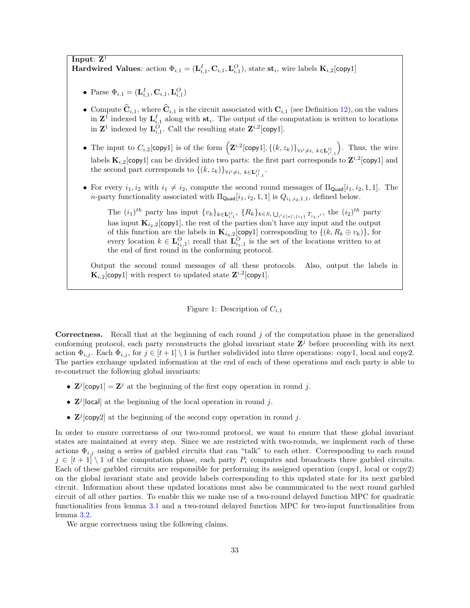<span id="page-32-0"></span> $\overline{\mathbf{Input: Z^{1}}}$ Hardwired Values: action  $\Phi_{i,1} = (\mathbf{L}^I_{i,1}, \mathbf{C}_{i,1}, \mathbf{L}^O_{i,1}),$  state  $\mathbf{st}_i$ , wire labels  $\mathbf{K}_{i,2}$ [copy1]

- Parse  $\Phi_{i,1} = (\mathbf{L}_{i,1}^I, \mathbf{C}_{i,1}, \mathbf{L}_{i,1}^O)$
- Compute  $\hat{\mathbf{C}}_{i,1}$ , where  $\hat{\mathbf{C}}_{i,1}$  is the circuit associated with  $\mathbf{C}_{i,1}$  (see Definition [12\)](#page-25-1), on the values in  $\mathbf{Z}^1$  indexed by  $\mathbf{L}_{i,1}^I$  along with  $\mathbf{st}_i$ . The output of the computation is written to locations in  $\mathbf{Z}^1$  indexed by  $\mathbf{L}_{i,1}^O$ . Call the resulting state  $\mathbf{Z}^{i,2}$  [copy1].
- The input to  $C_{i,2}[\text{copy1}]$  is of the form  $\left(\mathbf{Z}^{i,2}[\text{copy1}],\{(k,z_k)\}_{\forall i'\neq i,\ k\in\mathbf{L}^O_{i',1}}\right)$  . Thus, the wire labels  $\mathbf{K}_{i,2}$  [copy1] can be divided into two parts: the first part corresponds to  $\mathbf{Z}^{i,2}$  [copy1] and the second part corresponds to  $\{(k, z_k)\}_{\forall i' \neq i, k \in \mathbf{L}_{i',1}^O}$ .
- For every  $i_1, i_2$  with  $i_1 \neq i_2$ , compute the second round messages of  $\Pi_{\text{Quad}}[i_1, i_2, 1, 1]$ . The *n*-party functionality associated with  $\Pi_{\text{Quad}}[i_1, i_2, 1, 1]$  is  $Q_{i_1, i_2, 1, 1}$ , defined below.

The  $(i_1)^{th}$  party has input  $\{v_k\}_{k\in \mathbf{L}_{i,1}^O}$ ,  $\{R_k\}_{k\in S_i\bigcup_{i'\in[n]\setminus\{i_1\}} T_{i_1,i'}},$  the  $(i_2)^{th}$  party has input  $\mathbf{K}_{i_2,2}[\text{copy1}]$ , the rest of the parties don't have any input and the output of this function are the labels in  $\mathbf{K}_{i_2,2}[\text{copy1}]$  corresponding to  $\{(k, R_k \oplus v_k)\}\text{, for }$ every location  $k \in \mathbf{L}_{i_1,1}^O$ ; recall that  $\mathbf{L}_{i_1,1}^O$  is the set of the locations written to at the end of first round in the conforming protocol.

Output the second round messages of all these protocols. Also, output the labels in  $\mathbf{K}_{i,2}$ [copy1] with respect to updated state  $\mathbf{Z}^{i,2}$ [copy1].



**Correctness.** Recall that at the beginning of each round  $j$  of the computation phase in the generalized conforming protocol, each party reconstructs the global invariant state  $\mathbf{Z}^j$  before proceeding with its next action  $\Phi_{i,j}$ . Each  $\Phi_{i,j}$ , for  $j \in [t+1] \setminus 1$  is further subdivided into three operations: copy1, local and copy2. The parties exchange updated information at the end of each of these operations and each party is able to re-construct the following global invariants:

- $\mathbf{Z}^{j}$ [copy1] =  $\mathbf{Z}^{j}$  at the beginning of the first copy operation in round j.
- $\mathbf{Z}^j$ [local] at the beginning of the local operation in round j.
- $\mathbb{Z}^{j}$  [copy2] at the beginning of the second copy operation in round j.

In order to ensure correctness of our two-round protocol, we want to ensure that these global invariant states are maintained at every step. Since we are restricted with two-rounds, we implement each of these actions  $\Phi_{i,j}$  using a series of garbled circuits that can "talk" to each other. Corresponding to each round  $j \in [t+1] \setminus 1$  of the computation phase, each party  $P_i$  computes and broadcasts three garbled circuits. Each of these garbled circuits are responsible for performing its assigned operation (copy1, local or copy2) on the global invariant state and provide labels corresponding to this updated state for its next garbled circuit. Information about these updated locations must also be communicated to the next round garbled circuit of all other parties. To enable this we make use of a two-round delayed function MPC for quadratic functionalities from lemma [3.1](#page-12-2) and a two-round delayed function MPC for two-input functionalities from lemma [3.2.](#page-16-2)

We argue correctness using the following claims.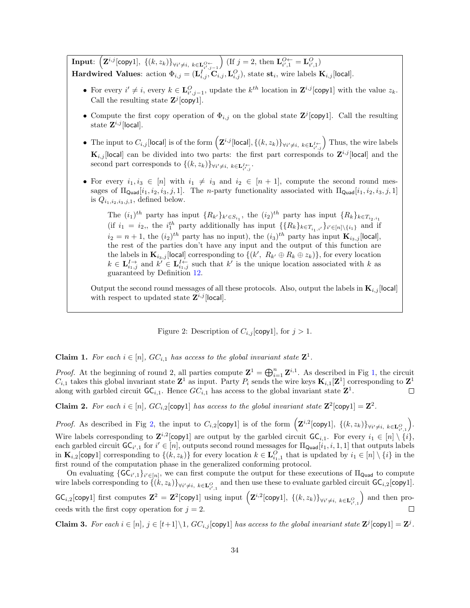<span id="page-33-0"></span> $\textbf{Input: } \left( \mathbf{Z}^{i,j}[\text{copy1}],\ \{(k,z_k)\}_{\forall i' \neq i,\ k \in \mathbf{L}^{O\leftarrow}_{i',j-1}} \right)$ If  $j = 2$ , then  $\mathbf{L}_{i',1}^{O \leftarrow} = \mathbf{L}_{i',1}^{O}$ Hardwired Values: action  $\Phi_{i,j} = (\mathbf{L}_{i,j}^I, \mathbf{C}_{i,j}, \mathbf{L}_{i,j}^O),$  state  $\mathbf{st}_i$ , wire labels  $\mathbf{K}_{i,j}$ [local].

- For every  $i' \neq i$ , every  $k \in \mathbf{L}_{i',j-1}^O$ , update the  $k^{th}$  location in  $\mathbf{Z}^{i,j}$  [copy1] with the value  $z_k$ . Call the resulting state  $\mathbf{Z}^{j}$  [copy1].
- Compute the first copy operation of  $\Phi_{i,j}$  on the global state  $\mathbb{Z}^{j}$  [copy1]. Call the resulting state  $\mathbf{Z}^{i,j}$ [local].
- The input to  $C_{i,j}$  [local] is of the form  $\left(\mathbf{Z}^{i,j}[\mathsf{local}], \{(k,z_k)\}_{\forall i' \neq i, k \in \mathbf{L}_{i',j}^{I \leftarrow}}\right)$  Thus, the wire labels  $\mathbf{K}_{i,j}[\text{local}]$  can be divided into two parts: the first part corresponds to  $\mathbf{Z}^{i,j}[\text{local}]$  and the second part corresponds to  $\{(k, z_k)\}_{\forall i' \neq i, k \in \mathbf{L}_{i',j}^{I \leftarrow}$ .
- For every  $i_1, i_3 \in [n]$  with  $i_1 \neq i_3$  and  $i_2 \in [n+1]$ , compute the second round messages of  $\Pi_{\text{Quad}}[i_1, i_2, i_3, j, 1]$ . The *n*-party functionality associated with  $\Pi_{\text{Quad}}[i_1, i_2, i_3, j, 1]$ is  $Q_{i_1,i_2,i_3,j,1}$ , defined below.

The  $(i_1)^{th}$  party has input  $\{R_{k'}\}_{k'\in S_{i_1}}$ , the  $(i_2)^{th}$  party has input  $\{R_k\}_{k\in T_{i_2,i_1}}$ (if  $i_1 = i_2$ ,, the  $i_1^{th}$  party additionally has input  $\{\{R_k\}_{k \in T_{i_1,i'}}\}_{i' \in [n] \setminus \{i_1\}}$  and if  $i_2 = n + 1$ , the  $(i_2)^{th}$  party has no input), the  $(i_3)^{th}$  party has input  $\mathbf{K}_{i_3,j}$ [local], the rest of the parties don't have any input and the output of this function are the labels in  $\mathbf{K}_{i_3,j}$  [local] corresponding to  $\{(k', R_{k'} \oplus R_k \oplus z_k)\}\)$ , for every location  $k \in \mathbf{L}_{i_1,j}^{I\to}$  and  $k' \in \mathbf{L}_{i_1,j}^{I\leftarrow}$  such that  $k'$  is the unique location associated with k as guaranteed by Definition [12.](#page-25-1)

Output the second round messages of all these protocols. Also, output the labels in  $\mathbf{K}_{i,j}$  [local] with respect to updated state  $\mathbf{Z}^{i,j}$  [local].

Figure 2: Description of  $C_{i,j}$  [copy1], for  $j > 1$ .

**Claim 1.** For each  $i \in [n]$ ,  $GC_{i,1}$  has access to the global invariant state  $\mathbf{Z}^1$ .

*Proof.* At the beginning of round 2, all parties compute  $\mathbf{Z}^1 = \bigoplus_{i=1}^n \mathbf{Z}^{i,1}$ . As described in Fig [1,](#page-32-0) the circuit  $C_{i,1}$  takes this global invariant state  $\mathbf{Z}^1$  as input. Party  $P_i$  sends the wire keys  $\mathbf{K}_{i,1}[\mathbf{Z}^1]$  corresponding to  $\mathbf{Z}^1$ along with garbled circuit  $\mathsf{GC}_{i,1}$ . Hence  $GC_{i,1}$  has access to the global invariant state  $\mathbf{Z}^1$ . П

**Claim 2.** For each  $i \in [n]$ ,  $GC_{i,2}$ [copy1] has access to the global invariant state  $\mathbb{Z}^2$ [copy1] =  $\mathbb{Z}^2$ .

Proof. As described in Fig [2,](#page-33-0) the input to  $C_{i,2}$ [copy1] is of the form  $\left(\mathbf{Z}^{i,2}$ [copy1],  $\{(k,z_k)\}_{\forall i'\neq i, k\in\mathbf{L}_{i',1}^O}$  . Wire labels corresponding to  $\mathbf{Z}^{i,2}$  [copy1] are output by the garbled circuit  $\mathsf{GC}_{i,1}$ . For every  $i_1 \in [n] \setminus \{i\},$ each garbled circuit  $GC_{i',1}$  for  $i' \in [n]$ , outputs second round messages for  $\Pi_{\text{Quad}}[i_1, i, 1, 1]$  that outputs labels in  $\mathbf{K}_{i,2}[\text{copy1}]$  corresponding to  $\{(k, z_k)\}\$ for every location  $k \in \mathbf{L}_{i_1,1}^O$  that is updated by  $i_1 \in [n] \setminus \{i\}$  in the first round of the computation phase in the generalized conforming protocol.

On evaluating  $\{GC_{i',1}\}_{i'\in[n]}$ , we can first compute the output for these executions of  $\Pi_{\text{Quad}}$  to compute wire labels corresponding to  $\{(k, z_k)\}_{\forall i' \neq i, k \in \mathbf{L}^O_{i',1}}$  and then use these to evaluate garbled circuit  $\mathsf{GC}_{i,2}[\mathsf{copy1}].$  $\mathsf{GC}_{i,2}[\mathsf{copy1}]$  first computes  $\mathbf{Z}^2 = \mathbf{Z}^2[\mathsf{copy1}]$  using input  $\left( \mathbf{Z}^{i,2}[\mathsf{copy1}], \ \{ (k,z_k) \}_{\forall i' \neq i, \ k \in \mathbf{L}^O_{i',1}} \right)$  and then proceeds with the first copy operation for  $j = 2$ .  $\Box$ 

Claim 3. For each  $i \in [n], j \in [t+1] \setminus 1$ ,  $GC_{i,j}$  [copy1] has access to the global invariant state  $\mathbf{Z}^{j}$  [copy1] =  $\mathbf{Z}^{j}$ .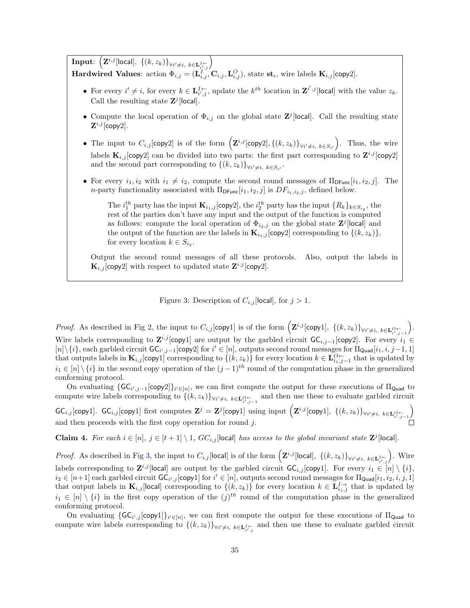<span id="page-34-0"></span> $\textbf{Input: } \left( \mathbf{Z}^{i,j}[\textsf{local}],~ \lbrace (k,z_k) \rbrace_{\forall i' \neq i,~ k \in \mathbf{L}_{i',j}^{I \leftarrow}} \right)$ Hardwired Values: action  $\Phi_{i,j} = (\mathbf{L}_{i,j}^{I^{\infty}}, \mathbf{C}_{i,j}, \mathbf{L}_{i,j}^O)$ , state  $\mathbf{st}_i$ , wire labels  $\mathbf{K}_{i,j}$  [copy2].

- For every  $i' \neq i$ , for every  $k \in L^{I \leftarrow}_{i',j}$ , update the  $k^{th}$  location in  $\mathbf{Z}^{i',j}$  [local] with the value  $z_k$ . Call the resulting state  $\mathbf{Z}^{j}$  [local].
- Compute the local operation of  $\Phi_{i,j}$  on the global state  $\mathbb{Z}^{j}$  [local]. Call the resulting state  $\mathbf{Z}^{i,j}$  [copy2].
- The input to  $C_{i,j}$  [copy2] is of the form  $\left(\mathbf{Z}^{i,j}$  [copy2],  $\{(k,z_k)\}_{\forall i'\neq i, k\in S_{i'}}\right)$ . Thus, the wire labels  $\mathbf{K}_{i,j}$  [copy2] can be divided into two parts: the first part corresponding to  $\mathbf{Z}^{i,j}$  [copy2] and the second part corresponding to  $\{(k, z_k)\}_{\forall i' \neq i, k \in S_{i'}}$ .
- For every  $i_1, i_2$  with  $i_1 \neq i_2$ , compute the second round messages of  $\Pi_{\text{DFunc}}[i_1, i_2, j]$ . The *n*-party functionality associated with  $\Pi_{\text{DFunc}}[i_1, i_2, j]$  is  $DF_{i_1, i_2, j}$ , defined below.

The  $i_1^{th}$  party has the input  $\mathbf{K}_{i_1,j}$  [copy2], the  $i_2^{th}$  party has the input  $\{R_k\}_{k \in S_{i_2}}$ , the rest of the parties don't have any input and the output of the function is computed as follows: compute the local operation of  $\Phi_{i_2,j}$  on the global state  $\mathbf{Z}^j$ [local] and the output of the function are the labels in  $\mathbf{K}_{i_1,j}$  [copy2] corresponding to  $\{(k, z_k)\},$ for every location  $k \in S_{i_2}$ .

Output the second round messages of all these protocols. Also, output the labels in  $\mathbf{K}_{i,j}$  [copy2] with respect to updated state  $\mathbf{Z}^{i,j}$  [copy2].

Figure 3: Description of  $C_{i,j}$ [local], for  $j > 1$ .

Proof. As described in Fig [2,](#page-33-0) the input to  $C_{i,j}$  [copy1] is of the form  $\left(\mathbf{Z}^{i,j}$  [copy1],  $\{(k,z_k)\}_{\forall i' \neq i, k \in \mathbf{L}^{O\leftarrow}_{i',j-1}}$  . Wire labels corresponding to  $\mathbf{Z}^{i,j}$  [copy1] are output by the garbled circuit  $\mathsf{GC}_{i,j-1}$  [copy2]. For every  $i_1 \in$  $[n]\setminus\{i\}$ , each garbled circuit  $\mathsf{GC}_{i',j-1}[\mathsf{copy2}]$  for  $i' \in [n]$ , outputs second round messages for  $\Pi_{\mathsf{Quad}}[i_1, i, j-1, 1]$ that outputs labels in  $\mathbf{K}_{i,j}$  [copy1] corresponding to  $\{(k, z_k)\}\$  for every location  $k \in \mathbf{L}_{i,j-1}^{O \leftarrow}$  that is updated by  $i_1 \in [n] \setminus \{i\}$  in the second copy operation of the  $(j-1)^{th}$  round of the computation phase in the generalized conforming protocol.

On evaluating  $\{GC_{i',j-1}[copy2]\}_{i' \in [n]}$ , we can first compute the output for these executions of  $\Pi_{\text{Quad}}$  to compute wire labels corresponding to  $\{(k, z_k)\}_{\forall i' \neq i, k \in \mathbf{L}^{O^{\leftarrow}_{i',j-1}}}$  and then use these to evaluate garbled circuit i

 $\mathsf{GC}_{i,j}[\mathsf{copy1}]$ .  $\mathsf{GC}_{i,j}[\mathsf{copy1}]$  first computes  $\mathbf{Z}^j = \mathbf{Z}^j[\mathsf{copy1}]$  using input  $\left(\mathbf{Z}^{i,j}[\mathsf{copy1}], \ \{(k,z_k)\}_{\forall i' \neq i, \ k \in \mathbf{L}^{O \leftarrow}_{i',j-1}}\right)$  $\setminus$ and then proceeds with the first copy operation for round  $j$ .

**Claim 4.** For each  $i \in [n]$ ,  $j \in [t+1] \setminus 1$ ,  $GC_{i,j}$  [local] has access to the global invariant state  $\mathbf{Z}^{j}$  [local].

*Proof.* As described in Fig [3,](#page-34-0) the input to  $C_{i,j}$ [local] is of the form  $\left( \mathbf{Z}^{i,j}[\mathsf{local}], \ \{ (k,z_k) \}_{\forall i' \neq i, \ k \in \mathbf{L}_{i',j}^{I \leftarrow}} \right)$ . Wire labels corresponding to  $\mathbf{Z}^{i,j}$  [local] are output by the garbled circuit  $\mathsf{GC}_{i,j}$  [copy1]. For every  $i_1 \in [n] \setminus \{i\},$  $i_2 \in [n+1]$  each garbled circuit  $\mathsf{GC}_{i',j}[\mathsf{copy1}]$  for  $i' \in [n]$ , outputs second round messages for  $\Pi_{\mathsf{Quad}}[i_1, i_2, i, j, 1]$ that output labels in  $\mathbf{K}_{i,j}$  [local] corresponding to  $\{(k, z_k)\}\)$  for every location  $k \in \mathbf{L}_{i,j}^{I\to}$  that is updated by  $i_1 \in [n] \setminus \{i\}$  in the first copy operation of the  $(j)^{th}$  round of the computation phase in the generalized conforming protocol.

On evaluating  $\{GC_{i',j}[\text{copy1}]\}_{i'\in[n]}$ , we can first compute the output for these executions of  $\Pi_{\text{Quad}}$  to compute wire labels corresponding to  $\{(k, z_k)\}_{\forall i' \neq i, k \in \mathbf{L}_{i',j}^{I^{\leftarrow}}}$  and then use these to evaluate garbled circuit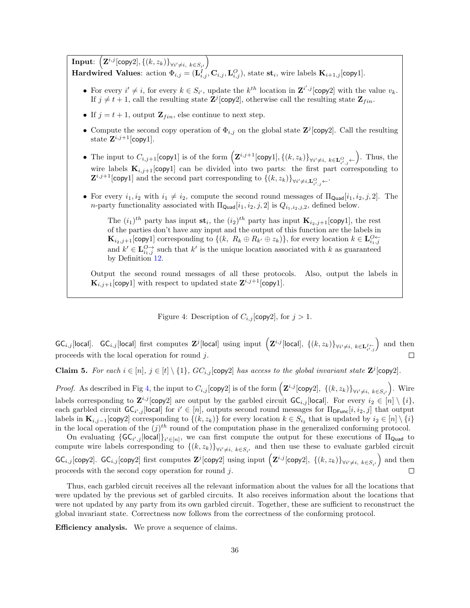<span id="page-35-0"></span> $\textbf{Input: } \left( \mathbf{Z}^{i,j}[\mathsf{copy2}], \left\{ (k, z_k) \right\}_{\forall i' \neq i, \,\, k \in S_{i'}} \right)$ Hardwired Values: action  $\Phi_{i,j} = (\mathbf{L}_{i,j}^I, \mathbf{C}_{i,j}, \mathbf{L}_{i,j}^O)$ , state  $\mathbf{st}_i$ , wire labels  $\mathbf{K}_{i+1,j}$  [copy1].

- For every  $i' \neq i$ , for every  $k \in S_{i'}$ , update the  $k^{th}$  location in  $\mathbf{Z}^{i',j}$  [copy2] with the value  $v_k$ . If  $j \neq t + 1$ , call the resulting state  $\mathbf{Z}^{j}$  [copy2], otherwise call the resulting state  $\mathbf{Z}_{fin}$ .
- If  $j = t + 1$ , output  $\mathbf{Z}_{fin}$ , else continue to next step.
- Compute the second copy operation of  $\Phi_{i,j}$  on the global state  $\mathbb{Z}^{j}$  [copy2]. Call the resulting state  $\mathbf{Z}^{i,j+1}$ [copy1].
- The input to  $C_{i,j+1}[\text{copy1}]$  is of the form  $\left(\mathbf{Z}^{i,j+1}[\text{copy1}],\{(k,z_k)\}_{\forall i'\neq i,\ k\in\mathbf{L}^O_{i',j}\leftarrow\mathbf{L}^O_{i',j}\right)}$  . Thus, the wire labels  $\mathbf{K}_{i,j+1}$ [copy1] can be divided into two parts: the first part corresponding to  $\mathbf{Z}^{i,j+1}$ [copy1] and the second part corresponding to  $\{(k, z_k)\}_{\forall i' \neq i, \mathbf{L}_{i',j}^O \leftarrow j}$ .
- For every  $i_1, i_2$  with  $i_1 \neq i_2$ , compute the second round messages of  $\Pi_{\text{Quad}}[i_1, i_2, j, 2]$ . The *n*-party functionality associated with  $\Pi_{\text{Quad}}[i_1, i_2, j, 2]$  is  $Q_{i_1, i_2, j, 2}$ , defined below.

The  $(i_1)^{th}$  party has input  $\mathbf{st}_i$ , the  $(i_2)^{th}$  party has input  $\mathbf{K}_{i_2,j+1}$  [copy1], the rest of the parties don't have any input and the output of this function are the labels in  $\mathbf{K}_{i_2,j+1}$ [copy1] corresponding to  $\{(k, R_k \oplus R_{k'} \oplus z_k)\}\$ , for every location  $k \in \mathbf{L}_{i_1,j}^{\mathcal{O}\leftarrow}$ and  $k' \in L_{i_1,j}^{\mathcal{O}\to}$  such that  $k'$  is the unique location associated with k as guaranteed by Definition [12.](#page-25-1)

Output the second round messages of all these protocols. Also, output the labels in  $\mathbf{K}_{i,j+1}$ [copy1] with respect to updated state  $\mathbf{Z}^{i,j+1}$ [copy1].

Figure 4: Description of  $C_{i,j}$  [copy2], for  $j > 1$ .

 $\mathsf{GC}_{i,j}[\mathsf{local}].$   $\mathsf{GC}_{i,j}[\mathsf{local}]$  first computes  $\mathbf{Z}^j[\mathsf{local}]$  using input  $\left(\mathbf{Z}^{i,j}[\mathsf{local}], \ \{(k,z_k)\}_{\forall i' \neq i, \ k \in \mathbf{L}_{i',j}^{I \leftarrow}}\right)$  and then proceeds with the local operation for round j.  $\Box$ 

**Claim 5.** For each  $i \in [n], j \in [t] \setminus \{1\}$ ,  $GC_{i,j}$  [copy2] has access to the global invariant state  $\mathbf{Z}^{j}$  [copy2].

*Proof.* As described in Fig [4,](#page-35-0) the input to  $C_{i,j}$  [copy2] is of the form  $\left(\mathbf{Z}^{i,j}$  [copy2],  $\{(k,z_k)\}_{\forall i' \neq i, k \in S_{i'}}\right)$ . Wire labels corresponding to  $\mathbf{Z}^{i,j}$  [copy2] are output by the garbled circuit  $\mathsf{GC}_{i,j}$  [local]. For every  $i_2 \in [n] \setminus \{i\},$ each garbled circuit  $GC_{i',j}$  [local] for  $i' \in [n]$ , outputs second round messages for  $\Pi_{DFunc}[i, i_2, j]$  that output labels in  $\mathbf{K}_{i,j-1}$ [copy2] corresponding to  $\{(k, z_k)\}\$ for every location  $k \in S_{i_2}$  that is updated by  $i_2 \in [n] \setminus \{i\}$ in the local operation of the  $(j)^{th}$  round of the computation phase in the generalized conforming protocol.

On evaluating  $\{GC_{i',j}[\text{local}]\}_{i'\in[n]}$ , we can first compute the output for these executions of  $\Pi_{\text{Quad}}$  to compute wire labels corresponding to  $\{(k, z_k)\}_{\forall i' \neq i, k \in S_{i'}}$  and then use these to evaluate garbled circuit  $\mathsf{GC}_{i,j}[\mathsf{copy2}].\ \mathsf{GC}_{i,j}[\mathsf{copy2}]$  first computes  $\mathbf{Z}^j[\mathsf{copy2}]$  using input  $\left(\mathbf{Z}^{i,j}[\mathsf{copy2}],\ \{(k,z_k)\}_{\forall i'\neq i,\ k\in S_{i'}}\right)$  and then proceeds with the second copy operation for round j.  $\Box$ 

Thus, each garbled circuit receives all the relevant information about the values for all the locations that were updated by the previous set of garbled circuits. It also receives information about the locations that were not updated by any party from its own garbled circuit. Together, these are sufficient to reconstruct the global invariant state. Correctness now follows from the correctness of the conforming protocol.

Efficiency analysis. We prove a sequence of claims.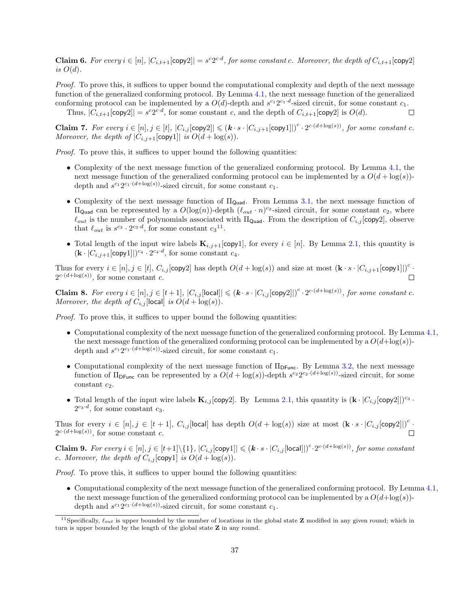**Claim 6.** For every  $i \in [n]$ ,  $|C_{i,t+1}[\text{copy2}]| = s^c 2^{c \cdot d}$ , for some constant c. Moreover, the depth of  $C_{i,t+1}[\text{copy2}]$ is  $O(d)$ .

Proof. To prove this, it suffices to upper bound the computational complexity and depth of the next message function of the generalized conforming protocol. By Lemma [4.1,](#page-25-2) the next message function of the generalized conforming protocol can be implemented by a  $O(d)$ -depth and  $s^{c_1}2^{c_1 \cdot d}$ -sized circuit, for some constant  $c_1$ .

Thus,  $|C_{i,t+1}[\text{copy2}]| = s^c 2^{c \cdot d}$ , for some constant c, and the depth of  $C_{i,t+1}[\text{copy2}]$  is  $O(d)$ .

 $\Box$ 

**Claim 7.** For every  $i \in [n], j \in [t], |C_{i,j}[\text{copy2}]| \leq (k \cdot s \cdot |C_{i,j+1}[\text{copy1}]|)^c \cdot 2^{c \cdot (d+\log(s))}$ , for some constant c. Moreover, the depth of  $|C_{i,j+1}|$ copy1] is  $O(d + \log(s))$ .

Proof. To prove this, it suffices to upper bound the following quantities:

- Complexity of the next message function of the generalized conforming protocol. By Lemma [4.1,](#page-25-2) the next message function of the generalized conforming protocol can be implemented by a  $O(d + \log(s))$ depth and  $s^{c_1}2^{c_1 \cdot (d + \log(s))}$ -sized circuit, for some constant  $c_1$ .
- Complexity of the next message function of  $\Pi_{\text{Quad}}$ . From Lemma [3.1,](#page-12-2) the next message function of  $\Pi_{\text{Quad}}$  can be represented by a  $O(\log(n))$ -depth  $(\ell_{out} \cdot n)^{c_2}$ -sized circuit, for some constant  $c_2$ , where  $\ell_{out}$  is the number of polynomials associated with  $\Pi_{\text{Quad}}$ . From the description of  $C_{i,j}$  [copy2], observe that  $\ell_{out}$  is  $s^{c_3} \cdot 2^{c_3 \cdot d}$ , for some constant  $c_3$ <sup>[11](#page-36-0)</sup>.
- Total length of the input wire labels  $\mathbf{K}_{i,j+1}$ [copy1], for every  $i \in [n]$ . By Lemma [2.1,](#page-11-1) this quantity is  $(\mathbf{k} \cdot | C_{i,j+1}[\text{copy1}]])^{c_4} \cdot 2^{c_4 \cdot d}$ , for some constant  $c_4$ .

Thus for every  $i \in [n], j \in [t], C_{i,j}$  [copy2] has depth  $O(d + \log(s))$  and size at most  $(\mathbf{k} \cdot s \cdot | C_{i,j+1}$  [copy1]|)<sup>c</sup>.  $2^{c \cdot (d + \log(s))}$ , for some constant c.  $\Box$ 

**Claim 8.** For every  $i \in [n], j \in [t+1], |C_{i,j}[\text{local}]| \leq (k \cdot s \cdot |C_{i,j}[\text{copy2}])^c \cdot 2^{c \cdot (d + \log(s))}$ , for some constant c. Moreover, the depth of  $C_{i,j}$ [local] is  $O(d + \log(s))$ .

Proof. To prove this, it suffices to upper bound the following quantities:

- Computational complexity of the next message function of the generalized conforming protocol. By Lemma [4.1,](#page-25-2) the next message function of the generalized conforming protocol can be implemented by a  $O(d + \log(s))$ depth and  $s^{c_1}2^{c_1 \cdot (d + \log(s))}$ -sized circuit, for some constant  $c_1$ .
- Computational complexity of the next message function of  $\Pi_{\text{DFunc}}$ . By Lemma [3.2,](#page-16-2) the next message function of  $\Pi_{\text{DFunc}}$  can be represented by a  $O(d + \log(s))$ -depth  $s^{c_2}2^{c_2 \cdot (d + \log(s))}$ -sized circuit, for some constant  $c_2$ .
- Total length of the input wire labels  $\mathbf{K}_{i,j}$  [copy2]. By Lemma [2.1,](#page-11-1) this quantity is  $(\mathbf{k} \cdot |C_{i,j}[\text{copy2}]])^{c_3}$ .  $2^{c_3 \cdot d}$ , for some constant  $c_3$ .

Thus for every  $i \in [n], j \in [t+1], C_{i,j}$  [local] has depth  $O(d + \log(s))$  size at most  $(\mathbf{k} \cdot s \cdot | C_{i,j}[\text{copy2}])^c$ .  $2^{c \cdot (d + \log(s))}$ , for some constant c.  $\Box$ 

<span id="page-36-1"></span>**Claim 9.** For every  $i \in [n], j \in [t+1] \setminus \{1\}$ ,  $|C_{i,j}[\text{copy1}]| \leq (k \cdot s \cdot |C_{i,j}[\text{local}]|)^c \cdot 2^{c \cdot (d + \log(s))}$ , for some constant c. Moreover, the depth of  $C_{i,j}$  [copy1] is  $O(d + \log(s))$ .

Proof. To prove this, it suffices to upper bound the following quantities:

• Computational complexity of the next message function of the generalized conforming protocol. By Lemma [4.1,](#page-25-2) the next message function of the generalized conforming protocol can be implemented by a  $O(d+\log(s))$ depth and  $s^{c_1}2^{c_1 \cdot (d + \log(s))}$ -sized circuit, for some constant  $c_1$ .

<span id="page-36-0"></span><sup>&</sup>lt;sup>11</sup>Specifically,  $\ell_{out}$  is upper bounded by the number of locations in the global state **Z** modified in any given round; which in turn is upper bounded by the length of the global state Z in any round.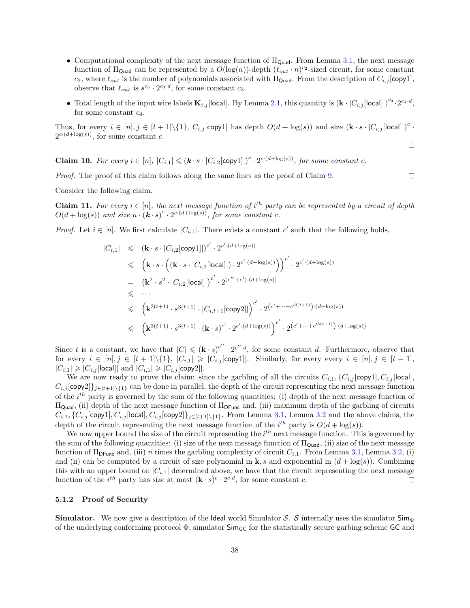- Computational complexity of the next message function of  $\Pi_{\text{Quad}}$ . From Lemma [3.1,](#page-12-2) the next message function of  $\Pi_{\text{Quad}}$  can be represented by a  $O(\log(n))$ -depth  $(\ell_{out} \cdot n)^{c_2}$ -sized circuit, for some constant  $c_2$ , where  $\ell_{out}$  is the number of polynomials associated with  $\Pi_{\text{Quad}}$ . From the description of  $C_{i,j}$  [copy1], observe that  $\ell_{out}$  is  $s^{c_3} \cdot 2^{c_3 \cdot d}$ , for some constant  $c_3$ .
- Total length of the input wire labels  $\mathbf{K}_{i,j}$  [local]. By Lemma [2.1,](#page-11-1) this quantity is  $(\mathbf{k} \cdot | C_{i,j}[\text{local}]|)^{c_4} \cdot 2^{c_4 \cdot d}$ , for some constant  $c_4$ .

Thus, for every  $i \in [n], j \in [t+1]\setminus\{1\}$ ,  $C_{i,j}$ [copy1] has depth  $O(d + \log(s))$  and size  $(\mathbf{k} \cdot s \cdot |C_{i,j}[\text{local}]|)^c$ .  $2^{c \cdot (d + \log(s))}$ , for some constant c.

**Claim 10.** For every  $i \in [n]$ ,  $|C_{i,1}| \leq (k \cdot s \cdot |C_{i,2}[\text{copy1}]])^c \cdot 2^{c \cdot (d + \log(s))}$ , for some constant c.

Proof. The proof of this claim follows along the same lines as the proof of Claim [9.](#page-36-1)

Consider the following claim.

**Claim 11.** For every  $i \in [n]$ , the next message function of i<sup>th</sup> party can be represented by a circuit of depth  $O(d + \log(s))$  and size  $n \cdot (\mathbf{k} \cdot s)^c \cdot 2^{c \cdot (d + \log(s))}$ , for some constant c.

*Proof.* Let  $i \in [n]$ . We first calculate  $|C_{i,1}|$ . There exists a constant c' such that the following holds,

$$
|C_{i,1}| \leq (k \cdot s \cdot |C_{i,2}[\text{copy1}])^{c'} \cdot 2^{c' \cdot (d + \log(s))}
$$
  
\n
$$
\leq (k \cdot s \cdot ((k \cdot s \cdot |C_{i,2}[\text{local}]|) \cdot 2^{c' \cdot (d + \log(s))}))^{c'} \cdot 2^{c' \cdot (d + \log(s))}
$$
  
\n
$$
= (k^{2} \cdot s^{2} \cdot |C_{i,2}[\text{local}]|)^{c'} \cdot 2^{(c'^{2} + c') \cdot (d + \log(s))}
$$
  
\n
$$
\leq \cdots
$$
  
\n
$$
\leq (k^{3(t+1)} \cdot s^{3(t+1)} \cdot |C_{i,t+1}[\text{copy2}]|)^{c'} \cdot 2^{(c' + \cdots + c'^{3(t+1)}) \cdot (d + \log(s))}
$$
  
\n
$$
\leq (k^{3(t+1)} \cdot s^{3(t+1)} \cdot (k \cdot s)^{c'} \cdot 2^{c' \cdot (d + \log(s))})^{c'} \cdot 2^{(c' + \cdots + c'^{3(t+1)}) \cdot (d + \log(s))}
$$

Since t is a constant, we have that  $|C| \leqslant (\mathbf{k} \cdot s)^{c''} \cdot 2^{c'' \cdot d}$ , for some constant d. Furthermore, observe that for every  $i \in [n], j \in [t+1]\setminus\{1\}, |C_{i,1}| \geqslant |C_{i,j}[\text{copy1}]]$ . Similarly, for every every  $i \in [n], j \in [t+1]$ ,  $|C_{i,1}| \geq |C_{i,j}|$ [local] and  $|C_{i,1}| \geq |C_{i,j}|$ [copy2]].

We are now ready to prove the claim: since the garbling of all the circuits  $C_{i,1}$ ,  $\{C_{i,j}[\text{copy1}], C_{i,j}[\text{local}]\}$  $C_{i,j}$ [copy2] $\}_{j\in[t+1]\setminus\{1\}}$  can be done in parallel, the depth of the circuit representing the next message function of the  $i<sup>th</sup>$  party is governed by the sum of the following quantities: (i) depth of the next message function of ΠQuad, (ii) depth of the next message function of ΠDFunc and, (iii) maximum depth of the garbling of circuits  $C_{i,1}, \{C_{i,j}[\text{copy1}], C_{i,j}[\text{local}], C_{i,j}[\text{copy2}]\}_{j\in[t+1]\setminus\{1\}}$ . From Lemma [3.1,](#page-12-2) Lemma [3.2](#page-16-2) and the above claims, the depth of the circuit representing the next message function of the  $i^{th}$  party is  $O(d + \log(s))$ .

We now upper bound the size of the circuit representing the  $i<sup>th</sup>$  next message function. This is governed by the sum of the following quantities: (i) size of the next message function of  $\Pi_{\text{Quad}}$ , (ii) size of the next message function of  $\Pi_{\text{DFunc}}$  and, (iii) n times the garbling complexity of circuit  $C_{i,1}$ . From Lemma [3.1,](#page-12-2) Lemma [3.2,](#page-16-2) (i) and (ii) can be computed by a circuit of size polynomial in  $\mathbf{k}$ , s and exponential in  $(d + \log(s))$ . Combining this with an upper bound on  $|C_{i,1}|$  determined above, we have that the circuit representing the next message function of the *i*<sup>th</sup> party has size at most  $(\mathbf{k} \cdot s)^c \cdot 2^{c \cdot d}$ , for some constant *c*.  $\Box$ 

#### <span id="page-37-0"></span>5.1.2 Proof of Security

**Simulator.** We now give a description of the Ideal world Simulator S. S internally uses the simulator  $\text{Sim}_{\Phi}$ of the underlying conforming protocol  $\Phi$ , simulator  $\text{Sim}_{\mathsf{GC}}$  for the statistically secure garbing scheme GC and

 $\Box$ 

 $\Box$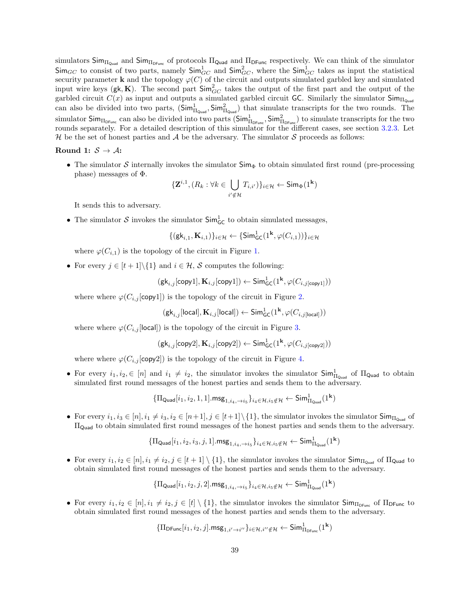simulators  $Sim_{\Pi_{Quad}}$  and  $Sim_{\Pi_{Drunc}}$  of protocols  $\Pi_{Quad}$  and  $\Pi_{Drunc}$  respectively. We can think of the simulator  $\mathsf{Sim}_{GC}$  to consist of two parts, namely  $\mathsf{Sim}_{GC}^1$  and  $\mathsf{Sim}_{GC}^2$ , where the  $\mathsf{Sim}_{GC}^1$  takes as input the statistical security parameter **k** and the topology  $\varphi(C)$  of the circuit and outputs simulated garbled key and simulated input wire keys ( $g$ k, K). The second part  $\text{Sim}_{GC}^2$  takes the output of the first part and the output of the garbled circuit  $C(x)$  as input and outputs a simulated garbled circuit GC. Similarly the simulator  $\text{Sim}_{\Pi_{\text{Quad}}}$ can also be divided into two parts,  $(\textsf{Sim}^1_{\Pi_{\text{Quad}}}, \textsf{Sim}^2_{\Pi_{\text{Quad}}})$  that simulate transcripts for the two rounds. The simulator  $\mathsf{Sim}_{\Pi_{\mathsf{DFunc}}}$  can also be divided into two parts  $(\mathsf{Sim}^1_{\Pi_{\mathsf{DFunc}}}, \mathsf{Sim}^2_{\Pi_{\mathsf{DFunc}}})$  to simulate transcripts for the two rounds separately. For a detailed description of this simulator for the different cases, see section [3.2.3.](#page-16-0) Let H be the set of honest parties and A be the adversary. The simulator S proceeds as follows:

#### Round 1:  $S \rightarrow A$ :

• The simulator S internally invokes the simulator  $\text{Sim}_{\Phi}$  to obtain simulated first round (pre-processing phase) messages of Φ.

$$
\{\mathbf Z^{i,1}, (R_k : \forall k \in \bigcup_{i' \notin \mathcal{H}} T_{i,i'})\}_{i \in \mathcal{H}} \leftarrow \mathsf{Sim}_{\Phi}(1^k)
$$

It sends this to adversary.

• The simulator S invokes the simulator  $Sim<sub>GC</sub><sup>1</sup>$  to obtain simulated messages,

$$
\{(\mathsf{g}\mathsf{k}_{i,1},\mathbf{K}_{i,1})\}_{i\in\mathcal{H}}\leftarrow \{\mathsf{Sim}^1_\mathsf{GC}(1^\mathbf{k},\varphi(C_{i,1}))\}_{i\in\mathcal{H}}
$$

where  $\varphi(C_{i,1})$  is the topology of the circuit in Figure [1.](#page-32-0)

• For every  $j \in [t+1] \setminus \{1\}$  and  $i \in \mathcal{H}$ , S computes the following:

$$
(\mathsf{g}\mathsf{k}_{i,j}[\mathsf{copy1}], \mathbf{K}_{i,j}[\mathsf{copy1}]) \leftarrow \mathsf{Sim}^1_\mathsf{GC}(1^\mathbf{k}, \varphi(C_{i,j[\mathsf{copy1}]}))
$$

where where  $\varphi(C_{i,j}[\text{copy1}])$  is the topology of the circuit in Figure [2.](#page-33-0)

$$
(\mathsf{g}\mathsf{k}_{i,j}[\mathsf{local}], \mathbf{K}_{i,j}[\mathsf{local}]) \gets \mathsf{Sim}^1_\mathsf{GC}(1^\mathbf{k}, \varphi(C_{i,j[\mathsf{local}]}))
$$

where where  $\varphi(C_{i,j}[\text{local}])$  is the topology of the circuit in Figure [3.](#page-34-0)

$$
(\mathsf{g}\mathsf{k}_{i,j}[\mathsf{copy2}], \mathbf{K}_{i,j}[\mathsf{copy2}]) \gets \mathsf{Sim}^1_\mathsf{GC}(1^\mathbf{k}, \varphi(C_{i,j[\mathsf{copy2}]}))
$$

where where  $\varphi(C_{i,j}[\text{copy2}])$  is the topology of the circuit in Figure [4.](#page-35-0)

• For every  $i_1, i_2, \in [n]$  and  $i_1 \neq i_2$ , the simulator invokes the simulator  $\text{Sim}_{\Pi_{\text{Quad}}}^1$  of  $\Pi_{\text{Quad}}$  to obtain simulated first round messages of the honest parties and sends them to the adversary.

$$
\{\Pi_{\mathsf{Quad}}[i_1,i_2,1,1].\mathsf{msg}_{1,i_4,\rightarrow i_5}\}_{i_4\in \mathcal{H},i_5\notin \mathcal{H}}\gets \mathsf{Sim}_{\Pi_{\mathsf{Quad}}}^1(1^\mathbf{k})
$$

• For every  $i_1, i_3 \in [n], i_1 \neq i_3, i_2 \in [n+1], j \in [t+1] \setminus \{1\}$ , the simulator invokes the simulator  $\mathsf{Sim}_{\Pi_{\text{Quad}}}$  of ΠQuad to obtain simulated first round messages of the honest parties and sends them to the adversary.

$$
\{\Pi_{\mathsf{Quad}}[i_1,i_2,i_3,j,1].\mathsf{msg}_{1,i_4,\rightarrow i_5}\}_{i_4\in\mathcal{H},i_5\notin\mathcal{H}}\gets \mathsf{Sim}_{\Pi_{\mathsf{Quad}}}^1(1^\mathbf{k})
$$

• For every  $i_1, i_2 \in [n], i_1 \neq i_2, j \in [t+1] \setminus \{1\}$ , the simulator invokes the simulator  $\mathsf{Sim}_{\Pi_{\text{Quad}}}$  of  $\Pi_{\text{Quad}}$  to obtain simulated first round messages of the honest parties and sends them to the adversary.

$$
\{\Pi_{\mathsf{Quad}}[i_1,i_2,j,2].\text{msg}_{1,i_4,\rightarrow i_5}\}_{i_4\in\mathcal{H},i_5\notin\mathcal{H}}\leftarrow \text{Sim}_{\Pi_{\mathsf{Quad}}}^1(1^\mathbf{k})
$$

• For every  $i_1, i_2 \in [n], i_1 \neq i_2, j \in [t] \setminus \{1\}$ , the simulator invokes the simulator  $\mathsf{Sim}_{\Pi_{\mathsf{DFunc}}}$  of  $\Pi_{\mathsf{DFunc}}$  to obtain simulated first round messages of the honest parties and sends them to the adversary.

$$
\{\Pi_{\mathsf{DFunc}}[i_1,i_2,j].\mathsf{msg}_{1,i'\rightarrow i''}\}_{i\in\mathcal{H}, i''\notin\mathcal{H}}\gets \mathsf{Sim}^1_{\Pi_{\mathsf{DFunc}}}(1^\mathbf{k})
$$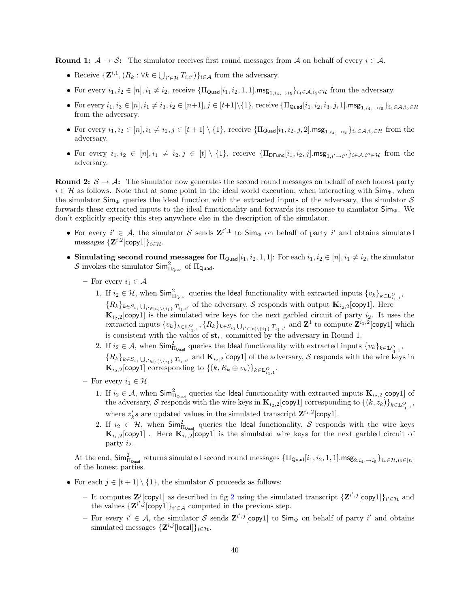**Round 1:**  $A \rightarrow S$ : The simulator receives first round messages from A on behalf of every  $i \in A$ .

- Receive  $\{ \mathbf{Z}^{i,1}, (R_k : \forall k \in \bigcup_{i' \in \mathcal{H}} T_{i,i'}) \}_{i \in \mathcal{A}}$  from the adversary.
- For every  $i_1, i_2 \in [n], i_1 \neq i_2$ , receive  $\{\Pi_{\text{Quad}}[i_1, i_2, 1, 1]$ .ms $\mathbf{g}_{1,i_4,\rightarrow i_5}\}_{i_4 \in \mathcal{A}, i_5 \in \mathcal{H}}$  from the adversary.
- For every  $i_1, i_3 \in [n], i_1 \neq i_3, i_2 \in [n+1], j \in [t+1] \setminus \{1\}$ , receive  $\{\Pi_{\mathsf{Quad}}[i_1, i_2, i_3, j, 1]$ .ms $\mathsf{g}_{1, i_4, \to i_5}\}_{i_4 \in \mathcal{A}, i_5 \in \mathcal{H}}$ from the adversary.
- For every  $i_1, i_2 \in [n], i_1 \neq i_2, j \in [t+1] \setminus \{1\}$ , receive  $\{\Pi_{\text{Quad}}[i_1, i_2, j, 2] \cdot \text{msg}_{1, i_4, \rightarrow i_5}\}_{i_4 \in \mathcal{A}, i_5 \in \mathcal{H}}$  from the adversary.
- For every  $i_1, i_2 \in [n], i_1 \neq i_2, j \in [t] \setminus \{1\}$ , receive  $\{\Pi_{\mathsf{DFunc}}[i_1, i_2, j]$ .ms $\mathsf{g}_{1,i' \to i''}\}_{i \in A, i'' \in \mathcal{H}}$  from the adversary.

**Round 2:**  $S \rightarrow A$ : The simulator now generates the second round messages on behalf of each honest party  $i \in \mathcal{H}$  as follows. Note that at some point in the ideal world execution, when interacting with  $\mathsf{Sim}_{\Phi}$ , when the simulator  $\mathsf{Sim}_{\Phi}$  queries the ideal function with the extracted inputs of the adversary, the simulator S forwards these extracted inputs to the ideal functionality and forwards its response to simulator  $\text{Sim}_{\Phi}$ . We don't explicitly specify this step anywhere else in the description of the simulator.

- For every  $i' \in A$ , the simulator S sends  $\mathbf{Z}^{i',1}$  to  $\mathsf{Sim}_{\Phi}$  on behalf of party i' and obtains simulated  $\mathrm{messages}\; \{\mathbf{Z}^{i,2}[\mathsf{copy1}]\}_{i\in\mathcal{H}}.$
- Simulating second round messages for  $\Pi_{\text{Quad}}[i_1, i_2, 1, 1]$ : For each  $i_1, i_2 \in [n], i_1 \neq i_2$ , the simulator S invokes the simulator  $\textsf{Sim}^2_{\Pi_{\mathsf{Quad}}}$  of  $\Pi_{\mathsf{Quad}}$ .
	- For every  $i_1 \in \mathcal{A}$ 
		- 1. If  $i_2 \in \mathcal{H}$ , when  $\textsf{Sim}_{\Pi_{\textsf{Quad}}}^2$  queries the Ideal functionality with extracted inputs  $\{v_k\}_{k \in \mathbf{L}_{i_1,1}^O}$ ,  $\{R_k\}_{k\in S_{i_1}\bigcup_{i'\in[n]\setminus\{i_1\}} T_{i_1,i'}}$  of the adversary, S responds with output  $\mathbf{K}_{i_2,2}$ [copy1]. Here  $\mathbf{K}_{i_2,2}$ [copy1] is the simulated wire keys for the next garbled circuit of party  $i_2$ . It uses the extracted inputs  $\{v_k\}_{k\in \mathbf{L}_{i_1,1}^O}, \{R_k\}_{k\in S_{i_1}\bigcup_{i'\in[n]\setminus\{i_1\}} T_{i_1,i'}}$  and  $\mathbf{Z}^1$  to compute  $\mathbf{Z}^{i_1,2}$  [copy1] which is consistent with the values of  $\mathbf{st}_{i_1}$  committed by the adversary in Round 1.
		- 2. If  $i_2 \in \mathcal{A}$ , when  $\textsf{Sim}_{\Pi_{\textsf{Quad}}}^2$  queries the Ideal functionality with extracted inputs  $\{v_k\}_{k\in \mathbf{L}_{i_1,1}^O}$ ,  $\{R_k\}_{k\in S_{i_1}\bigcup_{i'\in[n]\setminus\{i_1\}} T_{i_1,i'}}$  and  $\mathbf{K}_{i_2,2}$ [copy1] of the adversary, S responds with the wire keys in  $\mathbf{K}_{i_2,2}$ [copy1] corresponding to  $\{(k, R_k \oplus v_k)\}_{k\in \mathbf{L}^O_{i_1,1}}$ .
	- For every  $i_1 \in \mathcal{H}$ 
		- 1. If  $i_2 \in \mathcal{A}$ , when  $\text{Sim}_{\Pi_{\text{Quad}}}^2$  queries the Ideal functionality with extracted inputs  $\mathbf{K}_{i_2,2}$  [copy1] of the adversary, S responds with the wire keys in  $\mathbf{K}_{i_2,2}$ [copy1] corresponding to  $\{(k,z_k)\}_{k\in\mathbf{L}^O_{i_1,1}},$ where  $z'_{k} s$  are updated values in the simulated transcript  $\mathbf{Z}^{i_1,2}$  [copy1].
		- 2. If  $i_2 \in \mathcal{H}$ , when  $\textsf{Sim}_{\Pi_{\textsf{Quad}}}^2$  queries the Ideal functionality, S responds with the wire keys  $\mathbf{K}_{i_1,2}[\text{copy1}]$ . Here  $\mathbf{K}_{i_1,2}[\text{copy1}]$  is the simulated wire keys for the next garbled circuit of party  $i_2$ .

At the end,  $\mathsf{Sim}^2_{\Pi_{\mathsf{Quad}}}$  returns simulated second round messages  $\{\Pi_{\mathsf{Quad}}[i_1,i_2,1,1].\mathsf{msg}_{2,i_4,\rightarrow i_5}\}_{i_4\in\mathcal{H},i_5\in[n]}$ of the honest parties.

- For each  $j \in [t+1] \setminus \{1\}$ , the simulator S proceeds as follows:
	- It computes  $\mathbf{Z}^{j}$  [copy1] as described in fig [2](#page-33-0) using the simulated transcript  $\{\mathbf{Z}^{i',j}$  [copy1]  $\}_{i' \in \mathcal{H}}$  and the values  $\{ \mathbf{Z}^{i',j}[\text{copy1}]\}_{i' \in \mathcal{A}}$  computed in the previous step.
	- For every  $i' \in A$ , the simulator S sends  $\mathbf{Z}^{i',j}$  [copy1] to  $\mathsf{Sim}_{\Phi}$  on behalf of party i' and obtains simulated messages  $\{\mathbf Z^{i,j}[\mathsf{local}]\}_{i\in\mathcal{H}}.$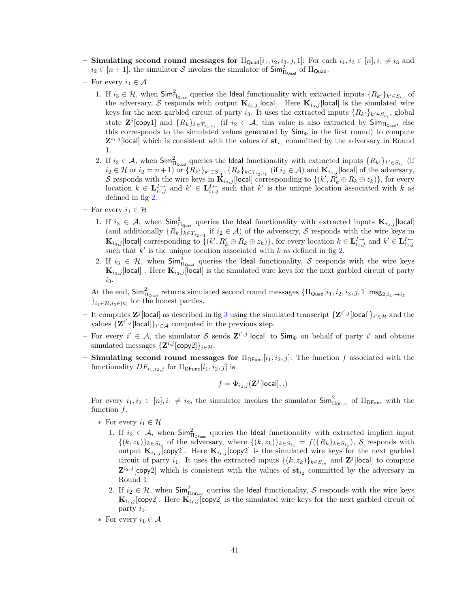- Simulating second round messages for  $\Pi_{\text{Quad}}[i_1, i_2, i_3, j, 1]$ : For each  $i_1, i_3 \in [n], i_1 \neq i_3$  and  $i_2 \in [n+1]$ , the simulator S invokes the simulator of  $\text{Sim}_{\Pi_{\text{Quad}}}^2$  of  $\Pi_{\text{Quad}}$ .
- For every  $i_1 \in \mathcal{A}$ 
	- 1. If  $i_3 \in \mathcal{H}$ , when  $\textsf{Sim}_{\Pi_{\textsf{Quad}}}^2$  queries the Ideal functionality with extracted inputs  $\{R_{k'}\}_{k'\in S_{i_1}}$  of the adversary, S responds with output  $\mathbf{K}_{i_3,j}$  [local]. Here  $\mathbf{K}_{i_3,j}$  [local] is the simulated wire keys for the next garbled circuit of party  $i_3$ . It uses the extracted inputs  $\{R_{k'}\}_{k'\in S_{i_1}}$ , global state  $\mathbf{Z}^j$ [copy1] and  $\{R_k\}_{k \in T_{i_2,i_1}}$  (if  $i_2 \in \mathcal{A}$ , this value is also extracted by  $\mathsf{Sim}_{\Pi_{\mathsf{Quad}}}$ , else this corresponds to the simulated values generated by  $\mathsf{Sim}_{\Phi}$  in the first round) to compute  $\mathbf{Z}^{i_1,j}$  [local] which is consistent with the values of  $\mathbf{st}_{i_1}$  committed by the adversary in Round 1.
	- 2. If  $i_3 \in \mathcal{A}$ , when  $\textsf{Sim}_{\Pi_{\textsf{Quad}}}^2$  queries the Ideal functionality with extracted inputs  $\{R_{k'}\}_{k'\in S_{i_1}}$  (if  $i_2 \in \mathcal{H}$  or  $i_2 = n+1$ ) or  $\{R_{k'}\}_{k' \in S_{i_1}}$ ,  $\{R_k\}_{k \in T_{i_2,i_1}}$  (if  $i_2 \in \mathcal{A}$ ) and  $\mathbf{K}_{i_3,j}$ [local] of the adversary, S responds with the wire keys in  $\dot{\mathbf{K}}_{i_3,j}$  [local] corresponding to  $\{(k', R'_k \oplus R_k \oplus z_k)\}\$ , for every location  $k \in \mathbf{L}_{i_1,j}^{I\to}$  and  $k' \in \mathbf{L}_{i_1,j}^{I\leftarrow}$  such that  $k'$  is the unique location associated with k as defined in fig [2.](#page-33-0)
- For every  $i_1 \in \mathcal{H}$ 
	- 1. If  $i_3 \in A$ , when  $\textsf{Sim}_{\Pi_{\textsf{Quad}}}^2$  queries the Ideal functionality with extracted inputs  $\mathbf{K}_{i_2,j}[\textsf{local}]$ (and additionally  $\{R_k\}_{k\in T_{i_2,i_1}}$  if  $i_2\in\mathcal{A}$ ) of the adversary, S responds with the wire keys in  $\mathbf{K}_{i_3,j}$ [local] corresponding to  $\{(k', R'_k \oplus R_k \oplus z_k)\}\$ , for every location  $k \in \mathbf{L}_{i_1,j}^{I \to}$  and  $k' \in \mathbf{L}_{i_3,j}^{I \leftarrow}$ such that  $k'$  is the unique location associated with k as defined in fig [2.](#page-33-0)
	- 2. If  $i_3 \in H$ , when  $\text{Sim}_{\Pi_{\text{Quad}}}^2$  queries the Ideal functionality, S responds with the wire keys  $\mathbf{K}_{i_3,j}$ [local] . Here  $\mathbf{K}_{i_3,j}$ [local] is the simulated wire keys for the next garbled circuit of party  $i_3$ .

At the end,  $\textsf{Sim}_{\Pi_{\textsf{Quad}}}^2$  returns simulated second round messages  $\{\Pi_{\textsf{Quad}}[i_1, i_2, i_3, j, 1]$ .msg<sub>2,*i*4, $\rightarrow$ *i<sub>5</sub>*</sub>  ${i_4 \in \mathcal{H}, i_5 \in [n]}$  for the honest parties.

- − It computes  $\mathbf{Z}^j$ [local] as described in fig [3](#page-34-0) using the simulated transcript  $\{\mathbf{Z}^{i',j}$ [local] $\}_{i'\in\mathcal{H}}$  and the values  $\{ \mathbf{Z}^{i',j}[\text{local}]\}_{i' \in \mathcal{A}}$  computed in the previous step.
- For every  $i' \in A$ , the simulator S sends  $\mathbf{Z}^{i',j}$  [local] to  $\mathsf{Sim}_{\Phi}$  on behalf of party i' and obtains simulated messages  $\{\mathbf Z^{i,j}[\mathsf{copy2}]\}_{i\in\mathcal{H}}$ .
- Simulating second round messages for  $\Pi_{\text{DFunc}}[i_1, i_2, j]$ : The function f associated with the functionality  $DF_{i_1,i_2,j}$  for  $\Pi_{\text{DFunc}}[i_1,i_2,j]$  is

$$
f = \Phi_{i_2,j}({\bf Z}^j[\mathsf{local}],.)
$$

For every  $i_1, i_2 \in [n], i_1 \neq i_2$ , the simulator invokes the simulator  $\text{Sim}_{\Pi_{\text{DFunc}}}^2$  of  $\Pi_{\text{DFunc}}$  with the function  $f$ .

- ∗ For every  $i_1 \in \mathcal{H}$ 
	- 1. If  $i_2 \in \mathcal{A}$ , when  $\text{Sim}_{\Pi_{\text{Drunc}}}^2$  queries the Ideal functionality with extracted implicit input  $\{(k, z_k)\}_{k \in S_{i_2}}$  of the adversary, where  $\{(k, z_k)\}_{k \in S_{i_2}} = f(\{R_k\}_{k \in S_{i_2}})$ , S responds with output  $\mathbf{K}_{i_1,j}$  [copy2]. Here  $\mathbf{K}_{i_1,j}$  [copy2] is the simulated wire keys for the next garbled circuit of party  $i_1$ . It uses the extracted inputs  $\{(k, z_k)\}_{k \in S_{i_2}}$  and  $\mathbb{Z}^j$  [local] to compute  $\mathbf{Z}^{i_2,j}$  [copy2] which is consistent with the values of  $\mathbf{st}_{i_2}$  committed by the adversary in Round 1.
	- 2. If  $i_2 \in \mathcal{H}$ , when  $\textsf{Sim}^2_{\Pi_{\textsf{DFunc}}}$  queries the Ideal functionality, S responds with the wire keys  $\mathbf{K}_{i_1,j}$  [copy2]. Here  $\mathbf{K}_{i_1,j}$  [copy2] is the simulated wire keys for the next garbled circuit of party  $i_1$ .
- ∗ For every  $i_1 \in \mathcal{A}$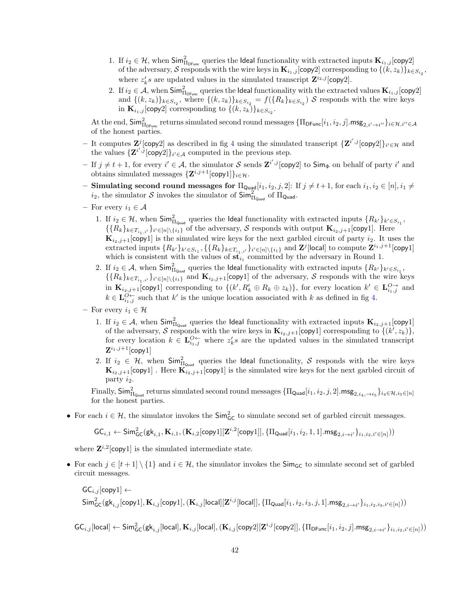- 1. If  $i_2 \in \mathcal{H}$ , when  $\mathsf{Sim}^2_{\Pi_{\mathsf{DFunc}}}$  queries the Ideal functionality with extracted inputs  $\mathbf{K}_{i_1,j}$  [copy2] of the adversary,  $\mathcal S$  responds with the wire keys in  $\mathbf K_{i_1,j}$  [copy2] corresponding to  $\{(k,z_k)\}_{k\in S_{i_2}},$ where  $z'_k s$  are updated values in the simulated transcript  $\mathbf{Z}^{i_2,j}$  [copy2].
- 2. If  $i_2\in\mathcal{A}$ , when  $\mathsf{Sim}^2_{\Pi_{\mathsf{Drunc}}}$  queries the Ideal functionality with the extracted values  $\mathbf{K}_{i_1,j}$  [copy2] and  $\{(k, z_k)\}_{k \in S_{i_2}}$ , where  $\{(k, z_k)\}_{k \in S_{i_2}} = f(\{R_k\}_{k \in S_{i_2}})$  S responds with the wire keys in  $\mathbf{K}_{i_1,j}$ [copy2] corresponding to  $\{(k, z_k)\}_{k \in S_{i_2}}$ .

At the end,  $\textsf{Sim}^2_{\Pi_{\mathsf{DFunc}}}$  returns simulated second round messages  $\{\Pi_{\mathsf{DFunc}}[i_1,i_2,j].\textsf{msg}_{2,i'\to i''}\}_{i\in\mathcal{H},i''\in\mathcal{A}}$ of the honest parties.

- It computes  $\mathbf{Z}^{j}$  [copy2] as described in fig [4](#page-35-0) using the simulated transcript  $\{\mathbf{Z}^{i',j}$  [copy2]  $\}_{i' \in \mathcal{H}}$  and the values  $\{ \mathbf{Z}^{i',j}[\text{copy2}]\}_{i' \in \mathcal{A}}$  computed in the previous step.
- $-$  If  $j \neq t+1$ , for every  $i' \in \mathcal{A}$ , the simulator S sends  $\mathbf{Z}^{i',j}$  [copy2] to  $\mathsf{Sim}_{\Phi}$  on behalf of party i' and obtains simulated messages  $\{ \mathbf{Z}^{i,j+1}[\text{copy1}]\}_{i \in \mathcal{H}}$ .
- Simulating second round messages for  $\Pi_{\text{Quad}}[i_1, i_2, j, 2]$ : If  $j \neq t+1$ , for each  $i_1, i_2 \in [n], i_1 \neq j$  $i_2$ , the simulator S invokes the simulator of  $\text{Sim}_{\Pi_{\text{Quad}}}^2$  of  $\Pi_{\text{Quad}}$ .
- For every  $i_1 \in \mathcal{A}$ 
	- 1. If  $i_2 \in \mathcal{H}$ , when  $\textsf{Sim}_{\Pi_{\textsf{Quad}}}^2$  queries the Ideal functionality with extracted inputs  $\{R_{k'}\}_{k'\in S_{i_1}}$ ,  $\{\{R_k\}_{k\in T_{i_1,i'}}\}_{i'\in[n]\setminus\{i_1\}}$  of the adversary, S responds with output  $\mathbf{K}_{i_2,j+1}$  [copy1]. Here  $\mathbf{K}_{i_2,j+1}$ [copy1] is the simulated wire keys for the next garbled circuit of party  $i_2$ . It uses the  $\text{extracted inputs }\{R_{k'}\}_{k'\in S_{i_1}}, \{\{R_k\}_{k\in T_{i_1,i'}}\}_{i'\in[n]\setminus\{i_1\}}\text{ and }\mathbf{Z}^j[\textsf{local}] \text{ to compute } \mathbf{Z}^{i_1,j+1}[\textsf{copy1}]$ which is consistent with the values of  $\mathbf{st}_{i_1}$  committed by the adversary in Round 1.
	- 2. If  $i_2 \in \mathcal{A}$ , when  $\textsf{Sim}_{\Pi_{\textsf{Quad}}}^2$  queries the Ideal functionality with extracted inputs  $\{R_{k'}\}_{k'\in S_{i_1}}$ ,  $\{\{R_k\}_{k\in T_{i_1,i'}}\}_{i'\in[n]\setminus\{i_1\}}$  and  $\mathbf{K}_{i_2,j+1}$  [copy1] of the adversary, S responds with the wire keys in  $\mathbf{K}_{i_2,j+1}$  [copy1] corresponding to  $\{(k', R'_k \oplus R_k \oplus z_k)\}\$ , for every location  $k' \in \mathbf{L}_{i_1,j}^{\mathcal{O}\rightarrow}$  and  $k \in \mathbf{L}_{i_1,j}^{O \leftarrow}$  such that k' is the unique location associated with k as defined in fig [4.](#page-35-0)
- For every  $i_1 \in \mathcal{H}$ 
	- 1. If  $i_2 \in \mathcal{A}$ , when  $\textsf{Sim}_{\Pi_{\textsf{Quad}}}^2$  queries the Ideal functionality with extracted inputs  $\mathbf{K}_{i_2,j+1}$  [copy1] of the adversary, S responds with the wire keys in  $\mathbf{K}_{i_2,j+1}$  [copy1] corresponding to  $\{(k', z_k)\},$ for every location  $k \in L_{i,j}^{\mathcal{O} \leftarrow}$  where  $z'_{k} s$  are the updated values in the simulated transcript  ${\bf Z}^{i_1,j+1}[{\sf copy1}]$
	- 2. If  $i_2 \in \mathcal{H}$ , when  $\textsf{Sim}_{\Pi_{\textsf{Quad}}}^2$  queries the Ideal functionality, S responds with the wire keys  $\mathbf{K}_{i_2,j+1}[\text{copy1}]$ . Here  $\mathbf{K}_{i_2,j+1}[\text{copy1}]$  is the simulated wire keys for the next garbled circuit of party  $i_2$ .

Finally,  $\mathsf{Sim}^2_{\Pi_{\mathsf{Quad}}}$  returns simulated second round messages  $\{\Pi_{\mathsf{Quad}}[i_1,i_2,j,2].$ ms $\mathsf{g}_{2,i_4,\to i_5}\}_{i_4\in\mathcal{H},i_5\in[n]}$ for the honest parties.

• For each  $i \in \mathcal{H}$ , the simulator invokes the  $\text{Sim}_{\text{GC}}^2$  to simulate second set of garbled circuit messages.

$$
\text{GC}_{i,1} \leftarrow \text{Sim}^{2}_{\text{GC}}(\text{gk}_{i,1}, \textbf{K}_{i,1}, (\textbf{K}_{i,2}[\text{copy1}][\textbf{Z}^{i,2}[\text{copy1}]], \{\Pi_{\text{Quad}}[i_1, i_2, 1, 1]. \text{msg}_{2, i \rightarrow i'}\}_{i_1, i_2, i' \in [n]}))
$$

where  $\mathbf{Z}^{i,2}$ [copy1] is the simulated intermediate state.

• For each  $j \in [t+1] \setminus \{1\}$  and  $i \in \mathcal{H}$ , the simulator invokes the  $\mathsf{Sim}_{\mathsf{GC}}$  to simulate second set of garbled circuit messages.

$$
\begin{aligned} \mathsf{GC}_{i,j}[\mathsf{copy1}] \leftarrow \\ \mathsf{Sim}^2_\mathsf{GC}(\mathsf{g}\mathsf{k}_{i,j}[\mathsf{copy1}], \mathbf{K}_{i,j}[\mathsf{copy1}], (\mathbf{K}_{i,j}[\mathsf{local}][\mathbf{Z}^{i,j}[\mathsf{local}]], \{\Pi_\mathsf{Quad}[i_1,i_2,i_3,j,1], \mathsf{msg}_{2,i \rightarrow i'}\}_{i_1,i_2,i_3,i' \in [n]})) \end{aligned}
$$

 $\mathsf{GC}_{i,j}[$ local $]\gets \mathsf{Sim}^2_\mathsf{GC}(\mathsf{gk}_{i,j}[{\mathsf{local}}], \mathbf{K}_{i,j}[{\mathsf{local}}], (\mathbf{K}_{i,j}[{\mathsf{copy2}}][\mathbf{Z}^{i,j}[{\mathsf{copy2}}]], \{\Pi_\mathsf{DFunc}[i_1,i_2,j].\allowbreak {\mathsf{msg}}_{2,i\to i'}\}_{i_1,i_2,i'\in[n]}))$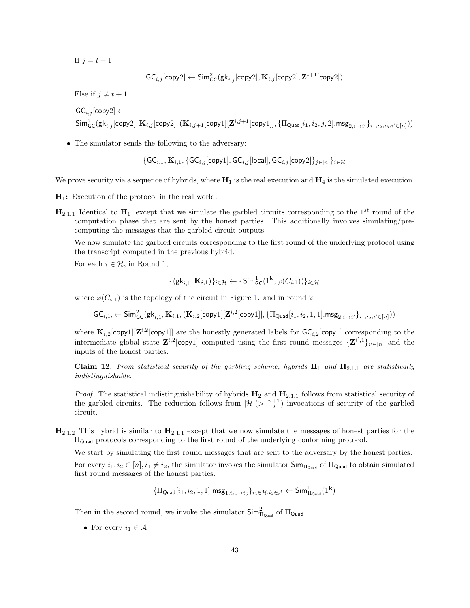If  $j = t + 1$ 

$$
\textsf{GC}_{i,j}[\mathsf{copy2}] \leftarrow \textsf{Sim}^2_\mathsf{GC}(\mathsf{gk}_{i,j}[\mathsf{copy2}], \mathbf{K}_{i,j}[\mathsf{copy2}], \mathbf{Z}^{t+1}[\mathsf{copy2}])
$$

Else if  $j \neq t + 1$ 

$$
\begin{aligned} \mathsf{GC}_{i,j}[\mathsf{copy2}] \leftarrow \\ \mathsf{Sim}^2_{\mathsf{GC}}(\mathsf{g}\mathsf{k}_{i,j}[\mathsf{copy2}], \mathbf{K}_{i,j}[\mathsf{copy2}], (\mathbf{K}_{i,j+1}[\mathsf{copy1}][\mathbf{Z}^{i,j+1}[\mathsf{copy1}]], \{\Pi_{\mathsf{Quad}}[i_1, i_2, j, 2]. \mathsf{msg}_{2, i \rightarrow i'}\}_{i_1, i_2, i_3, i' \in [n]}) \end{aligned} \big)
$$

• The simulator sends the following to the adversary:

$$
\{\mathsf{GC}_{i,1}, \mathbf{K}_{i,1}, \{\mathsf{GC}_{i,j}[\mathsf{copy1}], \mathsf{GC}_{i,j}[\mathsf{local}], \mathsf{GC}_{i,j}[\mathsf{copy2}]\}_{j \in [n]}\}_{i \in \mathcal{H}}
$$

We prove security via a sequence of hybrids, where  $H_1$  is the real execution and  $H_4$  is the simulated execution.

- $H_1$ : Execution of the protocol in the real world.
- $\mathbf{H}_{2,1,1}$  Identical to  $\mathbf{H}_1$ , except that we simulate the garbled circuits corresponding to the 1<sup>st</sup> round of the computation phase that are sent by the honest parties. This additionally involves simulating/precomputing the messages that the garbled circuit outputs.

We now simulate the garbled circuits corresponding to the first round of the underlying protocol using the transcript computed in the previous hybrid.

For each  $i \in \mathcal{H}$ , in Round 1,

$$
\{(\mathsf{g}\mathsf{k}_{i,1},\mathbf{K}_{i,1})\}_{i\in\mathcal{H}}\leftarrow \{\mathsf{Sim}^1_\mathsf{GC}(1^\mathbf{k},\varphi(C_{i,1}))\}_{i\in\mathcal{H}}
$$

where  $\varphi(C_{i,1})$  is the topology of the circuit in Figure [1.](#page-32-0) and in round 2,

$$
\mathsf{GC}_{i,1}, \leftarrow \mathsf{Sim}^2_\mathsf{GC}(\mathsf{gk}_{i,1}, \mathbf{K}_{i,1}, (\mathbf{K}_{i,2}[\mathsf{copy1}][\mathbf{Z}^{i,2}[\mathsf{copy1}]], \{\Pi_{\mathsf{Quad}}[i_1, i_2, 1, 1]. \mathsf{msg}_{2, i \rightarrow i'}\}_{i_1, i_2, i' \in [n]}))
$$

where  $\mathbf{K}_{i,2}$  [copy1]  $[\mathbf{Z}^{i,2}$  [copy1] are the honestly generated labels for  $\mathsf{GC}_{i,2}$  [copy1] corresponding to the intermediate global state  $\mathbf{Z}^{i,2}$  [copy1] computed using the first round messages  $\{\mathbf{Z}^{i',1}\}_{i'\in[n]}$  and the inputs of the honest parties.

Claim 12. From statistical security of the garbling scheme, hybrids  $H_1$  and  $H_{2,1,1}$  are statistically indistinguishable.

*Proof.* The statistical indistinguishability of hybrids  $H_2$  and  $H_{2,1,1}$  follows from statistical security of the garbled circuits. The reduction follows from  $|\mathcal{H}|(>\frac{n+1}{2})$  invocations of security of the garbled circuit.  $\Box$ 

 $H_{2,1,2}$  This hybrid is similar to  $H_{2,1,1}$  except that we now simulate the messages of honest parties for the ΠQuad protocols corresponding to the first round of the underlying conforming protocol.

We start by simulating the first round messages that are sent to the adversary by the honest parties.

For every  $i_1, i_2 \in [n], i_1 \neq i_2$ , the simulator invokes the simulator  $\mathsf{Sim}_{\Pi_{\text{Quad}}}$  of  $\Pi_{\text{Quad}}$  to obtain simulated first round messages of the honest parties.

$$
\{\Pi_{\mathsf{Quad}}[i_1, i_2, 1, 1].\mathsf{msg}_{1, i_4, \rightarrow i_5}\}_{i_4 \in \mathcal{H}, i_5 \in \mathcal{A}} \gets \mathsf{Sim}_{\Pi_{\mathsf{Quad}}}^1(1^\mathbf{k})
$$

Then in the second round, we invoke the simulator  $\text{Sim}_{\Pi_{\text{Quad}}}^2$  of  $\Pi_{\text{Quad}}$ .

• For every  $i_1 \in \mathcal{A}$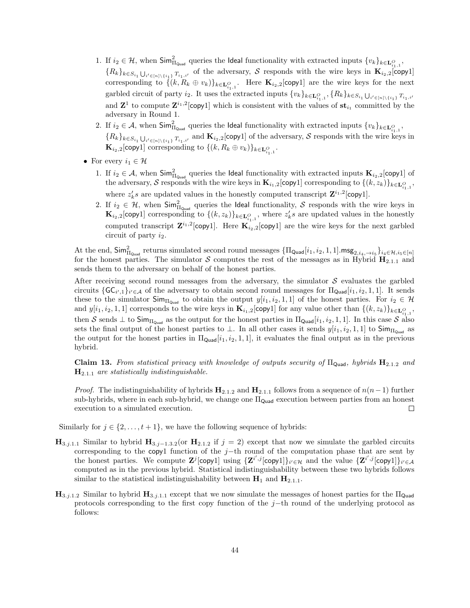- 1. If  $i_2 \in \mathcal{H}$ , when  $\textsf{Sim}_{\Pi_{\textsf{Quad}}}^2$  queries the Ideal functionality with extracted inputs  $\{v_k\}_{k\in \mathbf{L}_{i_1,1}^O}$ ,  ${R_k}_{k \in S_{i_1} \cup_{i' \in [n] \setminus \{i_1\}} T_{i_1,i'}}$  of the adversary, S responds with the wire keys in  $\mathbf{K}_{i_2,2}$ [copy1] corresponding to  $\{(k, R_k \oplus v_k)\}_{k \in \mathbf{L}_{i_1,1}^O}$ . Here  $\mathbf{K}_{i_2,2}$ [copy1] are the wire keys for the next garbled circuit of party  $i_2$ . It uses the extracted inputs  $\{v_k\}_{k \in \mathbf{L}_{i_1,1}^O}, \{R_k\}_{k \in S_{i_1} \bigcup_{i' \in [n] \setminus \{i_1\}} T_{i_1,i'}}$ and  $\mathbf{Z}^1$  to compute  $\mathbf{Z}^{i_1,2}$  [copy1] which is consistent with the values of  $\mathbf{st}_{i_1}$  committed by the adversary in Round 1.
- 2. If  $i_2 \in \mathcal{A}$ , when  $\textsf{Sim}_{\Pi_{\textsf{Quad}}}^2$  queries the Ideal functionality with extracted inputs  $\{v_k\}_{k\in \mathbf{L}_{i_1,1}^O}$ ,  ${R_k}_{k \in S_{i_1} \bigcup_{i' \in [n] \setminus \{i_1\}} T_{i_1,i'}}$  and  $\mathbf{K}_{i_2,2}$  [copy1] of the adversary, S responds with the wire keys in  $\mathbf{K}_{i_2,2}$ [copy1] corresponding to  $\{(k,R_k\oplus v_k)\}_{k\in\mathbf{L}^O_{i_1,1}}$ .
- For every  $i_1 \in \mathcal{H}$ 
	- 1. If  $i_2 \in \mathcal{A}$ , when  $\text{Sim}_{\Pi_{\text{Quad}}}^2$  queries the Ideal functionality with extracted inputs  $\mathbf{K}_{i_2,2}$  [copy1] of the adversary,  $\mathcal S$  responds with the wire keys in  $\mathbf{K}_{i_1,2}$ [copy1] corresponding to  $\{(k,z_k)\}_{k\in\mathbf{L}^O_{i_1,1}},$ where  $z'_k s$  are updated values in the honestly computed transcript  $\mathbf{Z}^{i_1,2}$  [copy1].
	- 2. If  $i_2 \in \mathcal{H}$ , when  $\mathsf{Sim}^2_{\Pi_{\mathsf{Quad}}}$  queries the Ideal functionality, S responds with the wire keys in  $\mathbf{K}_{i_2,2}$ [copy1] corresponding to  $\{(k, z_k)\}_{k \in \mathbf{L}_{i_1,1}^O}$ , where  $z'_k s$  are updated values in the honestly computed transcript  $\mathbf{Z}^{i_1,2}$  [copy1]. Here  $\mathbf{K}_{i_2,2}$  [copy1] are the wire keys for the next garbled circuit of party  $i_2$ .

At the end,  $\mathsf{Sim}^2_{\Pi_{\mathsf{Quad}}}$  returns simulated second round messages  $\{\Pi_{\mathsf{Quad}}[i_1, i_2, 1, 1]$ .ms $\mathsf{g}_{2, i_4, \to i_5}\}_{i_4 \in \mathcal{H}, i_5 \in [n]}$ for the honest parties. The simulator S computes the rest of the messages as in Hybrid  $H_{2,1,1}$  and sends them to the adversary on behalf of the honest parties.

After receiving second round messages from the adversary, the simulator  $\mathcal S$  evaluates the garbled circuits  $\{\mathsf{GC}_{i',1}\}_{i'\in\mathcal{A}}$  of the adversary to obtain second round messages for  $\Pi_{\mathsf{Quad}}[i_1,i_2,1,1]$ . It sends these to the simulator  $\textsf{Sim}_{\Pi_{\textsf{Quad}}}$  to obtain the output  $y[i_1, i_2, 1, 1]$  of the honest parties. For  $i_2 \in \mathcal{H}$ and  $y[i_1, i_2, 1, 1]$  corresponds to the wire keys in  $\mathbf{K}_{i_1,2}$ [copy1] for any value other than  $\{(k, z_k)\}_{k \in \mathbf{L}_{i_1,1}^O}$ , then S sends  $\perp$  to  $\mathsf{Sim}_{\Pi_{\mathsf{Quad}}}$  as the output for the honest parties in  $\Pi_{\mathsf{Quad}}[i_1, i_2, 1, 1]$ . In this case S also sets the final output of the honest parties to ⊥. In all other cases it sends  $y[i_1, i_2, 1, 1]$  to  $\text{Sim}_{\text{I}_\text{Oused}}$  as the output for the honest parties in  $\Pi_{\text{Quad}}[i_1, i_2, 1, 1]$ , it evaluates the final output as in the previous hybrid.

Claim 13. From statistical privacy with knowledge of outputs security of  $\Pi_{\text{Quad}}$ , hybrids  $H_{2,1,2}$  and  $H_{2,1,1}$  are statistically indistinguishable.

*Proof.* The indistinguishability of hybrids  $\mathbf{H}_{2,1,2}$  and  $\mathbf{H}_{2,1,1}$  follows from a sequence of  $n(n-1)$  further sub-hybrids, where in each sub-hybrid, we change one  $\Pi_{\text{Quad}}$  execution between parties from an honest execution to a simulated execution.  $\Box$ 

Similarly for  $j \in \{2, \ldots, t+1\}$ , we have the following sequence of hybrids:

- $\mathbf{H}_{3,j,1,1}$  Similar to hybrid  $\mathbf{H}_{3,j-1,3,2}$  (or  $\mathbf{H}_{2,1,2}$  if  $j = 2$ ) except that now we simulate the garbled circuits corresponding to the copy1 function of the j−th round of the computation phase that are sent by the honest parties. We compute  $\mathbf{Z}^{j}$  [copy1] using  $\{\mathbf{Z}^{i',j}$  [copy1]  $\}_{i' \in \mathcal{H}}$  and the value  $\{\mathbf{Z}^{i',j}$  [copy1]  $\}_{i' \in \mathcal{A}}$ computed as in the previous hybrid. Statistical indistinguishability between these two hybrids follows similar to the statistical indistinguishability between  $H_1$  and  $H_{2,1,1}$ .
- $H_{3,j,1,2}$  Similar to hybrid  $H_{3,j,1,1}$  except that we now simulate the messages of honest parties for the  $\Pi_{\text{Quad}}$ protocols corresponding to the first copy function of the j−th round of the underlying protocol as follows: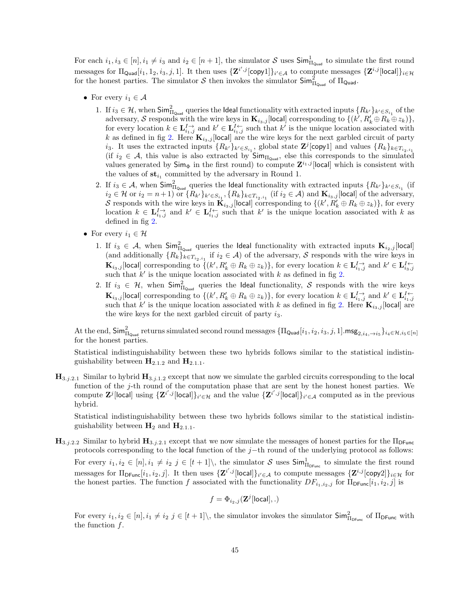For each  $i_1, i_3 \in [n], i_1 \neq i_3$  and  $i_2 \in [n+1]$ , the simulator S uses  $\text{Sim}_{\Pi_{\text{Quad}}}^1$  to simulate the first round messages for  $\Pi_{\mathsf{Quad}}[i_1, 1_2, i_3, j, 1].$  It then uses  $\{\mathbf Z^{i', j}[\mathsf{copy1}]\}_{i' \in \mathcal{A}}$  to compute messages  $\{\mathbf Z^{i, j}[\mathsf{local}]\}_{i \in \mathcal{H}}$ for the honest parties. The simulator S then invokes the simulator  $\text{Sim}_{\Pi_{\text{Quad}}}^2$  of  $\Pi_{\text{Quad}}$ .

- For every  $i_1 \in \mathcal{A}$ 
	- 1. If  $i_3 \in \mathcal{H}$ , when  $\mathsf{Sim}^2_{\Pi_{\mathsf{Quad}}}$  queries the Ideal functionality with extracted inputs  $\{R_{k'}\}_{k'\in S_{i_1}}$  of the adversary, S responds with the wire keys in  $\mathbf{K}_{i_3,j}$  [local] corresponding to  $\{(k', R'_k \oplus R_k \oplus z_k)\},$ for every location  $k \in \mathbf{L}_{i_1,j}^{I\to}$  and  $k' \in \mathbf{L}_{i_1,j}^{I\leftarrow}$  such that  $k'$  is the unique location associated with k as defined in fig [2.](#page-33-0) Here  $\mathbf{K}_{i_3,j}$  [local] are the wire keys for the next garbled circuit of party i<sub>3</sub>. It uses the extracted inputs  $\{R_{k'}\}_{k'\in S_{i_1}}$ , global state  $\mathbf{Z}^j$  [copy1] and values  $\{R_k\}_{k\in T_{i_2,i_1}}$ (if  $i_2 \in \mathcal{A}$ , this value is also extracted by  $\text{Sim}_{\Pi_{\text{Quad}}}$ , else this corresponds to the simulated values generated by  $\mathsf{Sim}_{\Phi}$  in the first round) to compute  $\mathbf{Z}^{i_1,j}$  [local] which is consistent with the values of  $\mathbf{st}_{i_1}$  committed by the adversary in Round 1.
	- 2. If  $i_3 \in \mathcal{A}$ , when  $\textsf{Sim}_{\Pi_{\textsf{Quad}}}^2$  queries the Ideal functionality with extracted inputs  $\{R_{k'}\}_{k' \in S_{i_1}}$  (if  $i_2 \in \mathcal{H}$  or  $i_2 = n+1$ ) or  $\{R_{k'}\}_{k' \in S_{i_1}}$ ,  $\{R_k\}_{k \in T_{i_2,i_1}}$  (if  $i_2 \in \mathcal{A}$ ) and  $\mathbf{K}_{i_3,j}$ [local] of the adversary, S responds with the wire keys in  $\mathbf{K}_{i_3,j}$  [local] corresponding to  $\{(k', R'_k \oplus R_k \oplus z_k)\}\$ , for every location  $k \in \mathbf{L}_{i_1,j}^{I\to}$  and  $k' \in \mathbf{L}_{i_1,j}^{I\leftarrow}$  such that  $k'$  is the unique location associated with k as defined in fig [2.](#page-33-0)
- For every  $i_1 \in \mathcal{H}$ 
	- 1. If  $i_3 \in A$ , when  $\textsf{Sim}^2_{\Pi_{\textsf{Quad}}}$  queries the Ideal functionality with extracted inputs  $\mathbf{K}_{i_2,j}$ [local] (and additionally  $\{R_k\}_{k\in T_{i_2,i_1}}$  if  $i_2\in\mathcal{A}$ ) of the adversary, S responds with the wire keys in  $\mathbf{K}_{i_3,j}$ [local] corresponding to  $\{(k', R'_k \oplus R_k \oplus z_k)\}\$ , for every location  $k \in \mathbf{L}_{i_1,j}^{I \to}$  and  $k' \in \mathbf{L}_{i_3,j}^{I \leftarrow}$ such that  $k'$  is the unique location associated with k as defined in fig [2.](#page-33-0)
	- 2. If  $i_3 \in H$ , when  $\text{Sim}_{\Pi_{\text{Quad}}}^2$  queries the Ideal functionality, S responds with the wire keys  $\mathbf{K}_{i_3,j}$ [local] corresponding to  $\{(k', R'_k \oplus R_k \oplus z_k)\}\$ , for every location  $k \in \mathbf{L}_{i_1,j}^{I \to}$  and  $k' \in \mathbf{L}_{i_1,j}^{I \leftarrow}$ such that k' is the unique location associated with k as defined in fig [2.](#page-33-0) Here  $\mathbf{K}_{i_3,j}$  [local] are the wire keys for the next garbled circuit of party  $i_3$ .

At the end,  $\mathsf{Sim}^2_{\Pi_\mathsf{Quad}}$  returns simulated second round messages  $\{\Pi_\mathsf{Quad}[i_1,i_2,i_3,j,1].\mathsf{msg}_{2,i_4,\rightarrow i_5}\}_{i_4\in\mathcal{H},i_5\in[n]}$ for the honest parties.

Statistical indistinguishability between these two hybrids follows similar to the statistical indistinguishability between  $\mathbf{H}_{2,1,2}$  and  $\mathbf{H}_{2,1,1}$ .

 $\mathbf{H}_{3,j,2,1}$  Similar to hybrid  $\mathbf{H}_{3,j,1,2}$  except that now we simulate the garbled circuits corresponding to the local function of the j-th round of the computation phase that are sent by the honest honest parties. We compute  $\mathbf{Z}^{j}$ [local] using  $\{\mathbf{Z}^{i',j}$ [local]] $\mathbf{Z}_{i' \in \mathcal{H}}$  and the value  $\{\mathbf{Z}^{i',j}$ [local]] $\mathbf{Z}_{i' \in \mathcal{A}}$  computed as in the previous hybrid.

Statistical indistinguishability between these two hybrids follows similar to the statistical indistinguishability between  $H_2$  and  $H_{2,1,1}$ .

 $\mathbf{H}_{3,j,2,2}$  Similar to hybrid  $\mathbf{H}_{3,j,2,1}$  except that we now simulate the messages of honest parties for the  $\Pi_{\text{Drunc}}$ protocols corresponding to the local function of the j−th round of the underlying protocol as follows: For every  $i_1, i_2 \in [n], i_1 \neq i_2 \; j \in [t+1] \setminus$ , the simulator S uses  $\textsf{Sim}^1_{\Pi_{\textsf{Drunc}}}$  to simulate the first round messages for  $\Pi_{\text{DFunc}}[i_1, i_2, j]$ . It then uses  $\{ \mathbf{Z}^{i',j}[\text{local}]\}_{i' \in \mathcal{A}}$  to compute messages  $\{ \mathbf{Z}^{i,j}[\text{copy2}]\}_{i \in \mathcal{H}}$  for the honest parties. The function f associated with the functionality  $DF_{i_1,i_2,j}$  for  $\Pi_{\text{DFunc}}[i_1,i_2,j]$  is

$$
f = \Phi_{i_2,j}({\bf Z}^j[\mathsf{local}],.)
$$

For every  $i_1, i_2 \in [n], i_1 \neq i_2$   $j \in [t+1] \setminus$ , the simulator invokes the simulator  $\textsf{Sim}_{\Pi_{\textsf{DFunc}}}^2$  of  $\Pi_{\textsf{DFunc}}$  with the function f.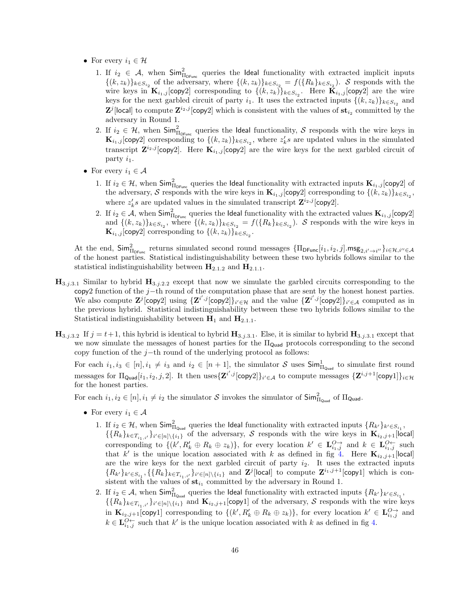- For every  $i_1 \in \mathcal{H}$ 
	- 1. If  $i_2 \in \mathcal{A}$ , when  $\textsf{Sim}^2_{\Pi_{\textsf{DFunc}}}$  queries the Ideal functionality with extracted implicit inputs  $\{(k, z_k)\}_{k \in S_{i_2}}$  of the adversary, where  $\{(k, z_k)\}_{k \in S_{i_2}} = f(\{R_k\}_{k \in S_{i_2}})$ . S responds with the wire keys in  $\mathbf{K}_{i_1,j}[\text{copy2}]$  corresponding to  $\{(k, z_k)\}_{k \in S_{i_2}}$ . Here  $\mathbf{K}_{i_1,j}[\text{copy2}]$  are the wire keys for the next garbled circuit of party  $i_1$ . It uses the extracted inputs  $\{(k, z_k)\}_{k \in S_{i_2}}$  and  $\mathbf{Z}^j$ [local] to compute  $\mathbf{Z}^{i_2,j}$ [copy2] which is consistent with the values of  $\mathbf{st}_{i_2}$  committed by the adversary in Round 1.
	- 2. If  $i_2 \in \mathcal{H}$ , when  $\textsf{Sim}^2_{\Pi_{\textsf{DFunc}}}$  queries the Ideal functionality, S responds with the wire keys in **K**<sub>i<sub>1,j</sub> [copy2] corresponding to  $\{(k, z_k)\}_{k \in S_{i_2}}$ , where  $z'_k s$  are updated values in the simulated</sub> transcript  $\mathbf{Z}^{i_2,j}$  [copy2]. Here  $\mathbf{K}_{i_1,j}$  [copy2] are the wire keys for the next garbled circuit of party  $i_1$ .
- For every  $i_1 \in \mathcal{A}$ 
	- 1. If  $i_2 \in \mathcal{H}$ , when  $\mathsf{Sim}^2_{\Pi_{\mathsf{DFunc}}}$  queries the Ideal functionality with extracted inputs  $\mathbf{K}_{i_1,j}$  [copy2] of the adversary, S responds with the wire keys in  $\mathbf{K}_{i_1,j}$  [copy2] corresponding to  $\{(k, z_k)\}_{k \in S_{i_2}}$ , where  $z'_{k} s$  are updated values in the simulated transcript  $\mathbf{Z}^{i_2,j}$  [copy2].
	- 2. If  $i_2\in\mathcal{A}$ , when  $\mathsf{Sim}^2_{\Pi_{\mathsf{DFunc}}}$  queries the Ideal functionality with the extracted values  $\mathbf{K}_{i_1,j}$  [copy2] and  $\{(k, z_k)\}_{k \in S_{i_2}}$ , where  $\{(k, z_k)\}_{k \in S_{i_2}} = f(\{R_k\}_{k \in S_{i_2}})$ . S responds with the wire keys in  $\mathbf{K}_{i_1,j}[\mathsf{copy2}]$  corresponding to  $\{(k,z_k)\}_{k\in S_{i_2}}$ .

At the end,  $\textsf{Sim}^2_{\Pi_{\mathsf{DFunc}}}$  returns simulated second round messages  $\{\Pi_{\mathsf{DFunc}}[i_1,i_2,j]$ .ms $\mathsf{g}_{2,i'\to i''}\}_{i\in\mathcal{H},i''\in\mathcal{A}}$ of the honest parties. Statistical indistinguishability between these two hybrids follows similar to the statistical indistinguishability between  $H_{2,1,2}$  and  $H_{2,1,1}$ .

- $\mathbf{H}_{3,j,3,1}$  Similar to hybrid  $\mathbf{H}_{3,j,2,2}$  except that now we simulate the garbled circuits corresponding to the copy2 function of the j−th round of the computation phase that are sent by the honest honest parties. We also compute  $\mathbf{Z}^{j}$  [copy2] using  $\{\mathbf{Z}^{i',j}$  [copy2]  $\}_{i' \in \mathcal{H}}$  and the value  $\{\mathbf{Z}^{i',j}$  [copy2]  $\}_{i' \in \mathcal{A}}$  computed as in the previous hybrid. Statistical indistinguishability between these two hybrids follows similar to the Statistical indistinguishability between  $H_1$  and  $H_{2.1.1}$ .
- $\mathbf{H}_{3,j,3,2}$  If  $j = t+1$ , this hybrid is identical to hybrid  $\mathbf{H}_{3,j,3,1}$ . Else, it is similar to hybrid  $\mathbf{H}_{3,j,3,1}$  except that we now simulate the messages of honest parties for the  $\Pi_{\text{Quad}}$  protocols corresponding to the second copy function of the j−th round of the underlying protocol as follows:

For each  $i_1, i_3 \in [n], i_1 \neq i_3$  and  $i_2 \in [n+1]$ , the simulator S uses  $\textsf{Sim}^1_{\Pi_{\text{Quad}}}$  to simulate first round messages for  $\Pi_{\text{Quad}}[i_1, i_2, j, 2]$ . It then uses $\{ \mathbf{Z}^{i', j}[\text{copy2}]\}_{i' \in \mathcal{A}}$  to compute messages  $\{ \mathbf{Z}^{i, j+1}[\text{copy1}]\}_{i \in \mathcal{H}}$ for the honest parties.

For each  $i_1, i_2 \in [n], i_1 \neq i_2$  the simulator S invokes the simulator of  $\text{Sim}_{\Pi_{\text{Quad}}}^2$  of  $\Pi_{\text{Quad}}$ .

- For every  $i_1 \in \mathcal{A}$ 
	- 1. If  $i_2 \in \mathcal{H}$ , when  $\textsf{Sim}_{\Pi_{\textsf{Quad}}}^2$  queries the Ideal functionality with extracted inputs  $\{R_{k'}\}_{k'\in S_{i_1}}$ ,  $\{\{R_k\}_{k\in T_{i_1,i'}}\}_{i'\in[n]\setminus\{i_1\}}$  of the adversary, S responds with the wire keys in  $\mathbf{K}_{i_2,j+1}$  [local] corresponding to  $\{(k', R'_k \oplus R_k \oplus z_k)\}\$ , for every location  $k' \in L_{i_1,j}^{\mathcal{O}\rightarrow}$  and  $k \in L_{i_1,j}^{\mathcal{O}\leftarrow}$  such that k' is the unique location associated with k as defined in fig. [4.](#page-35-0) Here  $\mathbf{K}_{i_2,j+1}$ [local] are the wire keys for the next garbled circuit of party  $i_2$ . It uses the extracted inputs  ${R_{k'}\}_{k'\in S_{i_1}}, \{{R_k}\}_{k\in T_{i_1,i'}}\}_{i'\in[n]\setminus\{i_1\}}$  and  $\mathbf{Z}^j$ [local] to compute  $\mathbf{Z}^{i_1,j+1}$ [copy1] which is consistent with the values of  $\mathbf{st}_{i_1}$  committed by the adversary in Round 1.
	- 2. If  $i_2 \in \mathcal{A}$ , when  $\textsf{Sim}_{\Pi_{\textsf{Quad}}}^2$  queries the Ideal functionality with extracted inputs  $\{R_{k'}\}_{k'\in S_{i_1}}$ ,  $\{\{R_k\}_{k\in T_{i_1,i'}}\}_{i'\in[n]\setminus\{i_1\}}$  and  $\mathbf{K}_{i_2,j+1}$  [copy1] of the adversary, S responds with the wire keys in  $\mathbf{K}_{i_2,j+1}$  [copy1] corresponding to  $\{(k', R'_k \oplus R_k \oplus z_k)\}\$ , for every location  $k' \in \mathbf{L}_{i_1,j}^{\mathcal{O}\rightarrow}$  and  $k \in \mathbf{L}_{i_1,j}^{O \leftarrow}$  such that k' is the unique location associated with k as defined in fig [4.](#page-35-0)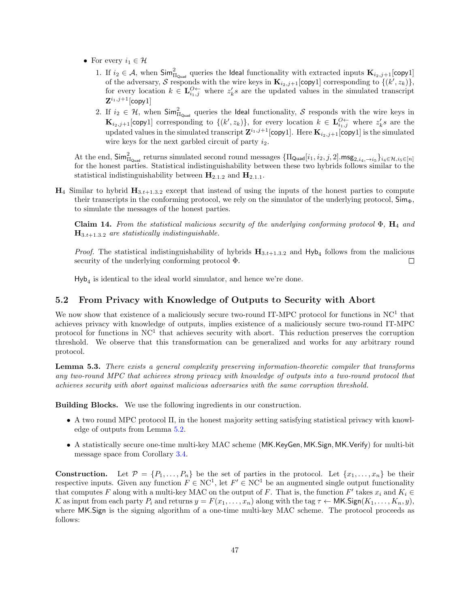- For every  $i_1 \in \mathcal{H}$ 
	- 1. If  $i_2 \in \mathcal{A}$ , when  $\textsf{Sim}_{\Pi_{\textsf{Quad}}}^2$  queries the Ideal functionality with extracted inputs  $\mathbf{K}_{i_2,j+1}$  [copy1] of the adversary, S responds with the wire keys in  $\mathbf{K}_{i_2,j+1}$  [copy1] corresponding to  $\{(k', z_k)\},$ for every location  $k \in L_{i,j}^{\mathcal{O} \leftarrow}$  where  $z'_{k} s$  are the updated values in the simulated transcript  ${\bf Z}^{i_1,j+1}[{\sf copy1}]$
	- 2. If  $i_2 \in \mathcal{H}$ , when  $\textsf{Sim}^2_{\Pi_{\textsf{Quad}}}$  queries the Ideal functionality, S responds with the wire keys in  $\mathbf{K}_{i_2,j+1}$ [copy1] corresponding to  $\{(k',z_k)\}\$ , for every location  $k \in \mathbf{L}_{i_1,j}^{O\leftarrow}$  where  $z'_ks$  are the updated values in the simulated transcript  $\mathbf{Z}^{i_1,j+1}[{\sf copy1}].$  Here  $\mathbf{K}_{i_2,j+1}[{\sf copy1}]$  is the simulated wire keys for the next garbled circuit of party  $i_2$ .

At the end,  $\mathsf{Sim}^2_{\Pi_{\mathsf{Quad}}}$  returns simulated second round messages  $\{\Pi_{\mathsf{Quad}}[i_1, i_2, j, 2]$ .ms $\mathsf{g}_{2, i_4, \to i_5}\}_{i_4 \in \mathcal{H}, i_5 \in [n]}$ for the honest parties. Statistical indistinguishability between these two hybrids follows similar to the statistical indistinguishability between  $H_{2,1,2}$  and  $H_{2,1,1}$ .

 $H_4$  Similar to hybrid  $H_{3,t+1,3,2}$  except that instead of using the inputs of the honest parties to compute their transcripts in the conforming protocol, we rely on the simulator of the underlying protocol,  $\textsf{Sim}_{\Phi}$ , to simulate the messages of the honest parties.

Claim 14. From the statistical malicious security of the underlying conforming protocol  $\Phi$ ,  $H_4$  and  $\mathbf{H}_{3.t+1.3.2}$  are statistically indistinguishable.

*Proof.* The statistical indistinguishability of hybrids  $H_{3,t+1,3,2}$  and  $H_yb_4$  follows from the malicious security of the underlying conforming protocol Φ.  $\Box$ 

 $Hyb<sub>4</sub>$  is identical to the ideal world simulator, and hence we're done.

#### <span id="page-46-0"></span>5.2 From Privacy with Knowledge of Outputs to Security with Abort

We now show that existence of a maliciously secure two-round IT-MPC protocol for functions in  $NC<sup>1</sup>$  that achieves privacy with knowledge of outputs, implies existence of a maliciously secure two-round IT-MPC protocol for functions in  $NC<sup>1</sup>$  that achieves security with abort. This reduction preserves the corruption threshold. We observe that this transformation can be generalized and works for any arbitrary round protocol.

Lemma 5.3. There exists a general complexity preserving information-theoretic compiler that transforms any two-round MPC that achieves strong privacy with knowledge of outputs into a two-round protocol that achieves security with abort against malicious adversaries with the same corruption threshold.

Building Blocks. We use the following ingredients in our construction.

- A two round MPC protocol Π, in the honest majority setting satisfying statistical privacy with knowledge of outputs from Lemma [5.2.](#page-28-3)
- A statistically secure one-time multi-key MAC scheme (MK.KeyGen, MK.Sign, MK.Verify) for multi-bit message space from Corollary [3.4.](#page-24-1)

**Construction.** Let  $\mathcal{P} = \{P_1, \ldots, P_n\}$  be the set of parties in the protocol. Let  $\{x_1, \ldots, x_n\}$  be their respective inputs. Given any function  $F \in NC^1$ , let  $F' \in NC^1$  be an augmented single output functionality that computes F along with a multi-key MAC on the output of F. That is, the function  $F'$  takes  $x_i$  and  $K_i \in$ K as input from each party  $P_i$  and returns  $y = F(x_1, \ldots, x_n)$  along with the tag  $\tau \leftarrow \mathsf{MK}.$  Sign $(K_1, \ldots, K_n, y)$ , where MK.Sign is the signing algorithm of a one-time multi-key MAC scheme. The protocol proceeds as follows: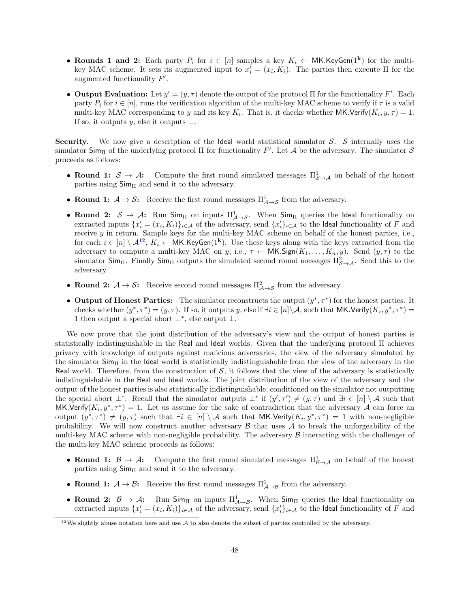- Rounds 1 and 2: Each party  $P_i$  for  $i \in [n]$  samples a key  $K_i \leftarrow \mathsf{MK}.\mathsf{KeyGen}(1^k)$  for the multikey MAC scheme. It sets its augmented input to  $x_i' = (x_i, K_i)$ . The parties then execute  $\Pi$  for the augmented functionality  $F'$ .
- Output Evaluation: Let  $y' = (y, \tau)$  denote the output of the protocol  $\Pi$  for the functionality F'. Each party  $P_i$  for  $i \in [n]$ , runs the verification algorithm of the multi-key MAC scheme to verify if  $\tau$  is a valid multi-key MAC corresponding to y and its key  $K_i$ . That is, it checks whether MK.Verify $(K_i, y, \tau) = 1$ . If so, it outputs y, else it outputs  $\perp$ .

**Security.** We now give a description of the Ideal world statistical simulator  $S$ . S internally uses the simulator  $\mathsf{Sim}_{\Pi}$  of the underlying protocol  $\Pi$  for functionality  $F'$ . Let  $\mathcal A$  be the adversary. The simulator  $\mathcal S$ proceeds as follows:

- Round 1:  $S \to A$ : Compute the first round simulated messages  $\Pi_{S\to A}^1$  on behalf of the honest parties using  $\mathsf{Sim}_{\Pi}$  and send it to the adversary.
- Round 1:  $A \to S$ : Receive the first round messages  $\Pi^1_{A \to S}$  from the adversary.
- Round 2:  $S \to A$ : Run Sim<sub>II</sub> on inputs  $\Pi^1_{A \to S}$ . When Sim<sub>II</sub> queries the Ideal functionality on extracted inputs  $\{x_i' = (x_i, K_i)\}_{i \in \mathcal{A}}$  of the adversary, send  $\{x_i'\}_{i \in \mathcal{A}}$  to the Ideal functionality of F and receive y in return. Sample keys for the multi-key MAC scheme on behalf of the honest parties, i.e., for each  $i \in [n] \setminus \mathcal{A}^{12}$  $i \in [n] \setminus \mathcal{A}^{12}$  $i \in [n] \setminus \mathcal{A}^{12}$ ,  $K_i \leftarrow \mathsf{MK.KeyGen}(1^k)$ . Use these keys along with the keys extracted from the adversary to compute a multi-key MAC on y, i.e.,  $\tau \leftarrow \mathsf{MK}.Sign(K_1, \ldots, K_n, y)$ . Send  $(y, \tau)$  to the simulator  $\mathsf{Sim}_{\Pi}$ . Finally  $\mathsf{Sim}_{\Pi}$  outputs the simulated second round messages  $\Pi_{\mathcal{S}\to\mathcal{A}}^2$ . Send this to the adversary.
- Round 2:  $\mathcal{A} \to \mathcal{S}$ : Receive second round messages  $\Pi_{\mathcal{A} \to \mathcal{S}}^2$  from the adversary.
- Output of Honest Parties: The simulator reconstructs the output  $(y^*, \tau^*)$  for the honest parties. It checks whether  $(y^*, \tau^*) = (y, \tau)$ . If so, it outputs y, else if  $\exists i \in [n] \setminus \mathcal{A}$ , such that MK.Verify $(K_i, y^*, \tau^*) =$ 1 then output a special abort  $\perp^*$ , else output  $\perp$ .

We now prove that the joint distribution of the adversary's view and the output of honest parties is statistically indistinguishable in the Real and Ideal worlds. Given that the underlying protocol Π achieves privacy with knowledge of outputs against malicious adversaries, the view of the adversary simulated by the simulator  $\mathsf{Sim}_{\Pi}$  in the Ideal world is statistically indistinguishable from the view of the adversary in the Real world. Therefore, from the construction of  $S$ , it follows that the view of the adversary is statistically indistinguishable in the Real and Ideal worlds. The joint distribution of the view of the adversary and the output of the honest parties is also statistically indistinguishable, conditioned on the simulator not outputting the special abort  $\perp^*$ . Recall that the simulator outputs  $\perp^*$  if  $(y',\tau') \neq (y,\tau)$  and  $\exists i \in [n] \setminus A$  such that MK.Verify $(K_i, y^*, \tau^*) = 1$ . Let us assume for the sake of contradiction that the adversary A can force an output  $(y^*, \tau^*) \neq (y, \tau)$  such that  $\exists i \in [n] \setminus \mathcal{A}$  such that MK.Verify $(K_i, y^*, \tau^*) = 1$  with non-negligible probability. We will now construct another adversary  $\beta$  that uses  $\mathcal A$  to break the unforgeability of the multi-key MAC scheme with non-negligible probability. The adversary  $\beta$  interacting with the challenger of the multi-key MAC scheme proceeds as follows:

- Round 1:  $\beta \to \mathcal{A}$ : Compute the first round simulated messages  $\Pi_{\beta \to \mathcal{A}}^1$  on behalf of the honest parties using  $\mathsf{Sim}_{\Pi}$  and send it to the adversary.
- Round 1:  $A \rightarrow B$ : Receive the first round messages  $\Pi^1_{A \rightarrow B}$  from the adversary.
- Round 2:  $\beta \to \mathcal{A}$ : Run Sim<sub>II</sub> on inputs  $\Pi^1_{\mathcal{A}\to\mathcal{B}}$ . When Sim<sub>II</sub> queries the Ideal functionality on extracted inputs  $\{x_i = (x_i, K_i)\}_{i \in \mathcal{A}}$  of the adversary, send  $\{x_i'\}_{i \in \mathcal{A}}$  to the Ideal functionality of F and

<span id="page-47-0"></span><sup>&</sup>lt;sup>12</sup>We slightly abuse notation here and use A to also denote the subset of parties controlled by the adversary.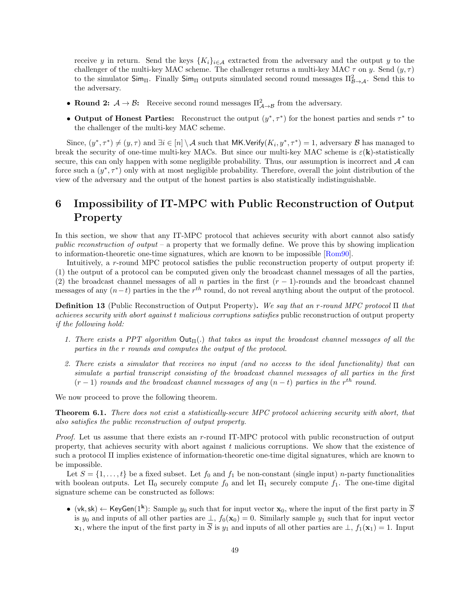receive y in return. Send the keys  ${K_i}_{i \in A}$  extracted from the adversary and the output y to the challenger of the multi-key MAC scheme. The challenger returns a multi-key MAC  $\tau$  on y. Send  $(y, \tau)$ to the simulator  $\mathsf{Sim}_{\Pi}$ . Finally  $\mathsf{Sim}_{\Pi}$  outputs simulated second round messages  $\Pi_{\mathcal{B}\to\mathcal{A}}^2$ . Send this to the adversary.

- Round 2:  $\mathcal{A} \to \mathcal{B}$ : Receive second round messages  $\Pi_{\mathcal{A} \to \mathcal{B}}^2$  from the adversary.
- Output of Honest Parties: Reconstruct the output  $(y^*, \tau^*)$  for the honest parties and sends  $\tau^*$  to the challenger of the multi-key MAC scheme.

Since,  $(y^*, \tau^*) \neq (y, \tau)$  and  $\exists i \in [n] \setminus \mathcal{A}$  such that MK.Verify $(K_i, y^*, \tau^*) = 1$ , adversary  $\mathcal{B}$  has managed to break the security of one-time multi-key MACs. But since our multi-key MAC scheme is  $\varepsilon(\mathbf{k})$ -statistically secure, this can only happen with some negligible probability. Thus, our assumption is incorrect and  $\mathcal A$  can force such a  $(y^*, \tau^*)$  only with at most negligible probability. Therefore, overall the joint distribution of the view of the adversary and the output of the honest parties is also statistically indistinguishable.

## <span id="page-48-0"></span>6 Impossibility of IT-MPC with Public Reconstruction of Output Property

In this section, we show that any IT-MPC protocol that achieves security with abort cannot also satisfy public reconstruction of output – a property that we formally define. We prove this by showing implication to information-theoretic one-time signatures, which are known to be impossible [\[Rom90\]](#page-57-6).

Intuitively, a r-round MPC protocol satisfies the public reconstruction property of output property if: (1) the output of a protocol can be computed given only the broadcast channel messages of all the parties, (2) the broadcast channel messages of all n parties in the first  $(r - 1)$ -rounds and the broadcast channel messages of any  $(n-t)$  parties in the the r<sup>th</sup> round, do not reveal anything about the output of the protocol.

Definition 13 (Public Reconstruction of Output Property). We say that an r-round MPC protocol Π that achieves security with abort against t malicious corruptions satisfies public reconstruction of output property if the following hold:

- 1. There exists a PPT algorithm  $Out_{\Pi}(.)$  that takes as input the broadcast channel messages of all the parties in the r rounds and computes the output of the protocol.
- 2. There exists a simulator that receives no input (and no access to the ideal functionality) that can simulate a partial transcript consisting of the broadcast channel messages of all parties in the first  $(r-1)$  rounds and the broadcast channel messages of any  $(n-t)$  parties in the r<sup>th</sup> round.

We now proceed to prove the following theorem.

Theorem 6.1. There does not exist a statistically-secure MPC protocol achieving security with abort, that also satisfies the public reconstruction of output property.

Proof. Let us assume that there exists an r-round IT-MPC protocol with public reconstruction of output property, that achieves security with abort against t malicious corruptions. We show that the existence of such a protocol Π implies existence of information-theoretic one-time digital signatures, which are known to be impossible.

Let  $S = \{1, \ldots, t\}$  be a fixed subset. Let  $f_0$  and  $f_1$  be non-constant (single input) *n*-party functionalities with boolean outputs. Let  $\Pi_0$  securely compute  $f_0$  and let  $\Pi_1$  securely compute  $f_1$ . The one-time digital signature scheme can be constructed as follows:

• (vk, sk)  $\leftarrow$  KeyGen(1<sup>k</sup>): Sample  $y_0$  such that for input vector  $\mathbf{x}_0$ , where the input of the first party in  $\overline{S}$ is  $y_0$  and inputs of all other parties are  $\perp$ ,  $f_0(\mathbf{x}_0) = 0$ . Similarly sample  $y_1$  such that for input vector  $\mathbf{x}_1$ , where the input of the first party in  $\overline{S}$  is  $y_1$  and inputs of all other parties are  $\perp$ ,  $f_1(\mathbf{x}_1) = 1$ . Input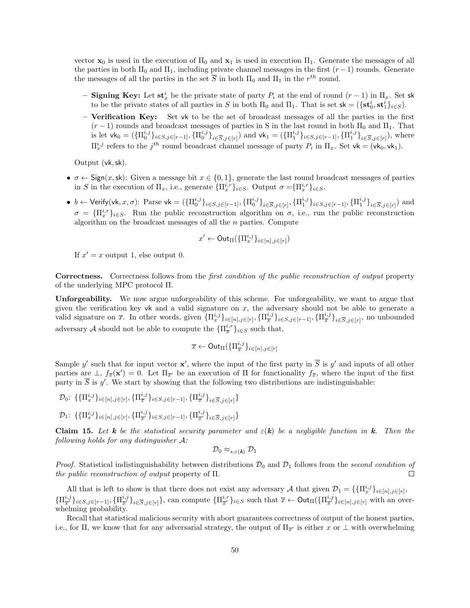vector  $\mathbf{x}_0$  is used in the execution of  $\Pi_0$  and  $\mathbf{x}_1$  is used in execution  $\Pi_1$ . Generate the messages of all the parties in both  $\Pi_0$  and  $\Pi_1$ , including private channel messages in the first  $(r-1)$  rounds. Generate the messages of all the parties in the set  $\overline{S}$  in both  $\Pi_0$  and  $\Pi_1$  in the  $r^{th}$  round.

- Signing Key: Let  $st_x^i$  be the private state of party  $P_i$  at the end of round  $(r-1)$  in  $\Pi_x$ . Set sk to be the private states of all parties in S in both  $\Pi_0$  and  $\Pi_1$ . That is set  $sk = (\{st_0^i, st_1^i\}_{i \in S})$ .
- Verification Key: Set vk to be the set of broadcast messages of all the parties in the first  $(r-1)$  rounds and broadcast messages of parties in S in the last round in both  $\Pi_0$  and  $\Pi_1$ . That is let  $\mathsf{vk}_0 = (\{\Pi_0^{i,j}\}_{i \in S, j \in [r-1]}, \{\Pi_0^{i,j}\}_{i \in \overline{S}, j \in [r]})$  and  $\mathsf{vk}_1 = (\{\Pi_1^{i,j}\}_{i \in S, j \in [r-1]}, \{\Pi_1^{i,j}\}_{i \in \overline{S}, j \in [r]})$ , where  $\Pi_x^{i,j}$  refers to the  $j^{th}$  round broadcast channel message of party  $P_i$  in  $\Pi_x$ . Set  $\mathsf{vk} = (\mathsf{vk}_0, \mathsf{vk}_1)$ .

Output (vk,sk).

- $\sigma \leftarrow \text{Sign}(x, \text{sk})$ : Given a message bit  $x \in \{0, 1\}$ , generate the last round broadcast messages of parties in S in the execution of  $\Pi_x$ , i.e., generate  ${\{\Pi_x^{i,r}\}}_{i\in S}$ . Output  $\sigma = {\{\Pi_x^{i,r}\}}_{i\in S}$ .
- *b* ← Verify(vk, *x*, *σ*): Parse vk = ({ $\Pi_0^{i,j}$ }<sub>*i*∈*S*,*j*∈[*r*-1]</sub>, { $\Pi_0^{i,j}$ }<sub>*i*∈*S*,*j*∈[*r*]</sub>, { $\Pi_1^{i,j}$ }<sub>*i*∈*S*,*j*∈[*r*-1], { $\Pi_1^{i,j}$ }<sub>*i*∈*S*,*j*∈[*r*]</sub>) and</sub>  $\sigma = {\{\Pi_x^{i,r}\}}_{i\in S}$ . Run the public reconstruction algorithm on  $\sigma$ , i.e., run the public reconstruction algorithm on the broadcast messages of all the n parties. Compute

$$
x' \leftarrow \mathsf{Out}_{\Pi}(\{\Pi_x^{i,j}\}_{i \in [n], j \in [r]})
$$

If  $x' = x$  output 1, else output 0.

Correctness. Correctness follows from the first condition of the public reconstruction of output property of the underlying MPC protocol Π.

Unforgeability. We now argue unforgeability of this scheme. For unforgeability, we want to argue that given the verification key vk and a valid signature on  $x$ , the adversary should not be able to generate a valid signature on  $\overline{x}$ . In other words, given  $\{\Pi_x^{i,j}\}_{i \in [n], j \in [r]}, \{\Pi_x^{i,j}\}_{i \in S, j \in [r-1]}, \{\Pi_x^{i,j}\}_{i \in \overline{S}, j \in [r]},$  no unbounded adversary A should not be able to compute the  $\{\Pi_{\overline{x}}^{i,r}\}_{i\in S}$  such that,

$$
\overline{x} \leftarrow \mathsf{Out}_{\Pi}(\{\Pi_{\overline{x}}^{i,j}\}_{i \in [n], j \in [r]}
$$

Sample y' such that for input vector  $x'$ , where the input of the first party in  $\overline{S}$  is y' and inputs of all other parties are  $\perp$ ,  $f_{\overline{x}}(x') = 0$ . Let  $\Pi_{\overline{x}'}$  be an execution of  $\Pi$  for functionality  $f_{\overline{x}}$ , where the input of the first party in  $\overline{S}$  is y'. We start by showing that the following two distributions are indistinguishable:

 $\mathcal{D}_0\colon\thinspace \{\{\Pi_x^{i,j}\}_{i\in[n],j\in[r]},\{\Pi_{\overline{x}}^{i,j}\}_{i\in S,j\in[r-1]},\{\Pi_{\overline{x}}^{i,j}\}_{i\in \overline{S},j\in[r]}\}$  $\mathcal{D}_1\colon\ \{\{\Pi_x^{i,j}\}_{i\in[n],j\in[r]},\{\Pi_{\overline{x}^{\prime}}^{i,j}\}_{i\in S,j\in[r-1]},\{\Pi_{\overline{x}^{\prime}}^{i,j}\}_{i\in \overline{S},j\in[r]}\}$ 

**Claim 15.** Let k be the statistical security parameter and  $\varepsilon(k)$  be a negligible function in k. Then the following holds for any distinguisher A:

$$
\mathcal{D}_0 \approx_{s,\varepsilon(k)} \mathcal{D}_1
$$

*Proof.* Statistical indistinguishability between distributions  $\mathcal{D}_0$  and  $\mathcal{D}_1$  follows from the second condition of the public reconstruction of output property of Π.  $\Box$ 

All that is left to show is that there does not exist any adversary A that given  $\mathcal{D}_1 = \{\{\Pi_x^{i,j}\}_{i \in [n], j \in [r]},\}$  $\{\Pi^{i,j}_{\overline{x}'}\}_{i\in S,j\in[r-1]},\{\Pi^{i,j}_{\overline{x}'}\}_{i\in\overline{S},j\in[r]}\}\)$ , can compute  $\{\Pi^{i,r}_{\overline{x}'}\}_{i\in S}$  such that  $\overline{x} \leftarrow \text{Out}_{\Pi}(\{\Pi^{i,j}_{\overline{x}'}\}_{i\in[n],j\in[r]}$  with an overwhelming probability.

Recall that statistical malicious security with abort guarantees correctness of output of the honest parties, i.e., for Π, we know that for any adversarial strategy, the output of  $\Pi_{\overline{x}'}$  is either x or  $\bot$  with overwhelming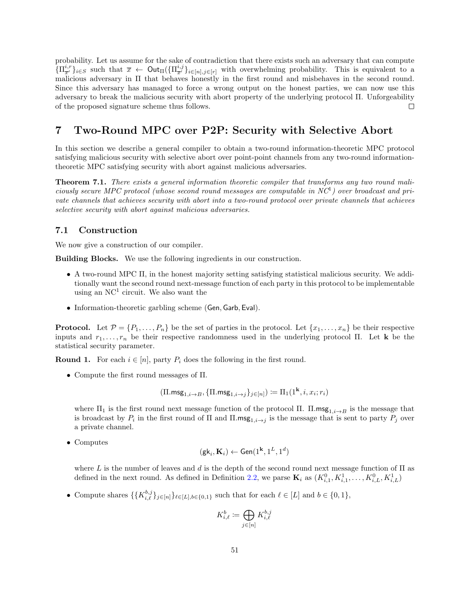probability. Let us assume for the sake of contradiction that there exists such an adversary that can compute  ${\{\Pi^{i,r}_{\overline{x}'}\}_{i\in S}}$  such that  $\overline{x} \leftarrow \text{Out}_{\Pi}({\{\Pi^{i,j}_{\overline{x}'}\}_{i\in[n],j\in[r]}}$  with overwhelming probability. This is equivalent to a malicious adversary in Π that behaves honestly in the first round and misbehaves in the second round. Since this adversary has managed to force a wrong output on the honest parties, we can now use this adversary to break the malicious security with abort property of the underlying protocol Π. Unforgeability of the proposed signature scheme thus follows.  $\Box$ 

### <span id="page-50-0"></span>7 Two-Round MPC over P2P: Security with Selective Abort

In this section we describe a general compiler to obtain a two-round information-theoretic MPC protocol satisfying malicious security with selective abort over point-point channels from any two-round informationtheoretic MPC satisfying security with abort against malicious adversaries.

<span id="page-50-2"></span>Theorem 7.1. There exists a general information theoretic compiler that transforms any two round maliciously secure MPC protocol (whose second round messages are computable in  $NC<sup>1</sup>$ ) over broadcast and private channels that achieves security with abort into a two-round protocol over private channels that achieves selective security with abort against malicious adversaries.

#### <span id="page-50-1"></span>7.1 Construction

We now give a construction of our compiler.

Building Blocks. We use the following ingredients in our construction.

- A two-round MPC Π, in the honest majority setting satisfying statistical malicious security. We additionally want the second round next-message function of each party in this protocol to be implementable using an  $NC<sup>1</sup>$  circuit. We also want the
- Information-theoretic garbling scheme (Gen, Garb, Eval).

**Protocol.** Let  $\mathcal{P} = \{P_1, \ldots, P_n\}$  be the set of parties in the protocol. Let  $\{x_1, \ldots, x_n\}$  be their respective inputs and  $r_1, \ldots, r_n$  be their respective randomness used in the underlying protocol Π. Let **k** be the statistical security parameter.

**Round 1.** For each  $i \in [n]$ , party  $P_i$  does the following in the first round.

• Compute the first round messages of Π.

$$
(\Pi.\text{msg}_{1,i\rightarrow B}, \{\Pi.\text{msg}_{1,i\rightarrow j}\}_{j\in[n]}) \coloneqq \Pi_1(1^{\mathbf{k}}, i, x_i; r_i)
$$

where  $\Pi_1$  is the first round next message function of the protocol  $\Pi$ .  $\Pi$ .msg<sub>1,i→B</sub> is the message that is broadcast by  $P_i$  in the first round of  $\Pi$  and  $\Pi$ .ms $\mathbf{g}_{1,i\to j}$  is the message that is sent to party  $P_j$  over a private channel.

• Computes

$$
(\mathsf{g}\mathsf{k}_i,\mathbf{K}_i) \leftarrow \mathsf{Gen}(1^{\mathbf{k}},1^L,1^d)
$$

where L is the number of leaves and d is the depth of the second round next message function of  $\Pi$  as defined in the next round. As defined in Definition [2.2,](#page-11-0) we parse  $\mathbf{K}_i$  as  $(K_{i,1}^0, K_{i,1}^1, \ldots, K_{i,L}^0, K_{i,L}^1)$ 

• Compute shares  $\{\{K_{i,\ell}^{b,j}\}_{j\in[n]}\}_{\ell\in[L],b\in\{0,1\}}$  such that for each  $\ell\in[L]$  and  $b\in\{0,1\},$ 

$$
K_{i,\ell}^b \coloneqq \bigoplus_{j \in [n]} K_{i,\ell}^{b,j}
$$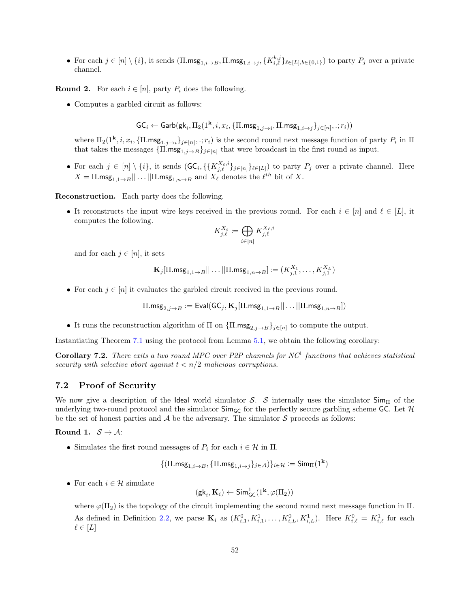• For each  $j \in [n] \setminus \{i\}$ , it sends  $(\Pi.\text{msg}_{1,i\rightarrow B},\Pi.\text{msg}_{1,i\rightarrow j}, \{K_{i,\ell}^{b,j}\}_{\ell \in [L],b \in \{0,1\}})$  to party  $P_j$  over a private channel.

**Round 2.** For each  $i \in [n]$ , party  $P_i$  does the following.

• Computes a garbled circuit as follows:

 $\mathsf{GC}_i \leftarrow \mathsf{Garb}(\mathsf{gk}_i, \Pi_2(1^{\mathbf{k}}, i, x_i, \{\Pi.\mathsf{msg}_{1,j \rightarrow i}, \Pi.\mathsf{msg}_{1,i \rightarrow j}\}_{j \in [n]},.;r_i))$ 

where  $\Pi_2(1^{\mathbf{k}}, i, x_i, {\Pi}.\text{msg}_{1,j\to i}\}_{j\in[n]}, \ldots; r_i)$  is the second round next message function of party  $P_i$  in  $\Pi$ that takes the messages  ${\{\Pi.\text{msg}_{1,j\to B}\}_{j\in[n]} }$  that were broadcast in the first round as input.

• For each  $j \in [n] \setminus \{i\}$ , it sends  $(\mathsf{GC}_i, \{\{K_{j,\ell}^{X_{\ell},i}\}_{j\in[n]}\}_{\ell\in[L]})$  to party  $P_j$  over a private channel. Here  $X = \Pi \text{.msg}_{1,1 \to B} || \dots || \Pi \text{.msg}_{1,n \to B}$  and  $X_\ell$  denotes the  $\ell^{th}$  bit of X.

Reconstruction. Each party does the following.

• It reconstructs the input wire keys received in the previous round. For each  $i \in [n]$  and  $\ell \in [L]$ , it computes the following.

$$
K^{X_{\ell}}_{j,\ell} \coloneqq \bigoplus_{i \in [n]} K^{X_{\ell},i}_{j,\ell}
$$

and for each  $j \in [n]$ , it sets

$$
\mathbf{K}_j[\Pi.\text{msg}_{1,1\rightarrow B}||\ldots||\Pi.\text{msg}_{1,n\rightarrow B}] \coloneqq (K^{X_1}_{j,1},\ldots,K^{X_L}_{j,1})
$$

• For each  $j \in [n]$  it evaluates the garbled circuit received in the previous round.

$$
\Pi.\mathsf{msg}_{2,j\rightarrow B}:=\mathsf{Eval}(\mathsf{GC}_j,\mathbf{K}_j[\Pi.\mathsf{msg}_{1,1\rightarrow B}||\ldots||\Pi.\mathsf{msg}_{1,n\rightarrow B}])
$$

• It runs the reconstruction algorithm of  $\Pi$  on  ${\{\Pi.\text{msg}_{2,j\rightarrow B}\}_{j\in[n]}}$  to compute the output.

Instantiating Theorem [7.1](#page-50-2) using the protocol from Lemma 5.[1,](#page-28-4) we obtain the following corollary:

**Corollary 7.2.** There exits a two round MPC over P2P channels for  $NC<sup>1</sup>$  functions that achieves statistical security with selective abort against  $t < n/2$  malicious corruptions.

#### <span id="page-51-0"></span>7.2 Proof of Security

We now give a description of the Ideal world simulator S. S internally uses the simulator  $\text{Sim}_{\Pi}$  of the underlying two-round protocol and the simulator  $\mathsf{Sim}_{\mathsf{GC}}$  for the perfectly secure garbling scheme GC. Let  $\mathcal H$ be the set of honest parties and  $A$  be the adversary. The simulator  $S$  proceeds as follows:

#### Round 1.  $S \rightarrow A$ :

• Simulates the first round messages of  $P_i$  for each  $i \in \mathcal{H}$  in  $\Pi$ .

$$
\{(\Pi.\text{msg}_{1,i\rightarrow B}, \{\Pi.\text{msg}_{1,i\rightarrow j}\}_{j\in \mathcal{A}})\}_{i\in \mathcal{H}} \coloneqq \text{Sim}_{\Pi}(1^{\mathbf{k}})
$$

• For each  $i \in \mathcal{H}$  simulate

 $(\mathsf{g}\mathsf{k}_i,\mathbf{K}_i)\leftarrow \mathsf{Sim}^1_{\mathsf{GC}}(1^{\mathbf{k}},\varphi(\Pi_2))$ 

where  $\varphi(\Pi_2)$  is the topology of the circuit implementing the second round next message function in  $\Pi$ . As defined in Definition [2.2,](#page-11-0) we parse  $\mathbf{K}_i$  as  $(K_{i,1}^0, K_{i,1}^1, \ldots, K_{i,L}^0, K_{i,L}^1)$ . Here  $K_{i,\ell}^0 = K_{i,\ell}^1$  for each  $\ell \in [L]$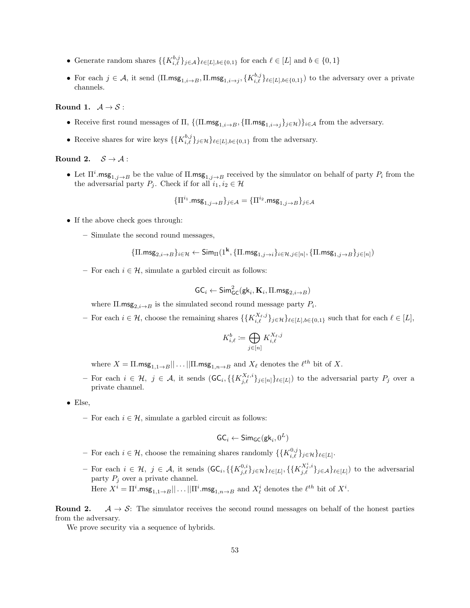- Generate random shares  $\{\{K_{i,\ell}^{b,j}\}_{j\in\mathcal{A}}\}_{\ell\in[L],b\in\{0,1\}}$  for each  $\ell\in[L]$  and  $b\in\{0,1\}$
- For each  $j \in \mathcal{A}$ , it send  $(\Pi.\text{msg}_{1,i\rightarrow B},\Pi.\text{msg}_{1,i\rightarrow j}, \{K_{i,\ell}^{b,j}\}_{\ell\in[L],b\in\{0,1\}})$  to the adversary over a private channels.

#### Round 1.  $\mathcal{A} \rightarrow \mathcal{S}$ :

- Receive first round messages of  $\Pi$ ,  $\{(\Pi.\text{msg}_{1,i\rightarrow B}, \{\Pi.\text{msg}_{1,i\rightarrow i}\}_{i\in \mathcal{H}})\}_{i\in \mathcal{A}}$  from the adversary.
- Receive shares for wire keys  $\{\{K_{i,\ell}^{b,j}\}_{j\in\mathcal{H}}\}_{\ell\in[L],b\in\{0,1\}}$  from the adversary.

#### Round 2.  $S \rightarrow A$ :

• Let  $\Pi^i$ .msg<sub>1,j→B</sub> be the value of  $\Pi$ .msg<sub>1,j→B</sub> received by the simulator on behalf of party  $P_i$  from the the adversarial party  $P_j$ . Check if for all  $i_1, i_2 \in \mathcal{H}$ 

$$
\{\Pi^{i_1}.\textsf{msg}_{1,j\rightarrow B}\}_{j\in\mathcal{A}}=\{\Pi^{i_2}.\textsf{msg}_{1,j\rightarrow B}\}_{j\in\mathcal{A}}
$$

- If the above check goes through:
	- Simulate the second round messages,

$$
\{\Pi.\textsf{msg}_{2,i\rightarrow B}\}_{i\in\mathcal{H}}\gets\textsf{Sim}_{\Pi}(1^{\bf k},\{\Pi.\textsf{msg}_{1,j\rightarrow i}\}_{i\in\mathcal{H},j\in[n]},\{\Pi.\textsf{msg}_{1,j\rightarrow B}\}_{j\in[n]})
$$

– For each  $i \in \mathcal{H}$ , simulate a garbled circuit as follows:

$$
\mathsf{GC}_i \leftarrow \mathsf{Sim}^2_{\mathsf{GC}}(\mathsf{gk}_i, \mathbf{K}_i, \Pi.\mathsf{msg}_{2,i \rightarrow B})
$$

where  $\Pi$ .msg<sub>2,*i*→*B*</sub> is the simulated second round message party  $P_i$ .

 $-$  For each  $i \in \mathcal{H}$ , choose the remaining shares  $\{\{K_{i,\ell}^{X_{\ell},j}\}_{j\in\mathcal{H}}\}_{\ell\in[L],b\in\{0,1\}}$  such that for each  $\ell \in [L],$ 

$$
K_{i,\ell}^b \coloneqq \bigoplus_{j \in [n]} K_{i,\ell}^{X_\ell,j}
$$

where  $X = \Pi \text{.msg}_{1,1 \to B} || \dots || \Pi \text{.msg}_{1,n \to B}$  and  $X_{\ell}$  denotes the  $\ell^{th}$  bit of X.

 $-$  For each  $i \in \mathcal{H}, j \in \mathcal{A}$ , it sends  $(\mathsf{GC}_i, \{\{K_{j,\ell}^{X_{\ell},i}\}_{j\in[n]}\}_{\ell\in[L]})$  to the adversarial party  $P_j$  over a private channel.

• Else,

– For each  $i \in \mathcal{H}$ , simulate a garbled circuit as follows:

$$
\mathsf{GC}_i \gets \mathsf{Sim_{GC}}(\mathsf{g}\mathsf{k}_i,0^L)
$$

- For each  $i \in \mathcal{H}$ , choose the remaining shares randomly  $\{\{K_{i,\ell}^{0,j}\}_{j\in\mathcal{H}}\}_{\ell\in[L]}$ .
- $\{-\text{ For each } i \in \mathcal{H}, j \in \mathcal{A}, \text{ it sends } (\mathsf{GC}_i, \{\{K^{0,i}_{j,\ell}\}_{j\in\mathcal{H}}\}_{\ell\in[L]}, \{\{K^{X^i_{\ell},i}_{j,\ell}\}_{j\in\mathcal{A}}\}_{\ell\in[L]}) \text{ to the adversarial set }$ party  $P_i$  over a private channel. Here  $X^i = \Pi^i$ .msg $_{1,1 \to B}$   $|| \dots || \Pi^i$ .msg $_{1,n \to B}$  and  $X^i_\ell$  denotes the  $\ell^{th}$  bit of  $X^i$ .

**Round 2.**  $A \rightarrow S$ : The simulator receives the second round messages on behalf of the honest parties from the adversary.

We prove security via a sequence of hybrids.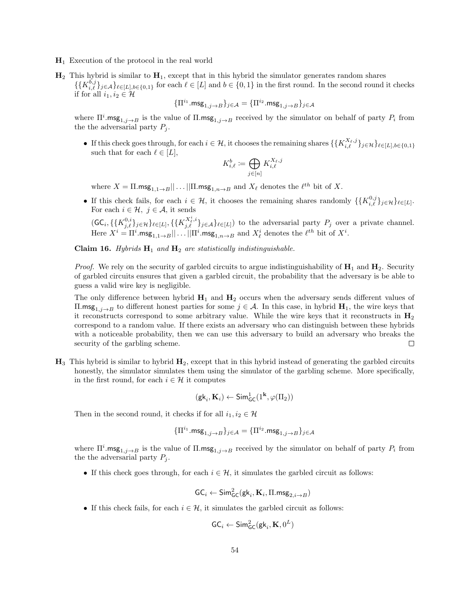- $H_1$  Execution of the protocol in the real world
- $H_2$  This hybrid is similar to  $H_1$ , except that in this hybrid the simulator generates random shares  $\{\{K_{i,\ell}^{\delta,j}\}_{j\in\mathcal{A}}\}_{\ell\in[L],b\in\{0,1\}}$  for each  $\ell\in[L]$  and  $b\in\{0,1\}$  in the first round. In the second round it checks if for all  $i_1, i_2 \in \mathcal{H}$

$$
\{\Pi^{i_1}.\textsf{msg}_{1,j\rightarrow B}\}_{j\in\mathcal{A}}=\{\Pi^{i_2}.\textsf{msg}_{1,j\rightarrow B}\}_{j\in\mathcal{A}}
$$

where  $\Pi^i$ .msg<sub>1,j→B</sub> is the value of  $\Pi$ .msg<sub>1,j→B</sub> received by the simulator on behalf of party  $P_i$  from the the adversarial party  $P_i$ .

• If this check goes through, for each  $i \in \mathcal{H}$ , it chooses the remaining shares  $\{\{K_{i,\ell}^{X_{\ell},j}\}_{j\in\mathcal{H}}\}_{\ell\in[L],b\in\{0,1\}}$ such that for each  $\ell \in [L],$ 

$$
K_{i,\ell}^b \coloneqq \bigoplus_{j \in [n]} K_{i,\ell}^{X_\ell,j}
$$

where  $X = \Pi \text{.msg}_{1,1 \to B} || \dots || \Pi \text{.msg}_{1,n \to B}$  and  $X_{\ell}$  denotes the  $\ell^{th}$  bit of X.

• If this check fails, for each  $i \in \mathcal{H}$ , it chooses the remaining shares randomly  $\{\{K_{i,\ell}^{0,j}\}_{j\in\mathcal{H}}\}_{\ell\in[L]}$ . For each  $i \in \mathcal{H}$ ,  $j \in \mathcal{A}$ , it sends

 $(\mathsf{GC}_i, \{\{K^{0,i}_{j,\ell}\}_{j\in\mathcal{H}}\}_{\ell\in[L]}, \{\{K^{X^{i}_{\ell},i}_{j,\ell}\}_{j\in\mathcal{A}}\}_{\ell\in[L]})$  to the adversarial party  $P_j$  over a private channel. Here  $X^i = \Pi^i.{\sf msg}_{1,1 \to B}||\dots||\Pi^i.{\sf msg}_{1,n \to B}$  and  $X^i_\ell$  denotes the  $\ell^{th}$  bit of  $X^i.$ 

Claim 16. Hybrids  $H_1$  and  $H_2$  are statistically indistinguishable.

*Proof.* We rely on the security of garbled circuits to argue indistinguishability of  $H_1$  and  $H_2$ . Security of garbled circuits ensures that given a garbled circuit, the probability that the adversary is be able to guess a valid wire key is negligible.

The only difference between hybrid  $H_1$  and  $H_2$  occurs when the adversary sends different values of  $\Pi$ .msg<sub>1,j→B</sub> to different honest parties for some  $j \in \mathcal{A}$ . In this case, in hybrid  $H_1$ , the wire keys that it reconstructs correspond to some arbitrary value. While the wire keys that it reconstructs in  $H_2$ correspond to a random value. If there exists an adversary who can distinguish between these hybrids with a noticeable probability, then we can use this adversary to build an adversary who breaks the security of the garbling scheme.  $\Box$ 

 $\mathbf{H}_3$  This hybrid is similar to hybrid  $\mathbf{H}_2$ , except that in this hybrid instead of generating the garbled circuits honestly, the simulator simulates them using the simulator of the garbling scheme. More specifically, in the first round, for each  $i \in \mathcal{H}$  it computes

$$
(\mathsf{g}\mathsf{k}_i,\mathbf{K}_i) \leftarrow \mathsf{Sim}^1_\mathsf{GC}(1^\mathbf{k},\varphi(\Pi_2))
$$

Then in the second round, it checks if for all  $i_1, i_2 \in \mathcal{H}$ 

$$
\{\Pi^{i_1}.\textsf{msg}_{1,j\rightarrow B}\}_{j\in\mathcal{A}}=\{\Pi^{i_2}.\textsf{msg}_{1,j\rightarrow B}\}_{j\in\mathcal{A}}
$$

where  $\Pi^i$ .msg<sub>1,j→B</sub> is the value of  $\Pi$ .msg<sub>1,j→B</sub> received by the simulator on behalf of party  $P_i$  from the the adversarial party  $P_i$ .

• If this check goes through, for each  $i \in \mathcal{H}$ , it simulates the garbled circuit as follows:

$$
\mathsf{GC}_i \leftarrow \mathsf{Sim}^2_\mathsf{GC}(\mathsf{gk}_i, \mathbf{K}_i, \Pi.\mathsf{msg}_{2,i \rightarrow B})
$$

• If this check fails, for each  $i \in \mathcal{H}$ , it simulates the garbled circuit as follows:

$$
\mathsf{GC}_i \leftarrow \mathsf{Sim}^2_{\mathsf{GC}}(\mathsf{g}\mathsf{k}_i,\mathbf{K},0^L)
$$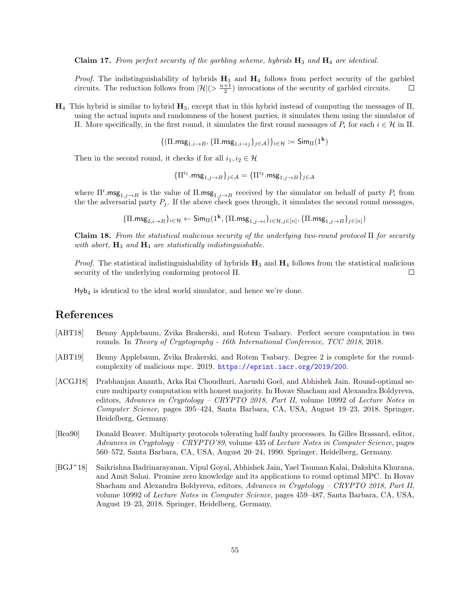Claim 17. From perfect security of the garbling scheme, hybrids  $H_3$  and  $H_4$  are identical.

*Proof.* The indistinguishability of hybrids  $H_3$  and  $H_4$  follows from perfect security of the garbled circuits. The reduction follows from  $|\mathcal{H}|(>\frac{n+1}{2})$  invocations of the security of garbled circuits.  $\Box$ 

 $\mathbf{H}_4$  This hybrid is similar to hybrid  $\mathbf{H}_3$ , except that in this hybrid instead of computing the messages of  $\Pi$ , using the actual inputs and randomness of the honest parties, it simulates them using the simulator of II. More specifically, in the first round, it simulates the first round messages of  $P_i$  for each  $i ∈ H$  in Π.

$$
\{(\Pi.\text{msg}_{1,i\rightarrow B}, \{\Pi.\text{msg}_{1,i\rightarrow j}\}_{j\in \mathcal{A}})\}_{i\in \mathcal{H}} \coloneqq \mathsf{Sim}_{\Pi}(1^\mathbf{k})
$$

Then in the second round, it checks if for all  $i_1, i_2 \in \mathcal{H}$ 

$$
\{\Pi^{i_1}.\textsf{msg}_{1,j\rightarrow B}\}_{j\in\mathcal{A}}=\{\Pi^{i_2}.\textsf{msg}_{1,j\rightarrow B}\}_{j\in\mathcal{A}}
$$

where  $\Pi^i$ .msg<sub>1,j→B</sub> is the value of  $\Pi$ .msg<sub>1,j→B</sub> received by the simulator on behalf of party  $P_i$  from the the adversarial party  $P_i$ . If the above check goes through, it simulates the second round messages,

 $\{\Pi.\textsf{msg}_{2,i\rightarrow B}\}_{i\in\mathcal{H}}\gets \textsf{Sim}_{\Pi}(\mathbb{1}^{\mathbf{k}}, \{\Pi.\textsf{msg}_{1,j\rightarrow i}\}_{i\in\mathcal{H},j\in[n]}, \{\Pi.\textsf{msg}_{1,j\rightarrow B}\}_{j\in[n]})$ 

Claim 18. From the statistical malicious security of the underlying two-round protocol  $\Pi$  for security with abort,  $H_3$  and  $H_4$  are statistically indistinguishable.

*Proof.* The statistical indistinguishability of hybrids  $H_3$  and  $H_4$  follows from the statistical malicious security of the underlying conforming protocol Π.  $\Box$ 

 $Hyb<sub>4</sub>$  is identical to the ideal world simulator, and hence we're done.

### References

- <span id="page-54-0"></span>[ABT18] Benny Applebaum, Zvika Brakerski, and Rotem Tsabary. Perfect secure computation in two rounds. In Theory of Cryptography - 16th International Conference, TCC 2018, 2018.
- <span id="page-54-2"></span>[ABT19] Benny Applebaum, Zvika Brakerski, and Rotem Tsabary. Degree 2 is complete for the roundcomplexity of malicious mpc. 2019. <https://eprint.iacr.org/2019/200>.
- <span id="page-54-1"></span>[ACGJ18] Prabhanjan Ananth, Arka Rai Choudhuri, Aarushi Goel, and Abhishek Jain. Round-optimal secure multiparty computation with honest majority. In Hovav Shacham and Alexandra Boldyreva, editors, Advances in Cryptology – CRYPTO 2018, Part II, volume 10992 of Lecture Notes in Computer Science, pages 395–424, Santa Barbara, CA, USA, August 19–23, 2018. Springer, Heidelberg, Germany.
- <span id="page-54-4"></span>[Bea90] Donald Beaver. Multiparty protocols tolerating half faulty processors. In Gilles Brassard, editor, Advances in Cryptology – CRYPTO'89, volume 435 of Lecture Notes in Computer Science, pages 560–572, Santa Barbara, CA, USA, August 20–24, 1990. Springer, Heidelberg, Germany.
- <span id="page-54-3"></span>[BGJ<sup>+</sup>18] Saikrishna Badrinarayanan, Vipul Goyal, Abhishek Jain, Yael Tauman Kalai, Dakshita Khurana, and Amit Sahai. Promise zero knowledge and its applications to round optimal MPC. In Hovav Shacham and Alexandra Boldyreva, editors, Advances in Cryptology – CRYPTO 2018, Part II, volume 10992 of Lecture Notes in Computer Science, pages 459–487, Santa Barbara, CA, USA, August 19–23, 2018. Springer, Heidelberg, Germany.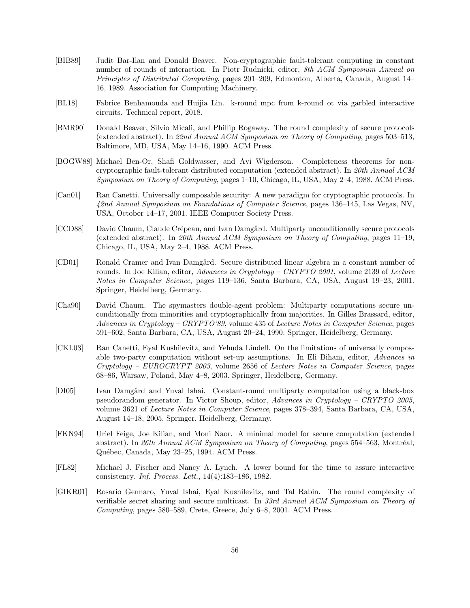- <span id="page-55-4"></span>[BIB89] Judit Bar-Ilan and Donald Beaver. Non-cryptographic fault-tolerant computing in constant number of rounds of interaction. In Piotr Rudnicki, editor, 8th ACM Symposium Annual on Principles of Distributed Computing, pages 201–209, Edmonton, Alberta, Canada, August 14– 16, 1989. Association for Computing Machinery.
- <span id="page-55-6"></span>[BL18] Fabrice Benhamouda and Huijia Lin. k-round mpc from k-round ot via garbled interactive circuits. Technical report, 2018.
- <span id="page-55-11"></span>[BMR90] Donald Beaver, Silvio Micali, and Phillip Rogaway. The round complexity of secure protocols (extended abstract). In 22nd Annual ACM Symposium on Theory of Computing, pages 503–513, Baltimore, MD, USA, May 14–16, 1990. ACM Press.
- <span id="page-55-0"></span>[BOGW88] Michael Ben-Or, Shafi Goldwasser, and Avi Wigderson. Completeness theorems for noncryptographic fault-tolerant distributed computation (extended abstract). In 20th Annual ACM Symposium on Theory of Computing, pages 1–10, Chicago, IL, USA, May 2–4, 1988. ACM Press.
- <span id="page-55-2"></span>[Can01] Ran Canetti. Universally composable security: A new paradigm for cryptographic protocols. In 42nd Annual Symposium on Foundations of Computer Science, pages 136–145, Las Vegas, NV, USA, October 14–17, 2001. IEEE Computer Society Press.
- <span id="page-55-1"></span>[CCD88] David Chaum, Claude Crépeau, and Ivan Damgård. Multiparty unconditionally secure protocols (extended abstract). In 20th Annual ACM Symposium on Theory of Computing, pages 11–19, Chicago, IL, USA, May 2–4, 1988. ACM Press.
- <span id="page-55-9"></span>[CD01] Ronald Cramer and Ivan Damgård. Secure distributed linear algebra in a constant number of rounds. In Joe Kilian, editor, Advances in Cryptology – CRYPTO 2001, volume 2139 of Lecture Notes in Computer Science, pages 119–136, Santa Barbara, CA, USA, August 19–23, 2001. Springer, Heidelberg, Germany.
- <span id="page-55-7"></span>[Cha90] David Chaum. The spymasters double-agent problem: Multiparty computations secure unconditionally from minorities and cryptographically from majorities. In Gilles Brassard, editor, Advances in Cryptology – CRYPTO'89, volume 435 of Lecture Notes in Computer Science, pages 591–602, Santa Barbara, CA, USA, August 20–24, 1990. Springer, Heidelberg, Germany.
- <span id="page-55-3"></span>[CKL03] Ran Canetti, Eyal Kushilevitz, and Yehuda Lindell. On the limitations of universally composable two-party computation without set-up assumptions. In Eli Biham, editor, Advances in Cryptology – EUROCRYPT 2003, volume 2656 of Lecture Notes in Computer Science, pages 68–86, Warsaw, Poland, May 4–8, 2003. Springer, Heidelberg, Germany.
- <span id="page-55-12"></span>[DI05] Ivan Damgård and Yuval Ishai. Constant-round multiparty computation using a black-box pseudorandom generator. In Victor Shoup, editor, Advances in Cryptology – CRYPTO 2005, volume 3621 of Lecture Notes in Computer Science, pages 378–394, Santa Barbara, CA, USA, August 14–18, 2005. Springer, Heidelberg, Germany.
- <span id="page-55-8"></span>[FKN94] Uriel Feige, Joe Kilian, and Moni Naor. A minimal model for secure computation (extended abstract). In 26th Annual ACM Symposium on Theory of Computing, pages  $554-563$ , Montréal, Québec, Canada, May 23-25, 1994. ACM Press.
- <span id="page-55-5"></span>[FL82] Michael J. Fischer and Nancy A. Lynch. A lower bound for the time to assure interactive consistency. Inf. Process. Lett., 14(4):183–186, 1982.
- <span id="page-55-10"></span>[GIKR01] Rosario Gennaro, Yuval Ishai, Eyal Kushilevitz, and Tal Rabin. The round complexity of verifiable secret sharing and secure multicast. In 33rd Annual ACM Symposium on Theory of Computing, pages 580–589, Crete, Greece, July 6–8, 2001. ACM Press.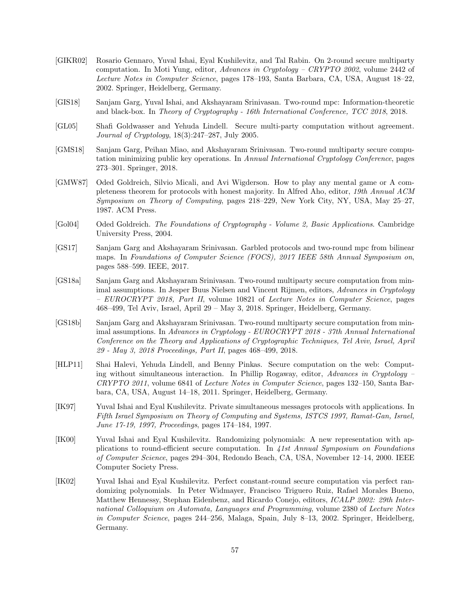- <span id="page-56-5"></span>[GIKR02] Rosario Gennaro, Yuval Ishai, Eyal Kushilevitz, and Tal Rabin. On 2-round secure multiparty computation. In Moti Yung, editor, Advances in Cryptology – CRYPTO 2002, volume 2442 of Lecture Notes in Computer Science, pages 178–193, Santa Barbara, CA, USA, August 18–22, 2002. Springer, Heidelberg, Germany.
- <span id="page-56-3"></span>[GIS18] Sanjam Garg, Yuval Ishai, and Akshayaram Srinivasan. Two-round mpc: Information-theoretic and black-box. In Theory of Cryptography - 16th International Conference, TCC 2018, 2018.
- <span id="page-56-7"></span>[GL05] Shafi Goldwasser and Yehuda Lindell. Secure multi-party computation without agreement. Journal of Cryptology, 18(3):247–287, July 2005.
- <span id="page-56-10"></span>[GMS18] Sanjam Garg, Peihan Miao, and Akshayaram Srinivasan. Two-round multiparty secure computation minimizing public key operations. In Annual International Cryptology Conference, pages 273–301. Springer, 2018.
- <span id="page-56-0"></span>[GMW87] Oded Goldreich, Silvio Micali, and Avi Wigderson. How to play any mental game or A completeness theorem for protocols with honest majority. In Alfred Aho, editor, 19th Annual ACM Symposium on Theory of Computing, pages 218–229, New York City, NY, USA, May 25–27, 1987. ACM Press.
- <span id="page-56-4"></span>[Gol04] Oded Goldreich. The Foundations of Cryptography - Volume 2, Basic Applications. Cambridge University Press, 2004.
- <span id="page-56-8"></span>[GS17] Sanjam Garg and Akshayaram Srinivasan. Garbled protocols and two-round mpc from bilinear maps. In Foundations of Computer Science (FOCS), 2017 IEEE 58th Annual Symposium on, pages 588–599. IEEE, 2017.
- <span id="page-56-6"></span>[GS18a] Sanjam Garg and Akshayaram Srinivasan. Two-round multiparty secure computation from minimal assumptions. In Jesper Buus Nielsen and Vincent Rijmen, editors, Advances in Cryptology – EUROCRYPT 2018, Part II, volume 10821 of Lecture Notes in Computer Science, pages 468–499, Tel Aviv, Israel, April 29 – May 3, 2018. Springer, Heidelberg, Germany.
- <span id="page-56-9"></span>[GS18b] Sanjam Garg and Akshayaram Srinivasan. Two-round multiparty secure computation from minimal assumptions. In Advances in Cryptology - EUROCRYPT 2018 - 37th Annual International Conference on the Theory and Applications of Cryptographic Techniques, Tel Aviv, Israel, April 29 - May 3, 2018 Proceedings, Part II, pages 468–499, 2018.
- <span id="page-56-1"></span>[HLP11] Shai Halevi, Yehuda Lindell, and Benny Pinkas. Secure computation on the web: Computing without simultaneous interaction. In Phillip Rogaway, editor, Advances in Cryptology – CRYPTO 2011, volume 6841 of Lecture Notes in Computer Science, pages 132–150, Santa Barbara, CA, USA, August 14–18, 2011. Springer, Heidelberg, Germany.
- <span id="page-56-12"></span>[IK97] Yuval Ishai and Eyal Kushilevitz. Private simultaneous messages protocols with applications. In Fifth Israel Symposium on Theory of Computing and Systems, ISTCS 1997, Ramat-Gan, Israel, June 17-19, 1997, Proceedings, pages 174–184, 1997.
- <span id="page-56-2"></span>[IK00] Yuval Ishai and Eyal Kushilevitz. Randomizing polynomials: A new representation with applications to round-efficient secure computation. In 41st Annual Symposium on Foundations of Computer Science, pages 294–304, Redondo Beach, CA, USA, November 12–14, 2000. IEEE Computer Society Press.
- <span id="page-56-11"></span>[IK02] Yuval Ishai and Eyal Kushilevitz. Perfect constant-round secure computation via perfect randomizing polynomials. In Peter Widmayer, Francisco Triguero Ruiz, Rafael Morales Bueno, Matthew Hennessy, Stephan Eidenbenz, and Ricardo Conejo, editors, ICALP 2002: 29th International Colloquium on Automata, Languages and Programming, volume 2380 of Lecture Notes in Computer Science, pages 244–256, Malaga, Spain, July 8–13, 2002. Springer, Heidelberg, Germany.